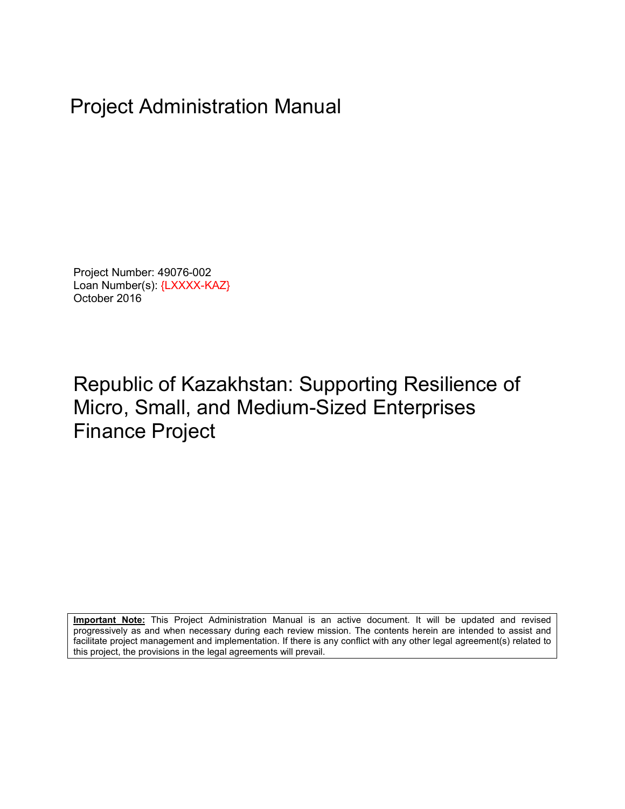# Project Administration Manual

Project Number: 49076-002 Loan Number(s): {LXXXX-KAZ} October 2016

# Republic of Kazakhstan: Supporting Resilience of Micro, Small, and Medium-Sized Enterprises Finance Project

**Important Note:** This Project Administration Manual is an active document. It will be updated and revised progressively as and when necessary during each review mission. The contents herein are intended to assist and facilitate project management and implementation. If there is any conflict with any other legal agreement(s) related to this project, the provisions in the legal agreements will prevail.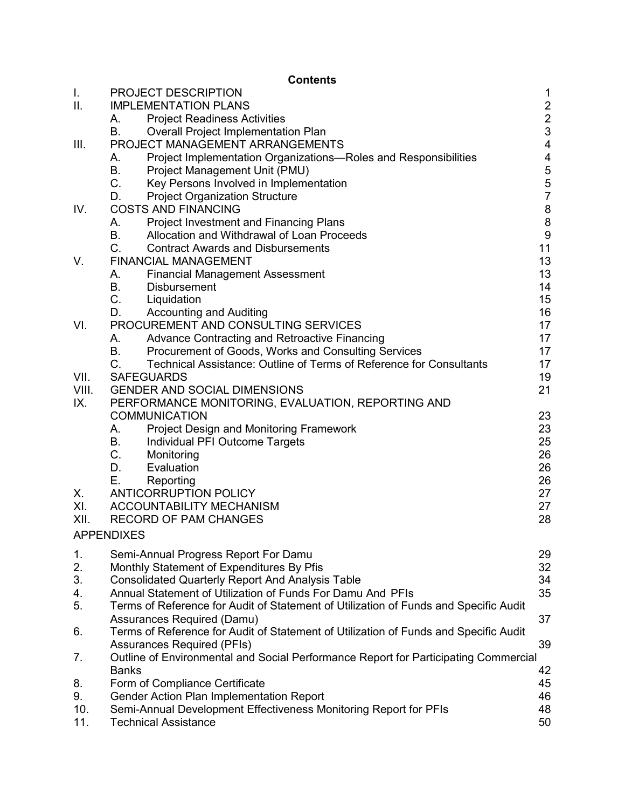### **Contents**

| I.    | PROJECT DESCRIPTION                                                                  | 1                                          |
|-------|--------------------------------------------------------------------------------------|--------------------------------------------|
| ΙΙ.   | <b>IMPLEMENTATION PLANS</b>                                                          |                                            |
|       | <b>Project Readiness Activities</b><br>А.                                            | $\begin{array}{c} 2 \\ 2 \\ 3 \end{array}$ |
|       | <b>B.</b><br>Overall Project Implementation Plan                                     |                                            |
| III.  | PROJECT MANAGEMENT ARRANGEMENTS                                                      | $\overline{\mathcal{A}}$                   |
|       | Project Implementation Organizations—Roles and Responsibilities<br>А.                | $\overline{\mathcal{A}}$                   |
|       | <b>B.</b><br>Project Management Unit (PMU)                                           | 5                                          |
|       | $C_{\cdot}$<br>Key Persons Involved in Implementation                                | $\frac{5}{7}$                              |
|       | D.<br><b>Project Organization Structure</b>                                          |                                            |
| IV.   | <b>COSTS AND FINANCING</b>                                                           | 8                                          |
|       | <b>Project Investment and Financing Plans</b><br>А.                                  | 8                                          |
|       | <b>B.</b><br>Allocation and Withdrawal of Loan Proceeds                              | 9                                          |
|       | C.<br><b>Contract Awards and Disbursements</b>                                       | 11                                         |
| V.    | <b>FINANCIAL MANAGEMENT</b>                                                          | 13                                         |
|       | <b>Financial Management Assessment</b><br>А.                                         | 13                                         |
|       | <b>B.</b><br><b>Disbursement</b>                                                     | 14                                         |
|       | $C_{-}$<br>Liquidation                                                               | 15                                         |
|       | D.<br><b>Accounting and Auditing</b>                                                 | 16                                         |
| VI.   | PROCUREMENT AND CONSULTING SERVICES                                                  | 17                                         |
|       | Advance Contracting and Retroactive Financing<br>А.                                  | 17                                         |
|       | В.<br>Procurement of Goods, Works and Consulting Services                            | 17                                         |
|       | $C_{\cdot}$<br>Technical Assistance: Outline of Terms of Reference for Consultants   | 17                                         |
| VII.  | <b>SAFEGUARDS</b>                                                                    | 19                                         |
| VIII. | <b>GENDER AND SOCIAL DIMENSIONS</b>                                                  | 21                                         |
| IX.   | PERFORMANCE MONITORING, EVALUATION, REPORTING AND                                    |                                            |
|       | <b>COMMUNICATION</b>                                                                 | 23                                         |
|       | A.<br>Project Design and Monitoring Framework                                        | 23                                         |
|       | В.<br>Individual PFI Outcome Targets                                                 | 25                                         |
|       | C.<br>Monitoring                                                                     | 26                                         |
|       | D.<br>Evaluation                                                                     | 26                                         |
|       | Е.<br>Reporting                                                                      | 26                                         |
| Х.    | <b>ANTICORRUPTION POLICY</b>                                                         | 27                                         |
| XI.   | ACCOUNTABILITY MECHANISM                                                             | 27                                         |
| XII.  | <b>RECORD OF PAM CHANGES</b>                                                         | 28                                         |
|       | <b>APPENDIXES</b>                                                                    |                                            |
| 1.    | Semi-Annual Progress Report For Damu                                                 | 29                                         |
| 2.    | Monthly Statement of Expenditures By Pfis                                            | 32                                         |
| 3.    | <b>Consolidated Quarterly Report And Analysis Table</b>                              | 34                                         |
| 4.    | Annual Statement of Utilization of Funds For Damu And PFIs                           | 35                                         |
| 5.    | Terms of Reference for Audit of Statement of Utilization of Funds and Specific Audit |                                            |
|       | Assurances Required (Damu)                                                           | 37                                         |
| 6.    | Terms of Reference for Audit of Statement of Utilization of Funds and Specific Audit |                                            |
|       | <b>Assurances Required (PFIs)</b>                                                    | 39                                         |
| 7.    | Outline of Environmental and Social Performance Report for Participating Commercial  |                                            |
|       | <b>Banks</b>                                                                         | 42                                         |
| 8.    | Form of Compliance Certificate                                                       | 45                                         |
| 9.    | Gender Action Plan Implementation Report                                             | 46                                         |
| 10.   | Semi-Annual Development Effectiveness Monitoring Report for PFIs                     | 48                                         |
| 11.   | <b>Technical Assistance</b>                                                          | 50                                         |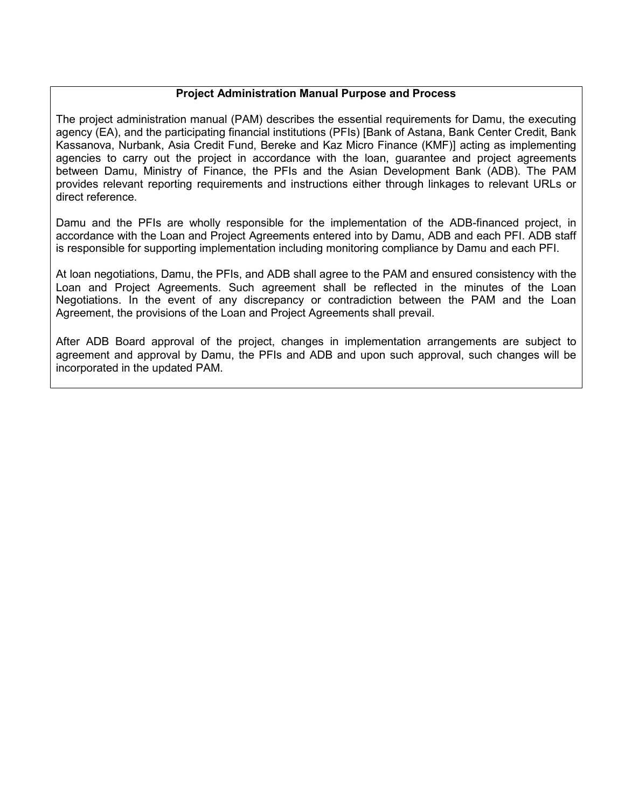### **Project Administration Manual Purpose and Process**

The project administration manual (PAM) describes the essential requirements for Damu, the executing agency (EA), and the participating financial institutions (PFIs) [Bank of Astana, Bank Center Credit, Bank Kassanova, Nurbank, Asia Credit Fund, Bereke and Kaz Micro Finance (KMF)] acting as implementing agencies to carry out the project in accordance with the loan, guarantee and project agreements between Damu, Ministry of Finance, the PFIs and the Asian Development Bank (ADB). The PAM provides relevant reporting requirements and instructions either through linkages to relevant URLs or direct reference.

Damu and the PFIs are wholly responsible for the implementation of the ADB-financed project, in accordance with the Loan and Project Agreements entered into by Damu, ADB and each PFI. ADB staff is responsible for supporting implementation including monitoring compliance by Damu and each PFI.

At loan negotiations, Damu, the PFIs, and ADB shall agree to the PAM and ensured consistency with the Loan and Project Agreements. Such agreement shall be reflected in the minutes of the Loan Negotiations. In the event of any discrepancy or contradiction between the PAM and the Loan Agreement, the provisions of the Loan and Project Agreements shall prevail.

After ADB Board approval of the project, changes in implementation arrangements are subject to agreement and approval by Damu, the PFIs and ADB and upon such approval, such changes will be incorporated in the updated PAM.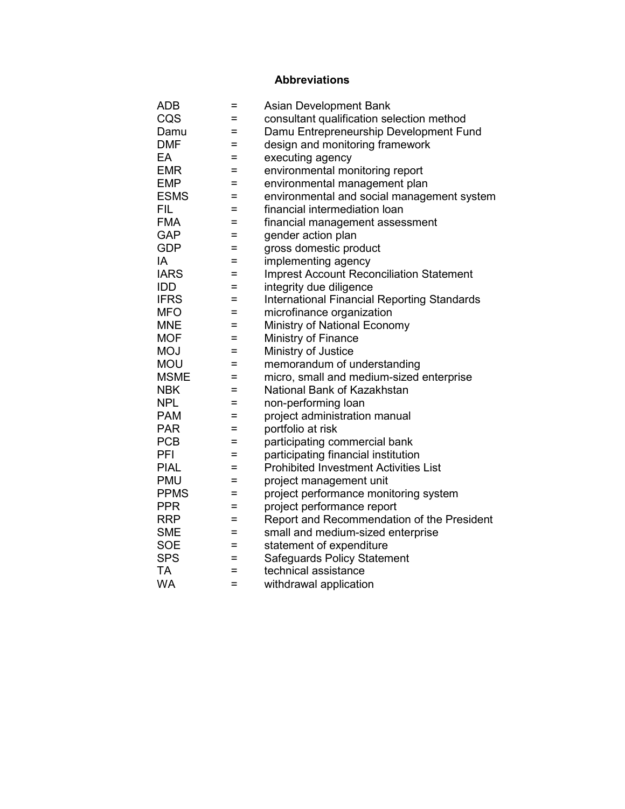# **Abbreviations**

| <b>ADB</b>  | Ξ   | <b>Asian Development Bank</b>                      |
|-------------|-----|----------------------------------------------------|
| CQS         | =   | consultant qualification selection method          |
| Damu        | $=$ | Damu Entrepreneurship Development Fund             |
| <b>DMF</b>  | =   | design and monitoring framework                    |
| EA          | $=$ | executing agency                                   |
| <b>EMR</b>  | =   | environmental monitoring report                    |
| <b>EMP</b>  | $=$ | environmental management plan                      |
| <b>ESMS</b> | $=$ | environmental and social management system         |
| <b>FIL</b>  | Ξ   | financial intermediation loan                      |
| <b>FMA</b>  | =   | financial management assessment                    |
| <b>GAP</b>  | Ξ   | gender action plan                                 |
| <b>GDP</b>  | =   | gross domestic product                             |
| IA          | =   | implementing agency                                |
| <b>IARS</b> | $=$ | <b>Imprest Account Reconciliation Statement</b>    |
| <b>IDD</b>  | $=$ | integrity due diligence                            |
| <b>IFRS</b> | $=$ | <b>International Financial Reporting Standards</b> |
| <b>MFO</b>  | $=$ | microfinance organization                          |
| <b>MNE</b>  | $=$ | Ministry of National Economy                       |
| <b>MOF</b>  | =   | Ministry of Finance                                |
| <b>MOJ</b>  | Ξ   | Ministry of Justice                                |
| <b>MOU</b>  | $=$ | memorandum of understanding                        |
| <b>MSME</b> | $=$ | micro, small and medium-sized enterprise           |
| <b>NBK</b>  | $=$ | National Bank of Kazakhstan                        |
| <b>NPL</b>  | $=$ | non-performing loan                                |
| <b>PAM</b>  | $=$ | project administration manual                      |
| <b>PAR</b>  | $=$ | portfolio at risk                                  |
| <b>PCB</b>  | =   | participating commercial bank                      |
| PFI         | Ξ   | participating financial institution                |
| <b>PIAL</b> | $=$ | <b>Prohibited Investment Activities List</b>       |
| <b>PMU</b>  | $=$ | project management unit                            |
| <b>PPMS</b> | Ξ   | project performance monitoring system              |
| <b>PPR</b>  | =   | project performance report                         |
| <b>RRP</b>  | =   | Report and Recommendation of the President         |
| <b>SME</b>  | =   | small and medium-sized enterprise                  |
| <b>SOE</b>  | $=$ | statement of expenditure                           |
| <b>SPS</b>  | $=$ | <b>Safeguards Policy Statement</b>                 |
| <b>TA</b>   | $=$ | technical assistance                               |
| <b>WA</b>   | $=$ | withdrawal application                             |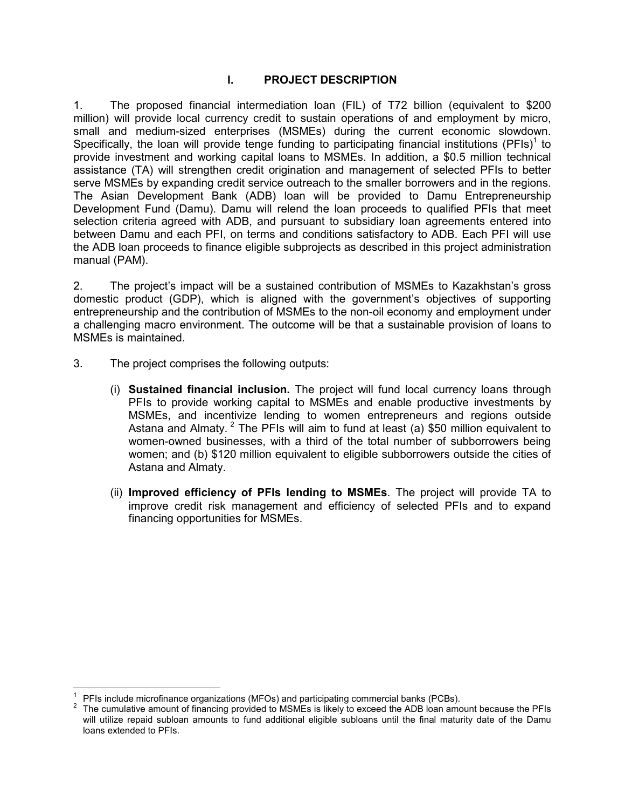### **I. PROJECT DESCRIPTION**

1. The proposed financial intermediation loan (FIL) of T72 billion (equivalent to \$200 million) will provide local currency credit to sustain operations of and employment by micro, small and medium-sized enterprises (MSMEs) during the current economic slowdown. Specifically, the loan will provide tenge funding to participating financial institutions (PFIs)<sup>1</sup> to provide investment and working capital loans to MSMEs. In addition, a \$0.5 million technical assistance (TA) will strengthen credit origination and management of selected PFIs to better serve MSMEs by expanding credit service outreach to the smaller borrowers and in the regions. The Asian Development Bank (ADB) loan will be provided to Damu Entrepreneurship Development Fund (Damu). Damu will relend the loan proceeds to qualified PFIs that meet selection criteria agreed with ADB, and pursuant to subsidiary loan agreements entered into between Damu and each PFI, on terms and conditions satisfactory to ADB. Each PFI will use the ADB loan proceeds to finance eligible subprojects as described in this project administration manual (PAM).

2. The project's impact will be a sustained contribution of MSMEs to Kazakhstan's gross domestic product (GDP), which is aligned with the government's objectives of supporting entrepreneurship and the contribution of MSMEs to the non-oil economy and employment under a challenging macro environment. The outcome will be that a sustainable provision of loans to MSMEs is maintained.

- 3. The project comprises the following outputs:
	- (i) **Sustained financial inclusion.** The project will fund local currency loans through PFIs to provide working capital to MSMEs and enable productive investments by MSMEs, and incentivize lending to women entrepreneurs and regions outside Astana and Almaty.<sup>2</sup> The PFIs will aim to fund at least (a) \$50 million equivalent to women-owned businesses, with a third of the total number of subborrowers being women; and (b) \$120 million equivalent to eligible subborrowers outside the cities of Astana and Almaty.
	- (ii) **Improved efficiency of PFIs lending to MSMEs**. The project will provide TA to improve credit risk management and efficiency of selected PFIs and to expand financing opportunities for MSMEs.

 $\overline{1}$ 1 PFIs include microfinance organizations (MFOs) and participating commercial banks (PCBs).

<sup>2</sup> The cumulative amount of financing provided to MSMEs is likely to exceed the ADB loan amount because the PFIs will utilize repaid subloan amounts to fund additional eligible subloans until the final maturity date of the Damu loans extended to PFIs.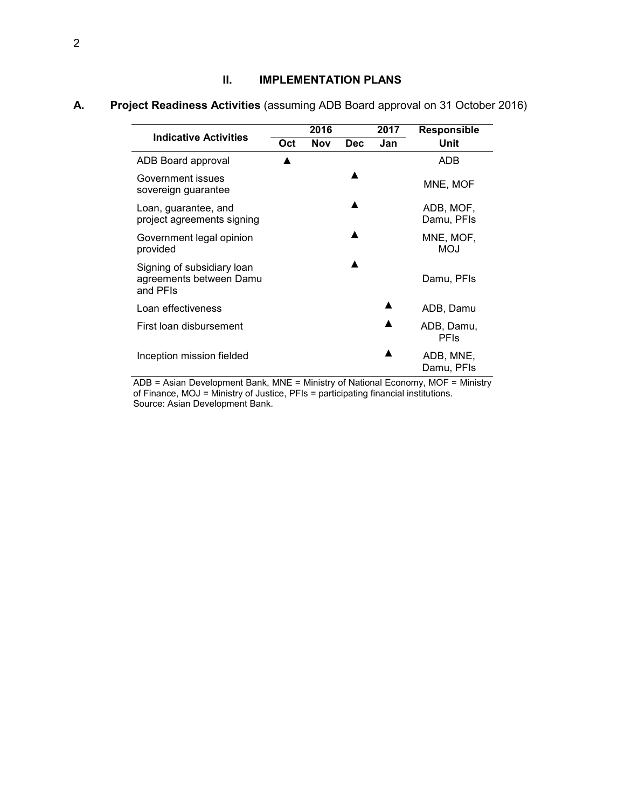### **II. IMPLEMENTATION PLANS**

|                                                                   |     | 2016       |            | 2017 | <b>Responsible</b>        |
|-------------------------------------------------------------------|-----|------------|------------|------|---------------------------|
| <b>Indicative Activities</b>                                      | Oct | <b>Nov</b> | <b>Dec</b> | Jan  | Unit                      |
| ADB Board approval                                                |     |            |            |      | ADB                       |
| Government issues<br>sovereign guarantee                          |     |            |            |      | MNE, MOF                  |
| Loan, guarantee, and<br>project agreements signing                |     |            | ▲          |      | ADB, MOF,<br>Damu, PFIs   |
| Government legal opinion<br>provided                              |     |            |            |      | MNE, MOF,<br><b>MOJ</b>   |
| Signing of subsidiary loan<br>agreements between Damu<br>and PFIs |     |            |            |      | Damu, PFIs                |
| Loan effectiveness                                                |     |            |            |      | ADB, Damu                 |
| First loan disbursement                                           |     |            |            |      | ADB, Damu,<br><b>PFIs</b> |
| Inception mission fielded                                         |     |            |            |      | ADB, MNE,<br>Damu, PFIs   |

# **A. Project Readiness Activities** (assuming ADB Board approval on 31 October 2016)

ADB = Asian Development Bank, MNE = Ministry of National Economy, MOF = Ministry of Finance, MOJ = Ministry of Justice, PFIs = participating financial institutions. Source: Asian Development Bank.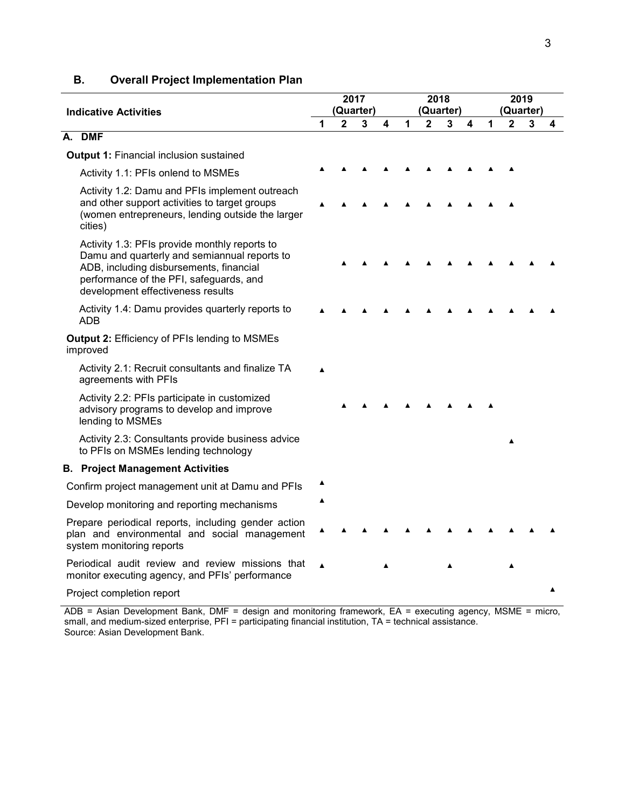| <b>Indicative Activities</b> |                                                                                                                                                                                                                          | 2017<br>(Quarter) |   |   |   |   | 2018<br>(Quarter) |   |   |   | 2019<br>(Quarter) |   |   |
|------------------------------|--------------------------------------------------------------------------------------------------------------------------------------------------------------------------------------------------------------------------|-------------------|---|---|---|---|-------------------|---|---|---|-------------------|---|---|
|                              |                                                                                                                                                                                                                          | 1                 | 2 | 3 | 4 | 1 | 2                 | 3 | 4 | 1 | $\mathbf 2$       | 3 | 4 |
| А.                           | <b>DMF</b>                                                                                                                                                                                                               |                   |   |   |   |   |                   |   |   |   |                   |   |   |
|                              | <b>Output 1: Financial inclusion sustained</b>                                                                                                                                                                           |                   |   |   |   |   |                   |   |   |   |                   |   |   |
|                              | Activity 1.1: PFIs onlend to MSMEs                                                                                                                                                                                       |                   |   |   |   |   |                   |   |   |   |                   |   |   |
|                              | Activity 1.2: Damu and PFIs implement outreach<br>and other support activities to target groups<br>(women entrepreneurs, lending outside the larger<br>cities)                                                           |                   |   |   |   |   |                   |   |   |   |                   |   |   |
|                              | Activity 1.3: PFIs provide monthly reports to<br>Damu and quarterly and semiannual reports to<br>ADB, including disbursements, financial<br>performance of the PFI, safeguards, and<br>development effectiveness results |                   |   |   |   |   |                   |   |   |   |                   |   |   |
|                              | Activity 1.4: Damu provides quarterly reports to<br>ADB                                                                                                                                                                  |                   |   |   |   |   |                   |   |   |   |                   |   |   |
|                              | <b>Output 2: Efficiency of PFIs lending to MSMEs</b><br>improved                                                                                                                                                         |                   |   |   |   |   |                   |   |   |   |                   |   |   |
|                              | Activity 2.1: Recruit consultants and finalize TA<br>agreements with PFIs                                                                                                                                                |                   |   |   |   |   |                   |   |   |   |                   |   |   |
|                              | Activity 2.2: PFIs participate in customized<br>advisory programs to develop and improve<br>lending to MSMEs                                                                                                             |                   |   |   |   |   |                   |   |   |   |                   |   |   |
|                              | Activity 2.3: Consultants provide business advice<br>to PFIs on MSMEs lending technology                                                                                                                                 |                   |   |   |   |   |                   |   |   |   |                   |   |   |
|                              | <b>B. Project Management Activities</b>                                                                                                                                                                                  |                   |   |   |   |   |                   |   |   |   |                   |   |   |
|                              | Confirm project management unit at Damu and PFIs                                                                                                                                                                         |                   |   |   |   |   |                   |   |   |   |                   |   |   |
|                              | Develop monitoring and reporting mechanisms                                                                                                                                                                              |                   |   |   |   |   |                   |   |   |   |                   |   |   |
|                              | Prepare periodical reports, including gender action<br>plan and environmental and social management<br>system monitoring reports                                                                                         |                   |   |   |   |   |                   |   |   |   |                   |   |   |
|                              | Periodical audit review and review missions that<br>monitor executing agency, and PFIs' performance                                                                                                                      |                   |   |   |   |   |                   |   |   |   |                   |   |   |
|                              | Project completion report                                                                                                                                                                                                |                   |   |   |   |   |                   |   |   |   |                   |   | ▲ |

### **B. Overall Project Implementation Plan**

ADB = Asian Development Bank, DMF = design and monitoring framework, EA = executing agency, MSME = micro, small, and medium-sized enterprise, PFI = participating financial institution, TA = technical assistance. Source: Asian Development Bank.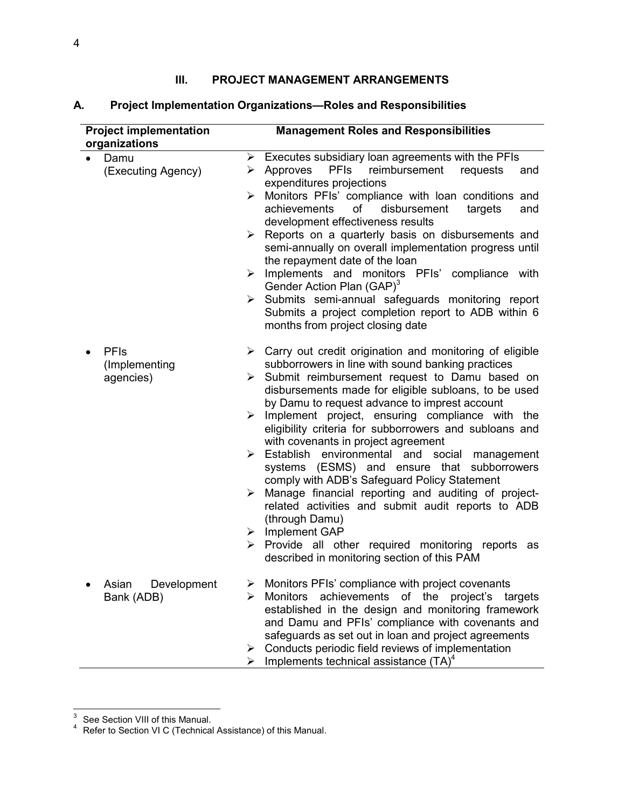### **III. PROJECT MANAGEMENT ARRANGEMENTS**

| <b>Project implementation</b>             | <b>Management Roles and Responsibilities</b>                                                                                                                                                                                                                                                                                                                                                                                                                                                                                                                                                                                                                                                                                                                                                                                                                                                                     |
|-------------------------------------------|------------------------------------------------------------------------------------------------------------------------------------------------------------------------------------------------------------------------------------------------------------------------------------------------------------------------------------------------------------------------------------------------------------------------------------------------------------------------------------------------------------------------------------------------------------------------------------------------------------------------------------------------------------------------------------------------------------------------------------------------------------------------------------------------------------------------------------------------------------------------------------------------------------------|
| organizations                             | $\triangleright$ Executes subsidiary loan agreements with the PFIs                                                                                                                                                                                                                                                                                                                                                                                                                                                                                                                                                                                                                                                                                                                                                                                                                                               |
| Damu<br>$\bullet$<br>(Executing Agency)   | <b>PFIs</b><br>reimbursement<br>Approves<br>requests<br>and<br>➤<br>expenditures projections                                                                                                                                                                                                                                                                                                                                                                                                                                                                                                                                                                                                                                                                                                                                                                                                                     |
|                                           | Monitors PFIs' compliance with loan conditions and<br>➤<br>of<br>achievements<br>disbursement<br>targets<br>and<br>development effectiveness results                                                                                                                                                                                                                                                                                                                                                                                                                                                                                                                                                                                                                                                                                                                                                             |
|                                           | Reports on a quarterly basis on disbursements and<br>➤<br>semi-annually on overall implementation progress until<br>the repayment date of the loan                                                                                                                                                                                                                                                                                                                                                                                                                                                                                                                                                                                                                                                                                                                                                               |
|                                           | $\triangleright$ Implements and monitors PFIs' compliance with<br>Gender Action Plan (GAP) <sup>3</sup>                                                                                                                                                                                                                                                                                                                                                                                                                                                                                                                                                                                                                                                                                                                                                                                                          |
|                                           | > Submits semi-annual safeguards monitoring report<br>Submits a project completion report to ADB within 6<br>months from project closing date                                                                                                                                                                                                                                                                                                                                                                                                                                                                                                                                                                                                                                                                                                                                                                    |
| <b>PFIs</b><br>(Implementing<br>agencies) | $\triangleright$ Carry out credit origination and monitoring of eligible<br>subborrowers in line with sound banking practices<br>$\triangleright$ Submit reimbursement request to Damu based on<br>disbursements made for eligible subloans, to be used<br>by Damu to request advance to imprest account<br>$\triangleright$ Implement project, ensuring compliance with the<br>eligibility criteria for subborrowers and subloans and<br>with covenants in project agreement<br>> Establish environmental and social management<br>systems (ESMS) and ensure that subborrowers<br>comply with ADB's Safeguard Policy Statement<br>Manage financial reporting and auditing of project-<br>≻<br>related activities and submit audit reports to ADB<br>(through Damu)<br>$\triangleright$ Implement GAP<br>Provide all other required monitoring reports<br>≻<br>as<br>described in monitoring section of this PAM |
| Asian<br>Development<br>Bank (ADB)        | Monitors PFIs' compliance with project covenants<br>➤<br>achievements of the<br><b>Monitors</b><br>project's<br>targets<br>⋗<br>established in the design and monitoring framework<br>and Damu and PFIs' compliance with covenants and<br>safeguards as set out in loan and project agreements<br>Conducts periodic field reviews of implementation<br>➤<br>Implements technical assistance $(TA)^4$<br>➤                                                                                                                                                                                                                                                                                                                                                                                                                                                                                                        |

# **A. Project Implementation Organizations—Roles and Responsibilities**

 3 See Section VIII of this Manual. 4 Refer to Section VI C (Technical Assistance) of this Manual.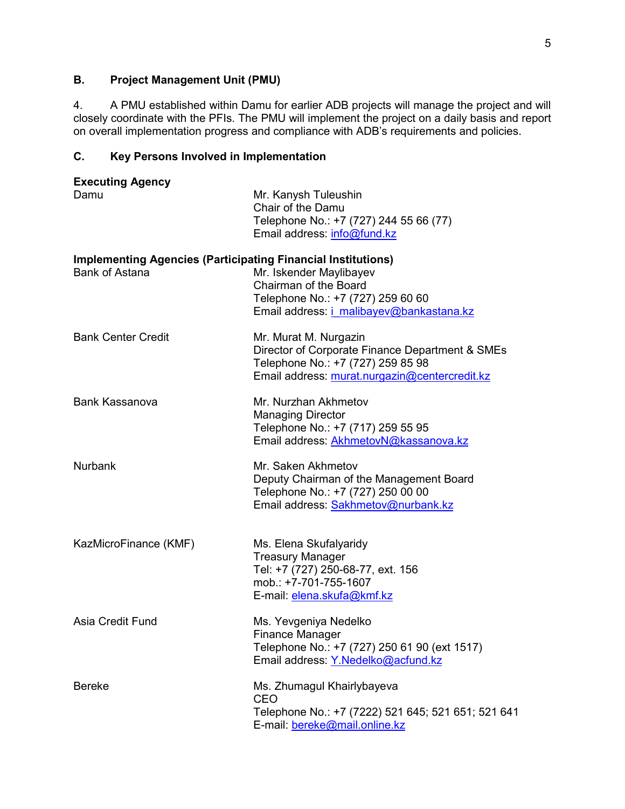### **B. Project Management Unit (PMU)**

4. A PMU established within Damu for earlier ADB projects will manage the project and will closely coordinate with the PFIs. The PMU will implement the project on a daily basis and report on overall implementation progress and compliance with ADB's requirements and policies.

# **C. Key Persons Involved in Implementation**

| <b>Executing Agency</b><br>Damu                                                              | Mr. Kanysh Tuleushin<br>Chair of the Damu<br>Telephone No.: +7 (727) 244 55 66 (77)<br>Email address: info@fund.kz                                             |
|----------------------------------------------------------------------------------------------|----------------------------------------------------------------------------------------------------------------------------------------------------------------|
| <b>Implementing Agencies (Participating Financial Institutions)</b><br><b>Bank of Astana</b> | Mr. Iskender Maylibayev<br>Chairman of the Board<br>Telephone No.: +7 (727) 259 60 60<br>Email address: <i>i_malibayev@bankastana.kz</i>                       |
| <b>Bank Center Credit</b>                                                                    | Mr. Murat M. Nurgazin<br>Director of Corporate Finance Department & SMEs<br>Telephone No.: +7 (727) 259 85 98<br>Email address: murat.nurgazin@centercredit.kz |
| <b>Bank Kassanova</b>                                                                        | Mr. Nurzhan Akhmetov<br><b>Managing Director</b><br>Telephone No.: +7 (717) 259 55 95<br>Email address: AkhmetovN@kassanova.kz                                 |
| <b>Nurbank</b>                                                                               | Mr. Saken Akhmetov<br>Deputy Chairman of the Management Board<br>Telephone No.: +7 (727) 250 00 00<br>Email address: Sakhmetov@nurbank.kz                      |
| KazMicroFinance (KMF)                                                                        | Ms. Elena Skufalyaridy<br><b>Treasury Manager</b><br>Tel: +7 (727) 250-68-77, ext. 156<br>mob.: +7-701-755-1607<br>E-mail: elena.skufa@kmf.kz                  |
| Asia Credit Fund                                                                             | Ms. Yevgeniya Nedelko<br>Finance Manager<br>Telephone No.: +7 (727) 250 61 90 (ext 1517)<br>Email address: Y.Nedelko@acfund.kz                                 |
| <b>Bereke</b>                                                                                | Ms. Zhumagul Khairlybayeva<br>CEO<br>Telephone No.: +7 (7222) 521 645; 521 651; 521 641<br>E-mail: bereke@mail.online.kz                                       |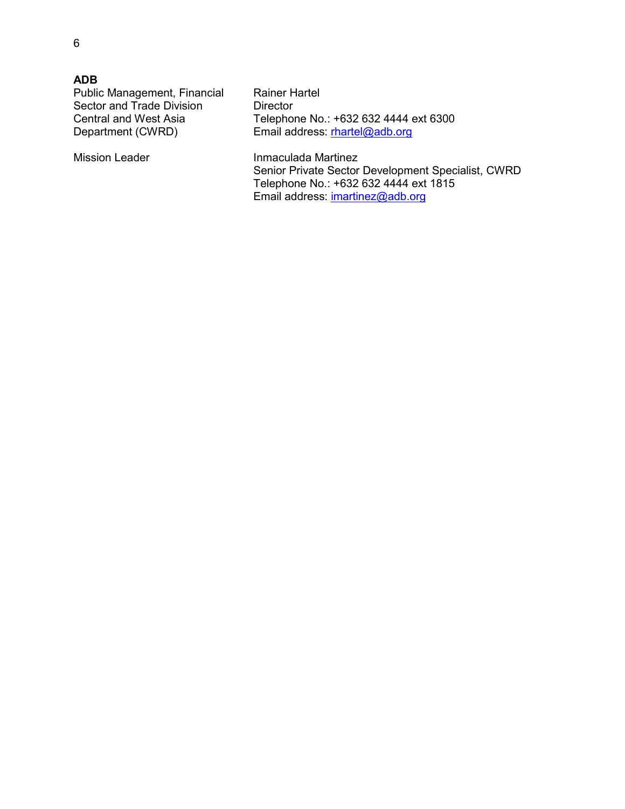| <b>ADB</b>                   |                                       |
|------------------------------|---------------------------------------|
| Public Management, Financial | <b>Rainer Hartel</b>                  |
| Sector and Trade Division    | Director                              |
| <b>Central and West Asia</b> | Telephone No.: +632 632 4444 ext 6300 |
| Department (CWRD)            | Email address: rhartel@adb.org        |
| <b>Mission Leader</b>        | Inmaculada Martinez                   |

Senior Private Sector Development Specialist, CWRD Telephone No.: +632 632 4444 ext 1815 Email address: **imartinez@adb.org**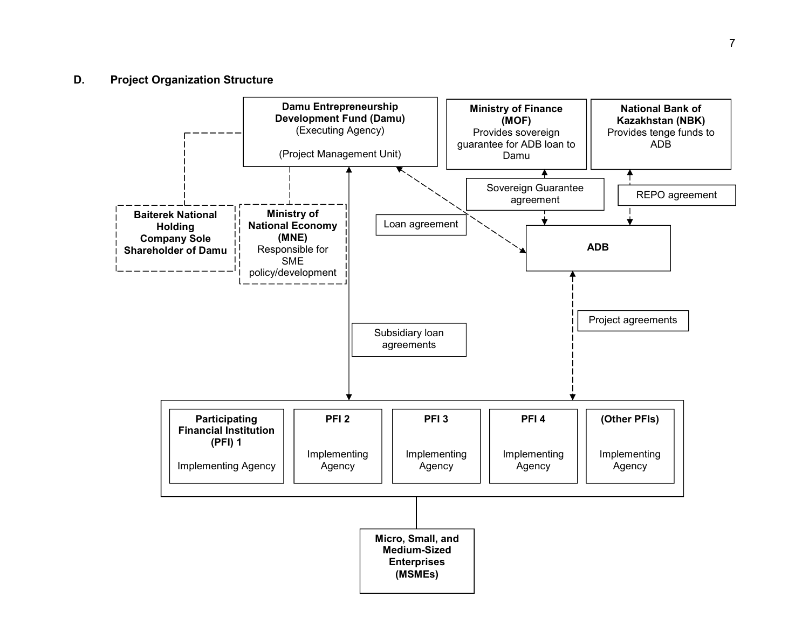### **D. Project Organization Structure**

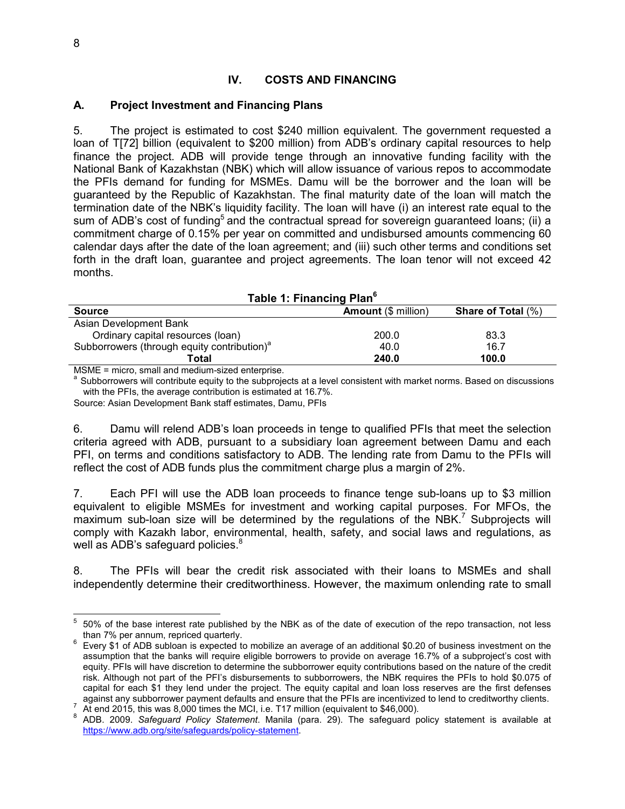### **IV. COSTS AND FINANCING**

### **A. Project Investment and Financing Plans**

5. The project is estimated to cost \$240 million equivalent. The government requested a loan of T[72] billion (equivalent to \$200 million) from ADB's ordinary capital resources to help finance the project. ADB will provide tenge through an innovative funding facility with the National Bank of Kazakhstan (NBK) which will allow issuance of various repos to accommodate the PFIs demand for funding for MSMEs. Damu will be the borrower and the loan will be guaranteed by the Republic of Kazakhstan. The final maturity date of the loan will match the termination date of the NBK's liquidity facility. The loan will have (i) an interest rate equal to the sum of ADB's cost of funding<sup>5</sup> and the contractual spread for sovereign quaranteed loans: (ii) a commitment charge of 0.15% per year on committed and undisbursed amounts commencing 60 calendar days after the date of the loan agreement; and (iii) such other terms and conditions set forth in the draft loan, guarantee and project agreements. The loan tenor will not exceed 42 months.

| TANIC T. FINANCING FIAM                                 |                            |                           |  |  |  |  |  |  |
|---------------------------------------------------------|----------------------------|---------------------------|--|--|--|--|--|--|
| <b>Source</b>                                           | <b>Amount</b> (\$ million) | <b>Share of Total (%)</b> |  |  |  |  |  |  |
| Asian Development Bank                                  |                            |                           |  |  |  |  |  |  |
| Ordinary capital resources (loan)                       | 200.0                      | 83.3                      |  |  |  |  |  |  |
| Subborrowers (through equity contribution) <sup>a</sup> | 40.0                       | 16.7                      |  |  |  |  |  |  |
| Total                                                   | 240.0                      | 100.0                     |  |  |  |  |  |  |

| Table 1: Financing Plan <sup>6</sup> |  |  |  |
|--------------------------------------|--|--|--|
|--------------------------------------|--|--|--|

MSME = micro, small and medium-sized enterprise.

<sup>a</sup> Subborrowers will contribute equity to the subprojects at a level consistent with market norms. Based on discussions with the PFIs, the average contribution is estimated at 16.7%.

Source: Asian Development Bank staff estimates, Damu, PFIs

6. Damu will relend ADB's loan proceeds in tenge to qualified PFIs that meet the selection criteria agreed with ADB, pursuant to a subsidiary loan agreement between Damu and each PFI, on terms and conditions satisfactory to ADB. The lending rate from Damu to the PFIs will reflect the cost of ADB funds plus the commitment charge plus a margin of 2%.

7. Each PFI will use the ADB loan proceeds to finance tenge sub-loans up to \$3 million equivalent to eligible MSMEs for investment and working capital purposes. For MFOs, the maximum sub-loan size will be determined by the regulations of the NBK.<sup>7</sup> Subprojects will comply with Kazakh labor, environmental, health, safety, and social laws and regulations, as well as ADB's safeguard policies. $8$ 

8. The PFIs will bear the credit risk associated with their loans to MSMEs and shall independently determine their creditworthiness. However, the maximum onlending rate to small

<sup>–&</sup>lt;br>5 50% of the base interest rate published by the NBK as of the date of execution of the repo transaction, not less than 7% per annum, repriced quarterly.

 $6$  Every \$1 of ADB subloan is expected to mobilize an average of an additional \$0.20 of business investment on the assumption that the banks will require eligible borrowers to provide on average 16.7% of a subproject's cost with equity. PFIs will have discretion to determine the subborrower equity contributions based on the nature of the credit risk. Although not part of the PFI's disbursements to subborrowers, the NBK requires the PFIs to hold \$0.075 of capital for each \$1 they lend under the project. The equity capital and loan loss reserves are the first defenses against any subborrower payment defaults and ensure that the PFIs are incentivized to lend to creditworthy clients.

<sup>7</sup> At end 2015, this was 8,000 times the MCI, i.e. T17 million (equivalent to \$46,000).

<sup>8</sup> ADB. 2009. *Safeguard Policy Statement*. Manila (para. 29). The safeguard policy statement is available at https://www.adb.org/site/safeguards/policy-statement.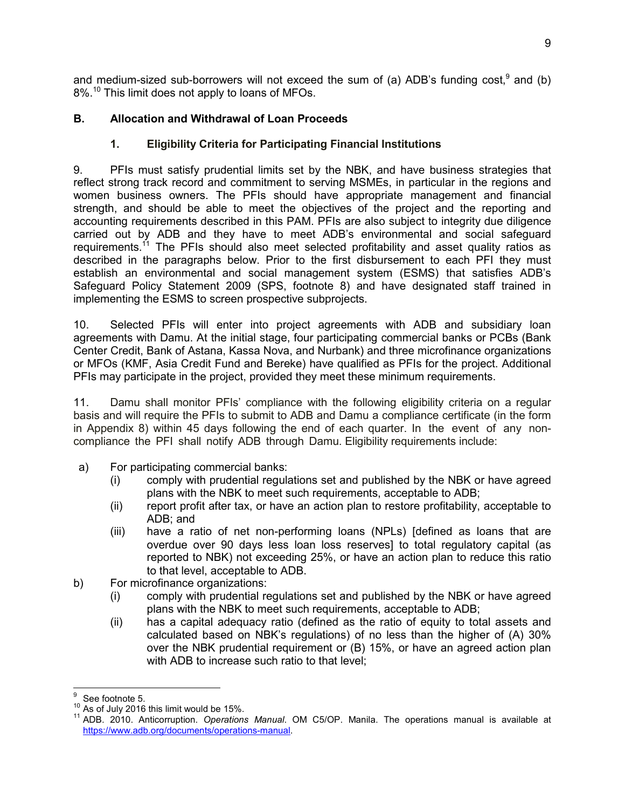and medium-sized sub-borrowers will not exceed the sum of (a) ADB's funding cost,  $9$  and (b) 8%.<sup>10</sup> This limit does not apply to loans of MFOs.

# **B. Allocation and Withdrawal of Loan Proceeds**

# **1. Eligibility Criteria for Participating Financial Institutions**

9. PFIs must satisfy prudential limits set by the NBK, and have business strategies that reflect strong track record and commitment to serving MSMEs, in particular in the regions and women business owners. The PFIs should have appropriate management and financial strength, and should be able to meet the objectives of the project and the reporting and accounting requirements described in this PAM. PFIs are also subject to integrity due diligence carried out by ADB and they have to meet ADB's environmental and social safeguard requirements.<sup>11</sup> The PFIs should also meet selected profitability and asset quality ratios as described in the paragraphs below. Prior to the first disbursement to each PFI they must establish an environmental and social management system (ESMS) that satisfies ADB's Safeguard Policy Statement 2009 (SPS, footnote 8) and have designated staff trained in implementing the ESMS to screen prospective subprojects.

10. Selected PFIs will enter into project agreements with ADB and subsidiary loan agreements with Damu. At the initial stage, four participating commercial banks or PCBs (Bank Center Credit, Bank of Astana, Kassa Nova, and Nurbank) and three microfinance organizations or MFOs (KMF, Asia Credit Fund and Bereke) have qualified as PFIs for the project. Additional PFIs may participate in the project, provided they meet these minimum requirements.

11. Damu shall monitor PFIs' compliance with the following eligibility criteria on a regular basis and will require the PFIs to submit to ADB and Damu a compliance certificate (in the form in Appendix 8) within 45 days following the end of each quarter. In the event of any noncompliance the PFI shall notify ADB through Damu. Eligibility requirements include:

- a) For participating commercial banks:
	- (i) comply with prudential regulations set and published by the NBK or have agreed plans with the NBK to meet such requirements, acceptable to ADB;
	- (ii) report profit after tax, or have an action plan to restore profitability, acceptable to ADB; and
	- (iii) have a ratio of net non-performing loans (NPLs) [defined as loans that are overdue over 90 days less loan loss reserves] to total regulatory capital (as reported to NBK) not exceeding 25%, or have an action plan to reduce this ratio to that level, acceptable to ADB.
- b) For microfinance organizations:
	- (i) comply with prudential regulations set and published by the NBK or have agreed plans with the NBK to meet such requirements, acceptable to ADB;
	- (ii) has a capital adequacy ratio (defined as the ratio of equity to total assets and calculated based on NBK's regulations) of no less than the higher of (A) 30% over the NBK prudential requirement or (B) 15%, or have an agreed action plan with ADB to increase such ratio to that level;

 $\overline{a}$ 9 See footnote 5.

<sup>10</sup> As of July 2016 this limit would be 15%.

<sup>11</sup> ADB. 2010. Anticorruption. *Operations Manual*. OM C5/OP. Manila. The operations manual is available at https://www.adb.org/documents/operations-manual.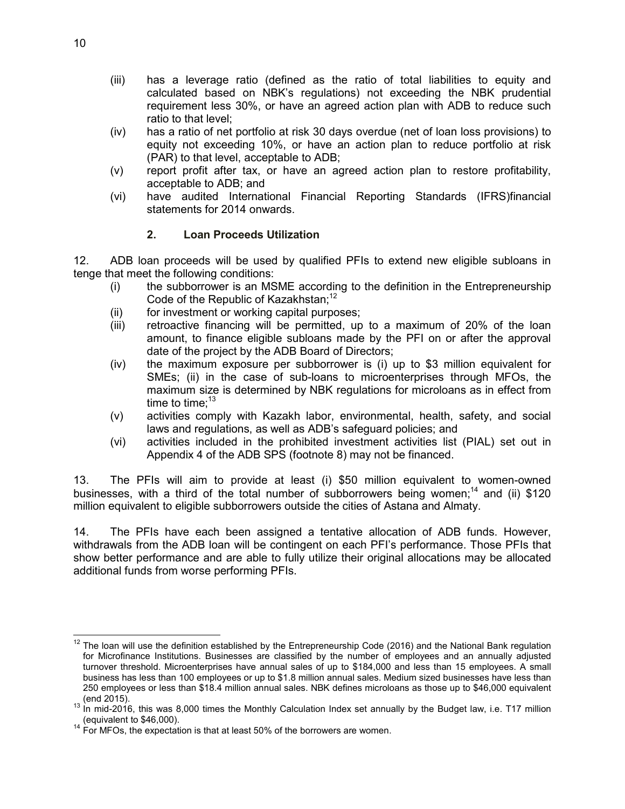- (iii) has a leverage ratio (defined as the ratio of total liabilities to equity and calculated based on NBK's regulations) not exceeding the NBK prudential requirement less 30%, or have an agreed action plan with ADB to reduce such ratio to that level;
- (iv) has a ratio of net portfolio at risk 30 days overdue (net of loan loss provisions) to equity not exceeding 10%, or have an action plan to reduce portfolio at risk (PAR) to that level, acceptable to ADB;
- (v) report profit after tax, or have an agreed action plan to restore profitability, acceptable to ADB; and
- (vi) have audited International Financial Reporting Standards (IFRS)financial statements for 2014 onwards.

### **2. Loan Proceeds Utilization**

12. ADB loan proceeds will be used by qualified PFIs to extend new eligible subloans in tenge that meet the following conditions:

- (i) the subborrower is an MSME according to the definition in the Entrepreneurship Code of the Republic of Kazakhstan:<sup>12</sup>
- (ii) for investment or working capital purposes;
- (iii) retroactive financing will be permitted, up to a maximum of 20% of the loan amount, to finance eligible subloans made by the PFI on or after the approval date of the project by the ADB Board of Directors;
- (iv) the maximum exposure per subborrower is (i) up to \$3 million equivalent for SMEs; (ii) in the case of sub-loans to microenterprises through MFOs, the maximum size is determined by NBK regulations for microloans as in effect from time to time: $13$
- (v) activities comply with Kazakh labor, environmental, health, safety, and social laws and regulations, as well as ADB's safeguard policies; and
- (vi) activities included in the prohibited investment activities list (PIAL) set out in Appendix 4 of the ADB SPS (footnote 8) may not be financed.

13. The PFIs will aim to provide at least (i) \$50 million equivalent to women-owned businesses, with a third of the total number of subborrowers being women;<sup>14</sup> and (ii) \$120 million equivalent to eligible subborrowers outside the cities of Astana and Almaty.

14. The PFIs have each been assigned a tentative allocation of ADB funds. However, withdrawals from the ADB loan will be contingent on each PFI's performance. Those PFIs that show better performance and are able to fully utilize their original allocations may be allocated additional funds from worse performing PFIs.

 $\overline{a}$  $12$  The loan will use the definition established by the Entrepreneurship Code (2016) and the National Bank regulation for Microfinance Institutions. Businesses are classified by the number of employees and an annually adjusted turnover threshold. Microenterprises have annual sales of up to \$184,000 and less than 15 employees. A small business has less than 100 employees or up to \$1.8 million annual sales. Medium sized businesses have less than 250 employees or less than \$18.4 million annual sales. NBK defines microloans as those up to \$46,000 equivalent (end 2015).

 $13$  In mid-2016, this was 8,000 times the Monthly Calculation Index set annually by the Budget law, i.e. T17 million (equivalent to \$46,000).

 $14$  For MFOs, the expectation is that at least 50% of the borrowers are women.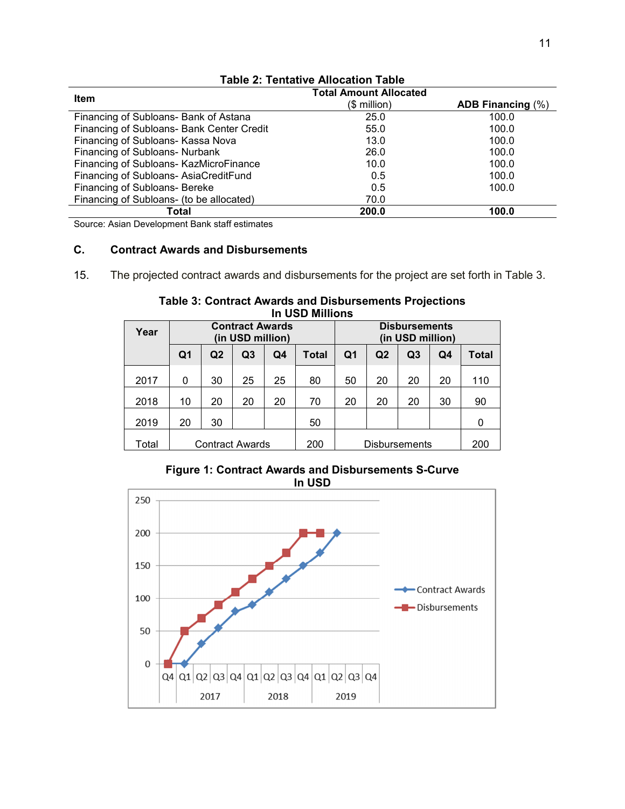| <b>Item</b>                               | <b>Total Amount Allocated</b> |                          |
|-------------------------------------------|-------------------------------|--------------------------|
|                                           | $$$ million)                  | <b>ADB Financing (%)</b> |
| Financing of Subloans- Bank of Astana     | 25.0                          | 100.0                    |
| Financing of Subloans- Bank Center Credit | 55.0                          | 100.0                    |
| Financing of Subloans- Kassa Nova         | 13.0                          | 100.0                    |
| Financing of Subloans- Nurbank            | 26.0                          | 100.0                    |
| Financing of Subloans- KazMicroFinance    | 10.0                          | 100.0                    |
| Financing of Subloans- AsiaCreditFund     | 0.5                           | 100.0                    |
| Financing of Subloans- Bereke             | 0.5                           | 100.0                    |
| Financing of Subloans- (to be allocated)  | 70.0                          |                          |
| Total                                     | 200.0                         | 100.0                    |

### **Table 2: Tentative Allocation Table**

Source: Asian Development Bank staff estimates

### **C. Contract Awards and Disbursements**

15. The projected contract awards and disbursements for the project are set forth in Table 3.

| Year  | <b>Contract Awards</b><br>(in USD million) |                |    |     |       | <b>Disbursements</b><br>(in USD million) |                      |                |     |       |
|-------|--------------------------------------------|----------------|----|-----|-------|------------------------------------------|----------------------|----------------|-----|-------|
|       | Q1                                         | Q <sub>2</sub> | Q3 | Q4  | Total | Q1                                       | Q2                   | Q <sub>3</sub> | Q4  | Total |
| 2017  | 0                                          | 30             | 25 | 25  | 80    | 50                                       | 20                   | 20             | 20  | 110   |
| 2018  | 10                                         | 20             | 20 | 20  | 70    | 20                                       | 20                   | 20             | 30  | 90    |
| 2019  | 20                                         | 30             |    |     | 50    |                                          |                      |                |     | 0     |
| Total | <b>Contract Awards</b>                     |                |    | 200 |       |                                          | <b>Disbursements</b> |                | 200 |       |

**Table 3: Contract Awards and Disbursements Projections In USD Millions** 

### **Figure 1: Contract Awards and Disbursements S-Curve In USD**

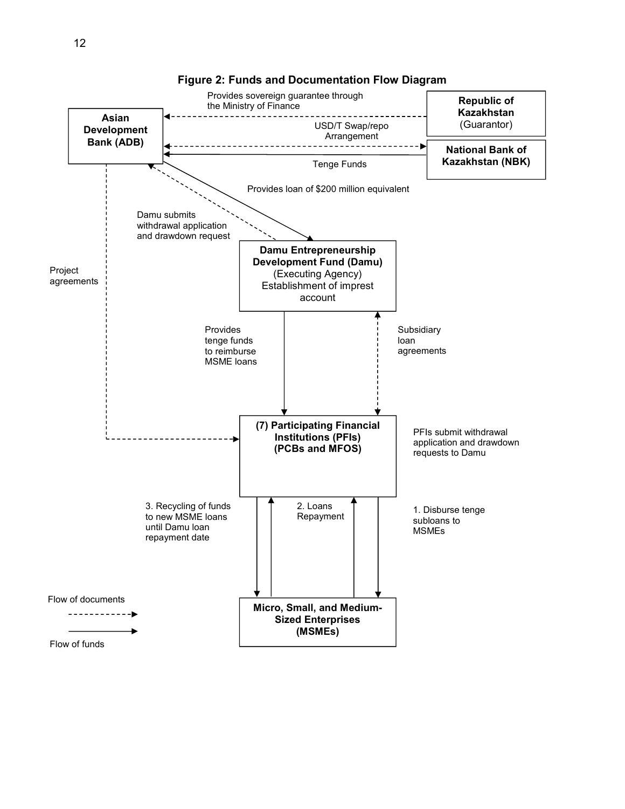

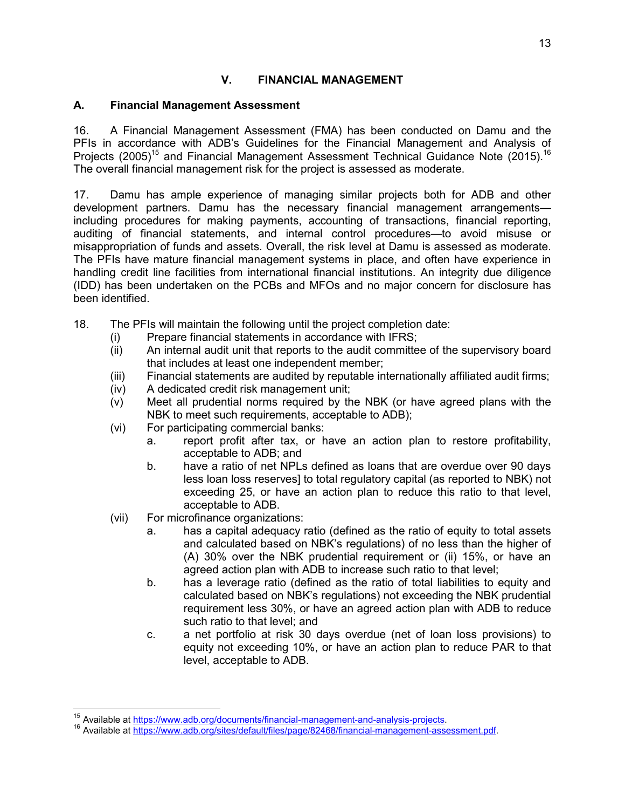# **V. FINANCIAL MANAGEMENT**

### **A. Financial Management Assessment**

16. A Financial Management Assessment (FMA) has been conducted on Damu and the PFIs in accordance with ADB's Guidelines for the Financial Management and Analysis of Projects (2005)<sup>15</sup> and Financial Management Assessment Technical Guidance Note (2015).<sup>16</sup> The overall financial management risk for the project is assessed as moderate.

17. Damu has ample experience of managing similar projects both for ADB and other development partners. Damu has the necessary financial management arrangementsincluding procedures for making payments, accounting of transactions, financial reporting, auditing of financial statements, and internal control procedures—to avoid misuse or misappropriation of funds and assets. Overall, the risk level at Damu is assessed as moderate. The PFIs have mature financial management systems in place, and often have experience in handling credit line facilities from international financial institutions. An integrity due diligence (IDD) has been undertaken on the PCBs and MFOs and no major concern for disclosure has been identified.

- 18. The PFIs will maintain the following until the project completion date:
	- (i) Prepare financial statements in accordance with IFRS;
	- (ii) An internal audit unit that reports to the audit committee of the supervisory board that includes at least one independent member;
	- (iii) Financial statements are audited by reputable internationally affiliated audit firms;
	- (iv) A dedicated credit risk management unit;
	- (v) Meet all prudential norms required by the NBK (or have agreed plans with the NBK to meet such requirements, acceptable to ADB);
	- (vi) For participating commercial banks:
		- a. report profit after tax, or have an action plan to restore profitability, acceptable to ADB; and
		- b. have a ratio of net NPLs defined as loans that are overdue over 90 days less loan loss reserves] to total regulatory capital (as reported to NBK) not exceeding 25, or have an action plan to reduce this ratio to that level, acceptable to ADB.
	- (vii) For microfinance organizations:

 $\overline{1}$ 

- a. has a capital adequacy ratio (defined as the ratio of equity to total assets and calculated based on NBK's regulations) of no less than the higher of (A) 30% over the NBK prudential requirement or (ii) 15%, or have an agreed action plan with ADB to increase such ratio to that level;
- b. has a leverage ratio (defined as the ratio of total liabilities to equity and calculated based on NBK's regulations) not exceeding the NBK prudential requirement less 30%, or have an agreed action plan with ADB to reduce such ratio to that level; and
- c. a net portfolio at risk 30 days overdue (net of loan loss provisions) to equity not exceeding 10%, or have an action plan to reduce PAR to that level, acceptable to ADB.

<sup>&</sup>lt;sup>15</sup> Available at https://www.adb.org/documents/financial-management-and-analysis-projects.

<sup>&</sup>lt;sup>16</sup> Available at https://www.adb.org/sites/default/files/page/82468/financial-management-assessment.pdf.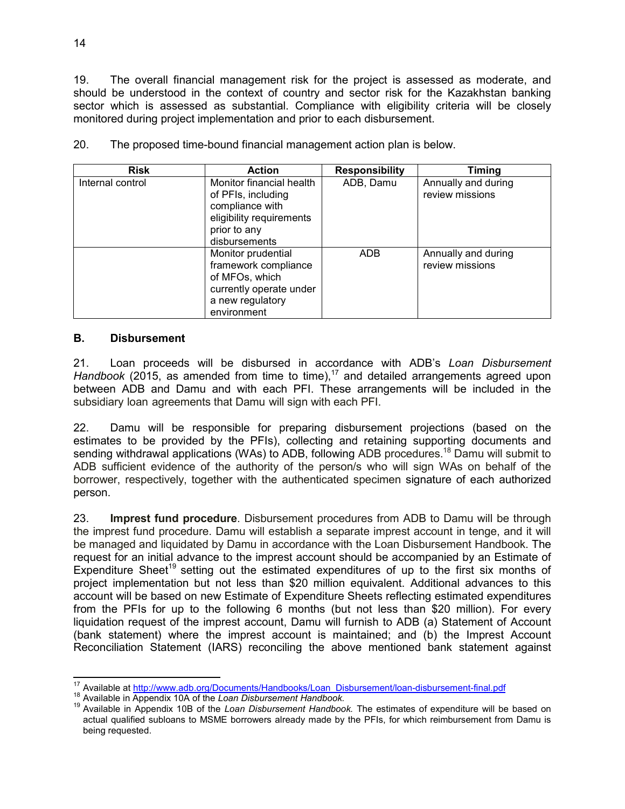19. The overall financial management risk for the project is assessed as moderate, and should be understood in the context of country and sector risk for the Kazakhstan banking sector which is assessed as substantial. Compliance with eligibility criteria will be closely monitored during project implementation and prior to each disbursement.

| <b>Risk</b>      | <b>Action</b>                                                                                                                  | <b>Responsibility</b> | Timing                                 |
|------------------|--------------------------------------------------------------------------------------------------------------------------------|-----------------------|----------------------------------------|
| Internal control | Monitor financial health<br>of PFIs, including<br>compliance with<br>eligibility requirements<br>prior to any<br>disbursements | ADB, Damu             | Annually and during<br>review missions |
|                  | Monitor prudential<br>framework compliance<br>of MFOs, which<br>currently operate under<br>a new regulatory<br>environment     | <b>ADB</b>            | Annually and during<br>review missions |

20. The proposed time-bound financial management action plan is below.

### **B. Disbursement**

21. Loan proceeds will be disbursed in accordance with ADB's *Loan Disbursement Handbook* (2015, as amended from time to time),<sup>17</sup> and detailed arrangements agreed upon between ADB and Damu and with each PFI. These arrangements will be included in the subsidiary loan agreements that Damu will sign with each PFI.

22. Damu will be responsible for preparing disbursement projections (based on the estimates to be provided by the PFIs), collecting and retaining supporting documents and sending withdrawal applications (WAs) to ADB, following ADB procedures.<sup>18</sup> Damu will submit to ADB sufficient evidence of the authority of the person/s who will sign WAs on behalf of the borrower, respectively, together with the authenticated specimen signature of each authorized person.

23. **Imprest fund procedure**. Disbursement procedures from ADB to Damu will be through the imprest fund procedure. Damu will establish a separate imprest account in tenge, and it will be managed and liquidated by Damu in accordance with the Loan Disbursement Handbook. The request for an initial advance to the imprest account should be accompanied by an Estimate of Expenditure Sheet<sup>19</sup> setting out the estimated expenditures of up to the first six months of project implementation but not less than \$20 million equivalent. Additional advances to this account will be based on new Estimate of Expenditure Sheets reflecting estimated expenditures from the PFIs for up to the following 6 months (but not less than \$20 million). For every liquidation request of the imprest account, Damu will furnish to ADB (a) Statement of Account (bank statement) where the imprest account is maintained; and (b) the Imprest Account Reconciliation Statement (IARS) reconciling the above mentioned bank statement against

 $\overline{1}$ <sup>17</sup> Available at http://www.adb.org/Documents/Handbooks/Loan\_Disbursement/loan-disbursement-final.pdf

<sup>18</sup> Available in Appendix 10A of the *Loan Disbursement Handbook.*

<sup>19</sup> Available in Appendix 10B of the *Loan Disbursement Handbook.* The estimates of expenditure will be based on actual qualified subloans to MSME borrowers already made by the PFIs, for which reimbursement from Damu is being requested.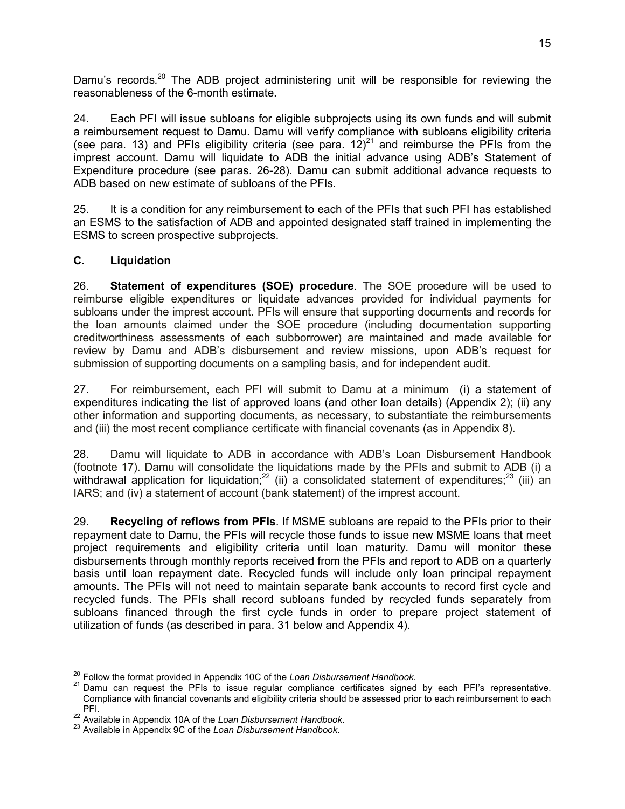Damu's records.<sup>20</sup> The ADB project administering unit will be responsible for reviewing the reasonableness of the 6-month estimate.

24. Each PFI will issue subloans for eligible subprojects using its own funds and will submit a reimbursement request to Damu. Damu will verify compliance with subloans eligibility criteria (see para. 13) and PFIs eligibility criteria (see para.  $12)^{21}$  and reimburse the PFIs from the imprest account. Damu will liquidate to ADB the initial advance using ADB's Statement of Expenditure procedure (see paras. 26-28). Damu can submit additional advance requests to ADB based on new estimate of subloans of the PFIs.

25. It is a condition for any reimbursement to each of the PFIs that such PFI has established an ESMS to the satisfaction of ADB and appointed designated staff trained in implementing the ESMS to screen prospective subprojects.

### **C. Liquidation**

26. **Statement of expenditures (SOE) procedure**. The SOE procedure will be used to reimburse eligible expenditures or liquidate advances provided for individual payments for subloans under the imprest account. PFIs will ensure that supporting documents and records for the loan amounts claimed under the SOE procedure (including documentation supporting creditworthiness assessments of each subborrower) are maintained and made available for review by Damu and ADB's disbursement and review missions, upon ADB's request for submission of supporting documents on a sampling basis, and for independent audit.

27. For reimbursement, each PFI will submit to Damu at a minimum (i) a statement of expenditures indicating the list of approved loans (and other loan details) (Appendix 2); (ii) any other information and supporting documents, as necessary, to substantiate the reimbursements and (iii) the most recent compliance certificate with financial covenants (as in Appendix 8).

28. Damu will liquidate to ADB in accordance with ADB's Loan Disbursement Handbook (footnote 17). Damu will consolidate the liquidations made by the PFIs and submit to ADB (i) a withdrawal application for liquidation;<sup>22</sup> (ii) a consolidated statement of expenditures;<sup>23</sup> (iii) an IARS; and (iv) a statement of account (bank statement) of the imprest account.

29. **Recycling of reflows from PFIs**. If MSME subloans are repaid to the PFIs prior to their repayment date to Damu, the PFIs will recycle those funds to issue new MSME loans that meet project requirements and eligibility criteria until loan maturity. Damu will monitor these disbursements through monthly reports received from the PFIs and report to ADB on a quarterly basis until loan repayment date. Recycled funds will include only loan principal repayment amounts. The PFIs will not need to maintain separate bank accounts to record first cycle and recycled funds. The PFIs shall record subloans funded by recycled funds separately from subloans financed through the first cycle funds in order to prepare project statement of utilization of funds (as described in para. 31 below and Appendix 4).

 $\overline{a}$ <sup>20</sup> Follow the format provided in Appendix 10C of the *Loan Disbursement Handbook.*

<sup>&</sup>lt;sup>21</sup> Damu can request the PFIs to issue regular compliance certificates signed by each PFI's representative. Compliance with financial covenants and eligibility criteria should be assessed prior to each reimbursement to each PFI.

<sup>22</sup> Available in Appendix 10A of the *Loan Disbursement Handbook*.

<sup>23</sup> Available in Appendix 9C of the *Loan Disbursement Handbook*.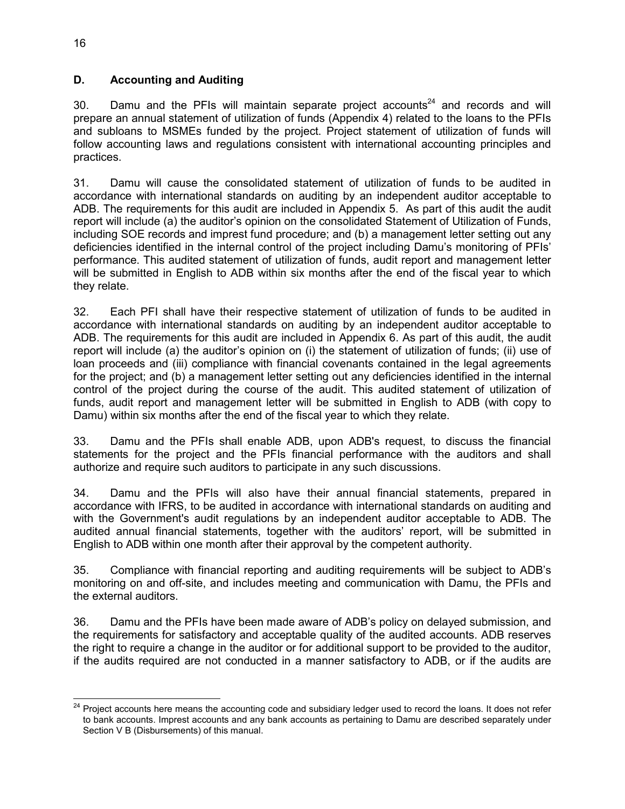### **D. Accounting and Auditing**

30. Damu and the PFIs will maintain separate project accounts<sup>24</sup> and records and will prepare an annual statement of utilization of funds (Appendix 4) related to the loans to the PFIs and subloans to MSMEs funded by the project. Project statement of utilization of funds will follow accounting laws and regulations consistent with international accounting principles and practices.

31. Damu will cause the consolidated statement of utilization of funds to be audited in accordance with international standards on auditing by an independent auditor acceptable to ADB. The requirements for this audit are included in Appendix 5. As part of this audit the audit report will include (a) the auditor's opinion on the consolidated Statement of Utilization of Funds, including SOE records and imprest fund procedure; and (b) a management letter setting out any deficiencies identified in the internal control of the project including Damu's monitoring of PFIs' performance. This audited statement of utilization of funds, audit report and management letter will be submitted in English to ADB within six months after the end of the fiscal year to which they relate.

32. Each PFI shall have their respective statement of utilization of funds to be audited in accordance with international standards on auditing by an independent auditor acceptable to ADB. The requirements for this audit are included in Appendix 6. As part of this audit, the audit report will include (a) the auditor's opinion on (i) the statement of utilization of funds; (ii) use of loan proceeds and (iii) compliance with financial covenants contained in the legal agreements for the project; and (b) a management letter setting out any deficiencies identified in the internal control of the project during the course of the audit. This audited statement of utilization of funds, audit report and management letter will be submitted in English to ADB (with copy to Damu) within six months after the end of the fiscal year to which they relate.

33. Damu and the PFIs shall enable ADB, upon ADB's request, to discuss the financial statements for the project and the PFIs financial performance with the auditors and shall authorize and require such auditors to participate in any such discussions.

34. Damu and the PFIs will also have their annual financial statements, prepared in accordance with IFRS, to be audited in accordance with international standards on auditing and with the Government's audit regulations by an independent auditor acceptable to ADB. The audited annual financial statements, together with the auditors' report, will be submitted in English to ADB within one month after their approval by the competent authority.

35. Compliance with financial reporting and auditing requirements will be subject to ADB's monitoring on and off-site, and includes meeting and communication with Damu, the PFIs and the external auditors.

36. Damu and the PFIs have been made aware of ADB's policy on delayed submission, and the requirements for satisfactory and acceptable quality of the audited accounts. ADB reserves the right to require a change in the auditor or for additional support to be provided to the auditor, if the audits required are not conducted in a manner satisfactory to ADB, or if the audits are

 $\overline{a}$ <sup>24</sup> Project accounts here means the accounting code and subsidiary ledger used to record the loans. It does not refer to bank accounts. Imprest accounts and any bank accounts as pertaining to Damu are described separately under Section V B (Disbursements) of this manual.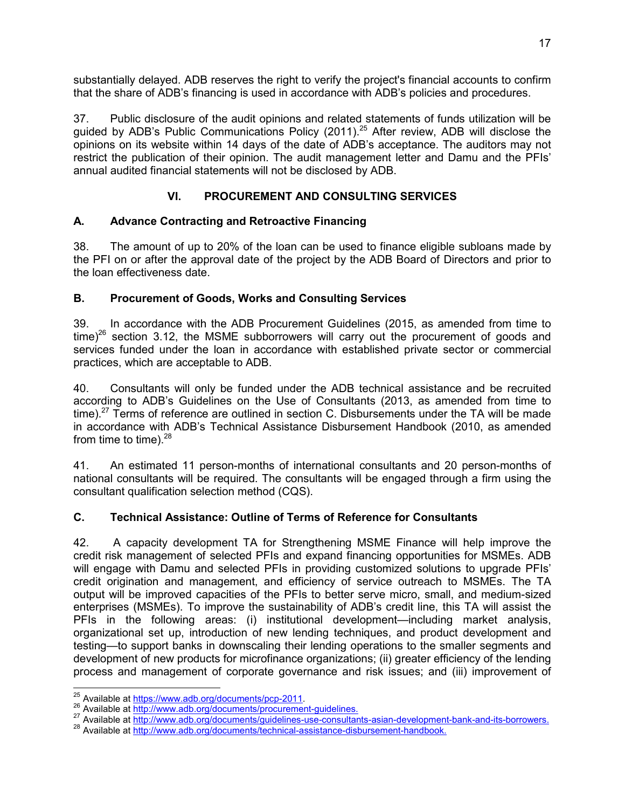substantially delayed. ADB reserves the right to verify the project's financial accounts to confirm that the share of ADB's financing is used in accordance with ADB's policies and procedures.

37. Public disclosure of the audit opinions and related statements of funds utilization will be guided by ADB's Public Communications Policy (2011).<sup>25</sup> After review, ADB will disclose the opinions on its website within 14 days of the date of ADB's acceptance. The auditors may not restrict the publication of their opinion. The audit management letter and Damu and the PFIs' annual audited financial statements will not be disclosed by ADB.

# **VI. PROCUREMENT AND CONSULTING SERVICES**

# **A. Advance Contracting and Retroactive Financing**

38. The amount of up to 20% of the loan can be used to finance eligible subloans made by the PFI on or after the approval date of the project by the ADB Board of Directors and prior to the loan effectiveness date.

# **B. Procurement of Goods, Works and Consulting Services**

39. In accordance with the ADB Procurement Guidelines (2015, as amended from time to time)<sup>26</sup> section 3.12, the MSME subborrowers will carry out the procurement of goods and services funded under the loan in accordance with established private sector or commercial practices, which are acceptable to ADB.

40. Consultants will only be funded under the ADB technical assistance and be recruited according to ADB's Guidelines on the Use of Consultants (2013, as amended from time to time).<sup>27</sup> Terms of reference are outlined in section C. Disbursements under the TA will be made in accordance with ADB's Technical Assistance Disbursement Handbook (2010, as amended from time to time). $28$ 

41. An estimated 11 person-months of international consultants and 20 person-months of national consultants will be required. The consultants will be engaged through a firm using the consultant qualification selection method (CQS).

# **C. Technical Assistance: Outline of Terms of Reference for Consultants**

42. A capacity development TA for Strengthening MSME Finance will help improve the credit risk management of selected PFIs and expand financing opportunities for MSMEs. ADB will engage with Damu and selected PFIs in providing customized solutions to upgrade PFIs' credit origination and management, and efficiency of service outreach to MSMEs. The TA output will be improved capacities of the PFIs to better serve micro, small, and medium-sized enterprises (MSMEs). To improve the sustainability of ADB's credit line, this TA will assist the PFIs in the following areas: (i) institutional development—including market analysis, organizational set up, introduction of new lending techniques, and product development and testing—to support banks in downscaling their lending operations to the smaller segments and development of new products for microfinance organizations; (ii) greater efficiency of the lending process and management of corporate governance and risk issues; and (iii) improvement of

 $\overline{a}$  $^{25}$  Available at https://www.adb.org/documents/pcp-2011.

<sup>26</sup> Available at http://www.adb.org/documents/procurement-guidelines.

<sup>&</sup>lt;sup>27</sup> Available at http://www.adb.org/documents/guidelines-use-consultants-asian-development-bank-and-its-borrowers.

<sup>&</sup>lt;sup>28</sup> Available at http://www.adb.org/documents/technical-assistance-disbursement-handbook.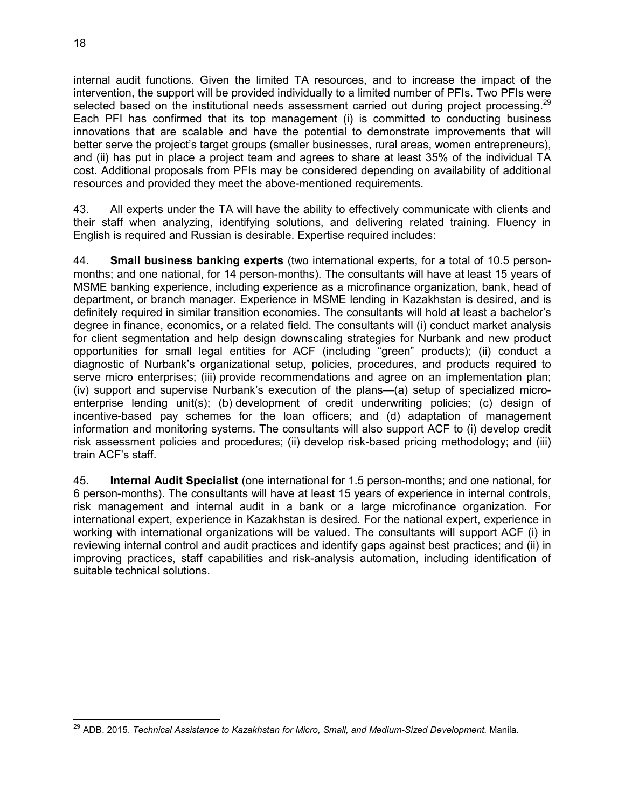internal audit functions. Given the limited TA resources, and to increase the impact of the intervention, the support will be provided individually to a limited number of PFIs. Two PFIs were selected based on the institutional needs assessment carried out during project processing.<sup>29</sup> Each PFI has confirmed that its top management (i) is committed to conducting business innovations that are scalable and have the potential to demonstrate improvements that will better serve the project's target groups (smaller businesses, rural areas, women entrepreneurs), and (ii) has put in place a project team and agrees to share at least 35% of the individual TA cost. Additional proposals from PFIs may be considered depending on availability of additional resources and provided they meet the above-mentioned requirements.

43. All experts under the TA will have the ability to effectively communicate with clients and their staff when analyzing, identifying solutions, and delivering related training. Fluency in English is required and Russian is desirable. Expertise required includes:

44. **Small business banking experts** (two international experts, for a total of 10.5 personmonths; and one national, for 14 person-months). The consultants will have at least 15 years of MSME banking experience, including experience as a microfinance organization, bank, head of department, or branch manager. Experience in MSME lending in Kazakhstan is desired, and is definitely required in similar transition economies. The consultants will hold at least a bachelor's degree in finance, economics, or a related field. The consultants will (i) conduct market analysis for client segmentation and help design downscaling strategies for Nurbank and new product opportunities for small legal entities for ACF (including "green" products); (ii) conduct a diagnostic of Nurbank's organizational setup, policies, procedures, and products required to serve micro enterprises; (iii) provide recommendations and agree on an implementation plan; (iv) support and supervise Nurbank's execution of the plans—(a) setup of specialized microenterprise lending unit(s); (b) development of credit underwriting policies; (c) design of incentive-based pay schemes for the loan officers; and (d) adaptation of management information and monitoring systems. The consultants will also support ACF to (i) develop credit risk assessment policies and procedures; (ii) develop risk-based pricing methodology; and (iii) train ACF's staff.

45. **Internal Audit Specialist** (one international for 1.5 person-months; and one national, for 6 person-months). The consultants will have at least 15 years of experience in internal controls, risk management and internal audit in a bank or a large microfinance organization. For international expert, experience in Kazakhstan is desired. For the national expert, experience in working with international organizations will be valued. The consultants will support ACF (i) in reviewing internal control and audit practices and identify gaps against best practices; and (ii) in improving practices, staff capabilities and risk-analysis automation, including identification of suitable technical solutions.

 $\overline{a}$ <sup>29</sup> ADB. 2015. *Technical Assistance to Kazakhstan for Micro, Small, and Medium-Sized Development. Manila.*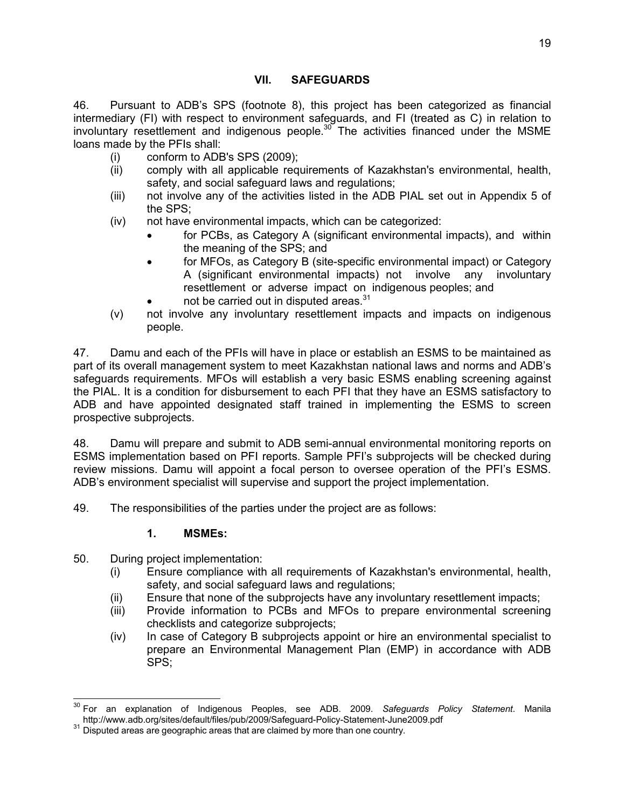# **VII. SAFEGUARDS**

46. Pursuant to ADB's SPS (footnote 8), this project has been categorized as financial intermediary (FI) with respect to environment safeguards, and FI (treated as C) in relation to involuntary resettlement and indigenous people. $30^{\circ}$  The activities financed under the MSME loans made by the PFIs shall:

- (i) conform to ADB's SPS (2009);
- (ii) comply with all applicable requirements of Kazakhstan's environmental, health, safety, and social safeguard laws and regulations;
- (iii) not involve any of the activities listed in the ADB PIAL set out in Appendix 5 of the SPS;
- (iv) not have environmental impacts, which can be categorized:
	- for PCBs, as Category A (significant environmental impacts), and within the meaning of the SPS; and
	- for MFOs, as Category B (site-specific environmental impact) or Category A (significant environmental impacts) not involve any involuntary resettlement or adverse impact on indigenous peoples; and
	- not be carried out in disputed areas.<sup>31</sup>
- (v) not involve any involuntary resettlement impacts and impacts on indigenous people.

47. Damu and each of the PFIs will have in place or establish an ESMS to be maintained as part of its overall management system to meet Kazakhstan national laws and norms and ADB's safeguards requirements. MFOs will establish a very basic ESMS enabling screening against the PIAL. It is a condition for disbursement to each PFI that they have an ESMS satisfactory to ADB and have appointed designated staff trained in implementing the ESMS to screen prospective subprojects.

48. Damu will prepare and submit to ADB semi-annual environmental monitoring reports on ESMS implementation based on PFI reports. Sample PFI's subprojects will be checked during review missions. Damu will appoint a focal person to oversee operation of the PFI's ESMS. ADB's environment specialist will supervise and support the project implementation.

49. The responsibilities of the parties under the project are as follows:

# **1. MSMEs:**

- 50. During project implementation:
	- (i) Ensure compliance with all requirements of Kazakhstan's environmental, health, safety, and social safeguard laws and regulations;
	- (ii) Ensure that none of the subprojects have any involuntary resettlement impacts;
	- (iii) Provide information to PCBs and MFOs to prepare environmental screening checklists and categorize subprojects;
	- (iv) In case of Category B subprojects appoint or hire an environmental specialist to prepare an Environmental Management Plan (EMP) in accordance with ADB SPS;

 $\overline{a}$ <sup>30</sup> For an explanation of Indigenous Peoples, see ADB. 2009. *Safeguards Policy Statement*. Manila http://www.adb.org/sites/default/files/pub/2009/Safeguard-Policy-Statement-June2009.pdf

<sup>&</sup>lt;sup>31</sup> Disputed areas are geographic areas that are claimed by more than one country.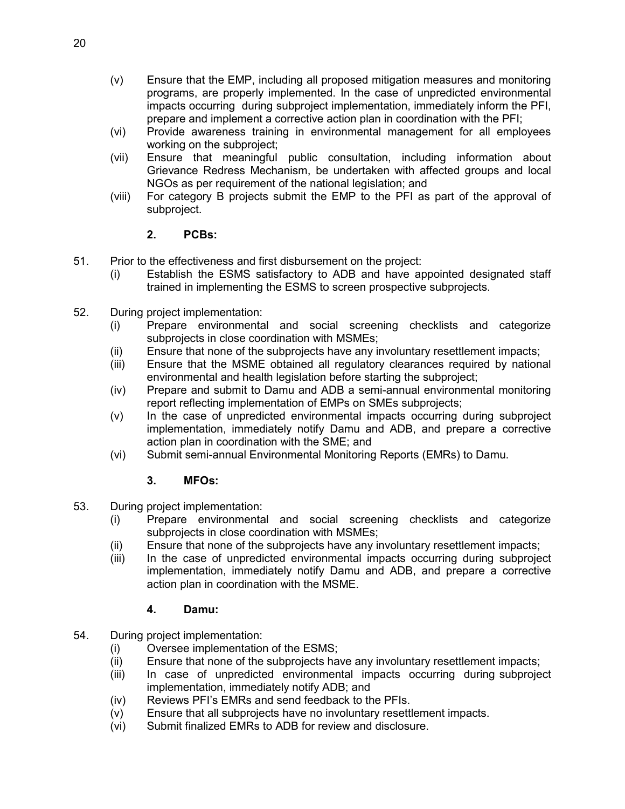- (v) Ensure that the EMP, including all proposed mitigation measures and monitoring programs, are properly implemented. In the case of unpredicted environmental impacts occurring during subproject implementation, immediately inform the PFI, prepare and implement a corrective action plan in coordination with the PFI;
- (vi) Provide awareness training in environmental management for all employees working on the subproject;
- (vii) Ensure that meaningful public consultation, including information about Grievance Redress Mechanism, be undertaken with affected groups and local NGOs as per requirement of the national legislation; and
- (viii) For category B projects submit the EMP to the PFI as part of the approval of subproject.

# **2. PCBs:**

- 51. Prior to the effectiveness and first disbursement on the project:
	- (i) Establish the ESMS satisfactory to ADB and have appointed designated staff trained in implementing the ESMS to screen prospective subprojects.
- 52. During project implementation:
	- (i) Prepare environmental and social screening checklists and categorize subprojects in close coordination with MSMEs;
	- (ii) Ensure that none of the subprojects have any involuntary resettlement impacts;
	- (iii) Ensure that the MSME obtained all regulatory clearances required by national environmental and health legislation before starting the subproject;
	- (iv) Prepare and submit to Damu and ADB a semi-annual environmental monitoring report reflecting implementation of EMPs on SMEs subprojects;
	- (v) In the case of unpredicted environmental impacts occurring during subproject implementation, immediately notify Damu and ADB, and prepare a corrective action plan in coordination with the SME; and
	- (vi) Submit semi-annual Environmental Monitoring Reports (EMRs) to Damu.

# **3. MFOs:**

- 53. During project implementation:
	- (i) Prepare environmental and social screening checklists and categorize subprojects in close coordination with MSMEs;
	- (ii) Ensure that none of the subprojects have any involuntary resettlement impacts;
	- (iii) In the case of unpredicted environmental impacts occurring during subproject implementation, immediately notify Damu and ADB, and prepare a corrective action plan in coordination with the MSME.

# **4. Damu:**

- 54. During project implementation:
	- (i) Oversee implementation of the ESMS;
	- (ii) Ensure that none of the subprojects have any involuntary resettlement impacts;
	- (iii) In case of unpredicted environmental impacts occurring during subproject implementation, immediately notify ADB; and
	- (iv) Reviews PFI's EMRs and send feedback to the PFIs.
	- (v) Ensure that all subprojects have no involuntary resettlement impacts.
	- (vi) Submit finalized EMRs to ADB for review and disclosure.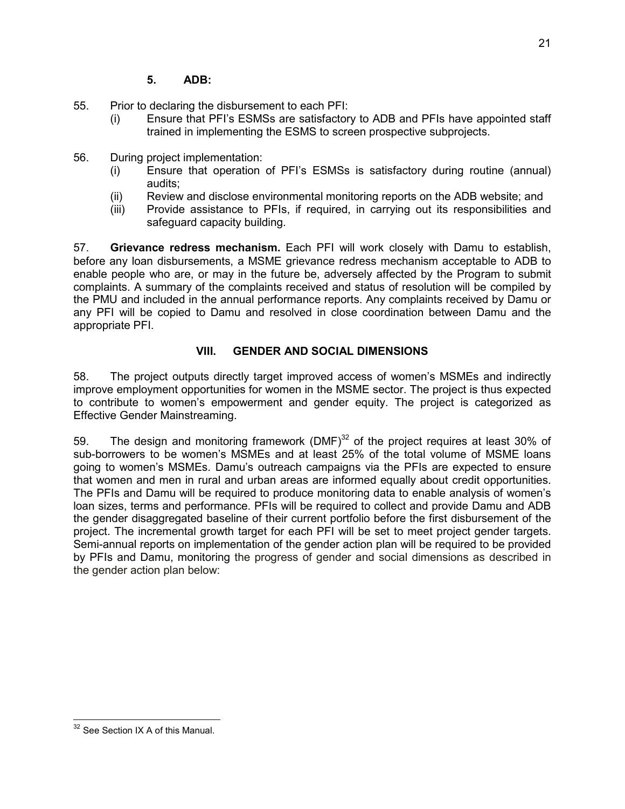- 55. Prior to declaring the disbursement to each PFI:
	- (i) Ensure that PFI's ESMSs are satisfactory to ADB and PFIs have appointed staff trained in implementing the ESMS to screen prospective subprojects.
- 56. During project implementation:
	- (i) Ensure that operation of PFI's ESMSs is satisfactory during routine (annual) audits;
	- (ii) Review and disclose environmental monitoring reports on the ADB website; and
	- (iii) Provide assistance to PFIs, if required, in carrying out its responsibilities and safeguard capacity building.

57. **Grievance redress mechanism.** Each PFI will work closely with Damu to establish, before any loan disbursements, a MSME grievance redress mechanism acceptable to ADB to enable people who are, or may in the future be, adversely affected by the Program to submit complaints. A summary of the complaints received and status of resolution will be compiled by the PMU and included in the annual performance reports. Any complaints received by Damu or any PFI will be copied to Damu and resolved in close coordination between Damu and the appropriate PFI.

# **VIII. GENDER AND SOCIAL DIMENSIONS**

58. The project outputs directly target improved access of women's MSMEs and indirectly improve employment opportunities for women in the MSME sector. The project is thus expected to contribute to women's empowerment and gender equity. The project is categorized as Effective Gender Mainstreaming.

59. The design and monitoring framework (DMF) $32$  of the project requires at least 30% of sub-borrowers to be women's MSMEs and at least 25% of the total volume of MSME loans going to women's MSMEs. Damu's outreach campaigns via the PFIs are expected to ensure that women and men in rural and urban areas are informed equally about credit opportunities. The PFIs and Damu will be required to produce monitoring data to enable analysis of women's loan sizes, terms and performance. PFIs will be required to collect and provide Damu and ADB the gender disaggregated baseline of their current portfolio before the first disbursement of the project. The incremental growth target for each PFI will be set to meet project gender targets. Semi-annual reports on implementation of the gender action plan will be required to be provided by PFIs and Damu, monitoring the progress of gender and social dimensions as described in the gender action plan below:

 <sup>32</sup> See Section IX A of this Manual.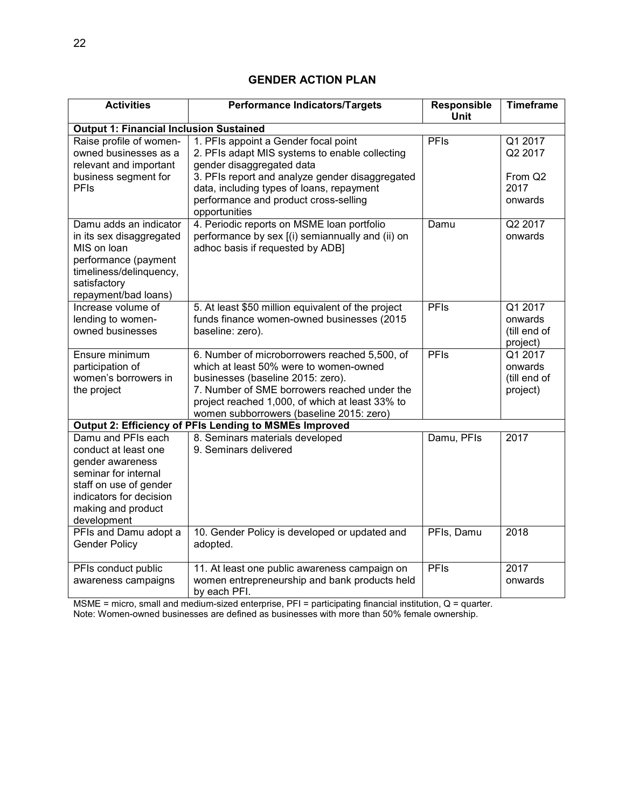# **GENDER ACTION PLAN**

| <b>Activities</b>                                                                                                                                                                | <b>Performance Indicators/Targets</b>                                                                                                                                                                                                                                         | Responsible<br><b>Unit</b> | <b>Timeframe</b>                                             |  |  |
|----------------------------------------------------------------------------------------------------------------------------------------------------------------------------------|-------------------------------------------------------------------------------------------------------------------------------------------------------------------------------------------------------------------------------------------------------------------------------|----------------------------|--------------------------------------------------------------|--|--|
| <b>Output 1: Financial Inclusion Sustained</b>                                                                                                                                   |                                                                                                                                                                                                                                                                               |                            |                                                              |  |  |
| Raise profile of women-<br>owned businesses as a<br>relevant and important<br>business segment for<br>PFIs                                                                       | 1. PFIs appoint a Gender focal point<br>2. PFIs adapt MIS systems to enable collecting<br>gender disaggregated data<br>3. PFIs report and analyze gender disaggregated<br>data, including types of loans, repayment<br>performance and product cross-selling<br>opportunities | <b>PFIs</b>                | Q1 2017<br>Q2 2017<br>From Q <sub>2</sub><br>2017<br>onwards |  |  |
| Damu adds an indicator<br>in its sex disaggregated<br>MIS on loan<br>performance (payment<br>timeliness/delinquency,<br>satisfactory<br>repayment/bad loans)                     | 4. Periodic reports on MSME loan portfolio<br>performance by sex [(i) semiannually and (ii) on<br>adhoc basis if requested by ADB]                                                                                                                                            | Damu                       | Q2 2017<br>onwards                                           |  |  |
| Increase volume of<br>lending to women-<br>owned businesses                                                                                                                      | 5. At least \$50 million equivalent of the project<br>funds finance women-owned businesses (2015<br>baseline: zero).                                                                                                                                                          | PFIs                       | Q1 2017<br>onwards<br>(till end of<br>project)               |  |  |
| Ensure minimum<br>participation of<br>women's borrowers in<br>the project                                                                                                        | 6. Number of microborrowers reached 5,500, of<br>which at least 50% were to women-owned<br>businesses (baseline 2015: zero).<br>7. Number of SME borrowers reached under the<br>project reached 1,000, of which at least 33% to<br>women subborrowers (baseline 2015: zero)   | PFIs                       | Q1 2017<br>onwards<br>(till end of<br>project)               |  |  |
|                                                                                                                                                                                  | Output 2: Efficiency of PFIs Lending to MSMEs Improved                                                                                                                                                                                                                        |                            |                                                              |  |  |
| Damu and PFIs each<br>conduct at least one<br>gender awareness<br>seminar for internal<br>staff on use of gender<br>indicators for decision<br>making and product<br>development | 8. Seminars materials developed<br>9. Seminars delivered                                                                                                                                                                                                                      | Damu, PFIs                 | 2017                                                         |  |  |
| PFIs and Damu adopt a<br><b>Gender Policy</b>                                                                                                                                    | 10. Gender Policy is developed or updated and<br>adopted.                                                                                                                                                                                                                     | PFIs, Damu                 | 2018                                                         |  |  |
| PFIs conduct public<br>awareness campaigns                                                                                                                                       | 11. At least one public awareness campaign on<br>women entrepreneurship and bank products held<br>by each PFI.                                                                                                                                                                | PFIs                       | 2017<br>onwards                                              |  |  |

MSME = micro, small and medium-sized enterprise, PFI = participating financial institution, Q = quarter.

Note: Women-owned businesses are defined as businesses with more than 50% female ownership.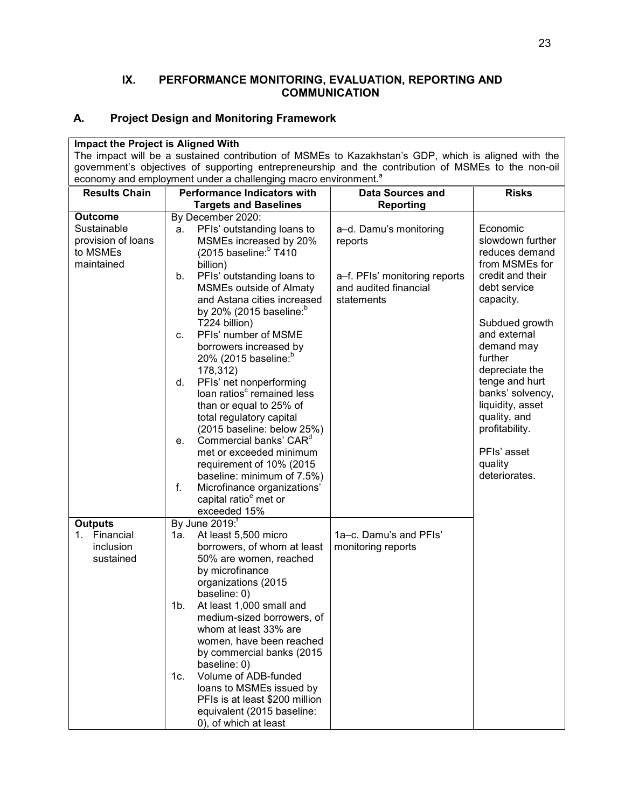### **IX. PERFORMANCE MONITORING, EVALUATION, REPORTING AND COMMUNICATION**

# **A. Project Design and Monitoring Framework**

| Impact the Project is Aligned With                                                                                                                                                                         |                                                        |                                                        |                                    |  |  |
|------------------------------------------------------------------------------------------------------------------------------------------------------------------------------------------------------------|--------------------------------------------------------|--------------------------------------------------------|------------------------------------|--|--|
| The impact will be a sustained contribution of MSMEs to Kazakhstan's GDP, which is aligned with the<br>government's objectives of supporting entrepreneurship and the contribution of MSMEs to the non-oil |                                                        |                                                        |                                    |  |  |
| economy and employment under a challenging macro environment. <sup>a</sup>                                                                                                                                 |                                                        |                                                        |                                    |  |  |
| <b>Results Chain</b>                                                                                                                                                                                       | <b>Performance Indicators with</b>                     | <b>Data Sources and</b>                                | <b>Risks</b>                       |  |  |
|                                                                                                                                                                                                            | <b>Targets and Baselines</b>                           | <b>Reporting</b>                                       |                                    |  |  |
| <b>Outcome</b>                                                                                                                                                                                             | By December 2020:                                      |                                                        |                                    |  |  |
| Sustainable                                                                                                                                                                                                | PFIs' outstanding loans to<br>a.                       | a-d. Damu's monitoring                                 | Economic                           |  |  |
| provision of loans                                                                                                                                                                                         | MSMEs increased by 20%                                 | reports                                                | slowdown further                   |  |  |
| to MSMEs                                                                                                                                                                                                   | (2015 baseline: $b$ T410                               |                                                        | reduces demand                     |  |  |
| maintained                                                                                                                                                                                                 | billion)<br>PFIs' outstanding loans to<br>b.           |                                                        | from MSMEs for<br>credit and their |  |  |
|                                                                                                                                                                                                            | MSMEs outside of Almaty                                | a-f. PFIs' monitoring reports<br>and audited financial | debt service                       |  |  |
|                                                                                                                                                                                                            | and Astana cities increased                            | statements                                             | capacity.                          |  |  |
|                                                                                                                                                                                                            | by 20% (2015 baseline: $^{\circ}$                      |                                                        |                                    |  |  |
|                                                                                                                                                                                                            | T224 billion)                                          |                                                        | Subdued growth                     |  |  |
|                                                                                                                                                                                                            | PFIs' number of MSME<br>c.                             |                                                        | and external                       |  |  |
|                                                                                                                                                                                                            | borrowers increased by                                 |                                                        | demand may                         |  |  |
|                                                                                                                                                                                                            | 20% (2015 baseline: <sup>b</sup>                       |                                                        | further<br>depreciate the          |  |  |
|                                                                                                                                                                                                            | 178,312)<br>PFIs' net nonperforming<br>d.              |                                                        | tenge and hurt                     |  |  |
|                                                                                                                                                                                                            | loan ratios <sup>c</sup> remained less                 |                                                        | banks' solvency,                   |  |  |
|                                                                                                                                                                                                            | than or equal to 25% of                                |                                                        | liquidity, asset                   |  |  |
|                                                                                                                                                                                                            | total regulatory capital                               |                                                        | quality, and                       |  |  |
|                                                                                                                                                                                                            | (2015 baseline: below 25%)                             |                                                        | profitability.                     |  |  |
|                                                                                                                                                                                                            | Commercial banks' CAR <sup>d</sup><br>e.               |                                                        |                                    |  |  |
|                                                                                                                                                                                                            | met or exceeded minimum                                |                                                        | PFIs' asset                        |  |  |
|                                                                                                                                                                                                            | requirement of 10% (2015<br>baseline: minimum of 7.5%) |                                                        | quality<br>deteriorates.           |  |  |
|                                                                                                                                                                                                            | f.<br>Microfinance organizations'                      |                                                        |                                    |  |  |
|                                                                                                                                                                                                            | capital ratio <sup>e</sup> met or                      |                                                        |                                    |  |  |
|                                                                                                                                                                                                            | exceeded 15%                                           |                                                        |                                    |  |  |
| <b>Outputs</b>                                                                                                                                                                                             | By June 2019: <sup>f</sup>                             |                                                        |                                    |  |  |
| 1. Financial                                                                                                                                                                                               | 1а.<br>At least 5,500 micro                            | 1a–c. Damu's and PFIs'                                 |                                    |  |  |
| inclusion                                                                                                                                                                                                  | borrowers, of whom at least                            | monitoring reports                                     |                                    |  |  |
| sustained                                                                                                                                                                                                  | 50% are women, reached                                 |                                                        |                                    |  |  |
|                                                                                                                                                                                                            | by microfinance<br>organizations (2015                 |                                                        |                                    |  |  |
|                                                                                                                                                                                                            | baseline: 0)                                           |                                                        |                                    |  |  |
|                                                                                                                                                                                                            | $1b$ .<br>At least 1,000 small and                     |                                                        |                                    |  |  |
|                                                                                                                                                                                                            | medium-sized borrowers, of                             |                                                        |                                    |  |  |
|                                                                                                                                                                                                            | whom at least 33% are                                  |                                                        |                                    |  |  |
|                                                                                                                                                                                                            | women, have been reached                               |                                                        |                                    |  |  |
|                                                                                                                                                                                                            | by commercial banks (2015)                             |                                                        |                                    |  |  |
|                                                                                                                                                                                                            | baseline: 0)<br>Volume of ADB-funded<br>1c.            |                                                        |                                    |  |  |
|                                                                                                                                                                                                            | loans to MSMEs issued by                               |                                                        |                                    |  |  |
|                                                                                                                                                                                                            | PFIs is at least \$200 million                         |                                                        |                                    |  |  |
|                                                                                                                                                                                                            | equivalent (2015 baseline:                             |                                                        |                                    |  |  |
|                                                                                                                                                                                                            | 0), of which at least                                  |                                                        |                                    |  |  |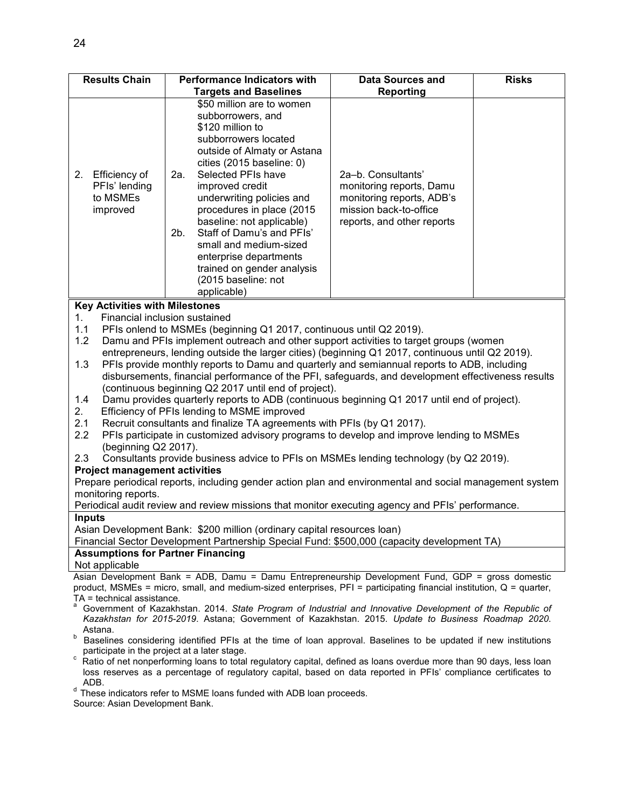| <b>Results Chain</b>                                                                                                            | <b>Performance Indicators with</b>                                                                                                                                                                                                                                                                                                                                                                                                                        | <b>Data Sources and</b>                                                                                                             | <b>Risks</b> |  |  |
|---------------------------------------------------------------------------------------------------------------------------------|-----------------------------------------------------------------------------------------------------------------------------------------------------------------------------------------------------------------------------------------------------------------------------------------------------------------------------------------------------------------------------------------------------------------------------------------------------------|-------------------------------------------------------------------------------------------------------------------------------------|--------------|--|--|
|                                                                                                                                 | <b>Targets and Baselines</b>                                                                                                                                                                                                                                                                                                                                                                                                                              | <b>Reporting</b>                                                                                                                    |              |  |  |
| Efficiency of<br>2.<br>PFIs' lending<br>to MSMEs<br>improved                                                                    | \$50 million are to women<br>subborrowers, and<br>\$120 million to<br>subborrowers located<br>outside of Almaty or Astana<br>cities (2015 baseline: 0)<br>Selected PFIs have<br>2a.<br>improved credit<br>underwriting policies and<br>procedures in place (2015<br>baseline: not applicable)<br>Staff of Damu's and PFIs'<br>2b.<br>small and medium-sized<br>enterprise departments<br>trained on gender analysis<br>(2015 baseline: not<br>applicable) | 2a-b. Consultants'<br>monitoring reports, Damu<br>monitoring reports, ADB's<br>mission back-to-office<br>reports, and other reports |              |  |  |
| <b>Key Activities with Milestones</b>                                                                                           |                                                                                                                                                                                                                                                                                                                                                                                                                                                           |                                                                                                                                     |              |  |  |
| Financial inclusion sustained<br>1.                                                                                             |                                                                                                                                                                                                                                                                                                                                                                                                                                                           |                                                                                                                                     |              |  |  |
| 1.1                                                                                                                             | PFIs onlend to MSMEs (beginning Q1 2017, continuous until Q2 2019).                                                                                                                                                                                                                                                                                                                                                                                       |                                                                                                                                     |              |  |  |
| 1.2                                                                                                                             | Damu and PFIs implement outreach and other support activities to target groups (women                                                                                                                                                                                                                                                                                                                                                                     |                                                                                                                                     |              |  |  |
|                                                                                                                                 | entrepreneurs, lending outside the larger cities) (beginning Q1 2017, continuous until Q2 2019).                                                                                                                                                                                                                                                                                                                                                          |                                                                                                                                     |              |  |  |
|                                                                                                                                 | 1.3<br>PFIs provide monthly reports to Damu and quarterly and semiannual reports to ADB, including                                                                                                                                                                                                                                                                                                                                                        |                                                                                                                                     |              |  |  |
|                                                                                                                                 | disbursements, financial performance of the PFI, safeguards, and development effectiveness results                                                                                                                                                                                                                                                                                                                                                        |                                                                                                                                     |              |  |  |
|                                                                                                                                 | (continuous beginning Q2 2017 until end of project).                                                                                                                                                                                                                                                                                                                                                                                                      |                                                                                                                                     |              |  |  |
| 1.4                                                                                                                             | Damu provides quarterly reports to ADB (continuous beginning Q1 2017 until end of project).                                                                                                                                                                                                                                                                                                                                                               |                                                                                                                                     |              |  |  |
| 2.                                                                                                                              | Efficiency of PFIs lending to MSME improved                                                                                                                                                                                                                                                                                                                                                                                                               |                                                                                                                                     |              |  |  |
| 2.1<br>2.2                                                                                                                      | Recruit consultants and finalize TA agreements with PFIs (by Q1 2017).                                                                                                                                                                                                                                                                                                                                                                                    |                                                                                                                                     |              |  |  |
| (beginning Q2 2017).                                                                                                            | PFIs participate in customized advisory programs to develop and improve lending to MSMEs                                                                                                                                                                                                                                                                                                                                                                  |                                                                                                                                     |              |  |  |
| 2.3                                                                                                                             | Consultants provide business advice to PFIs on MSMEs lending technology (by Q2 2019).                                                                                                                                                                                                                                                                                                                                                                     |                                                                                                                                     |              |  |  |
| <b>Project management activities</b>                                                                                            |                                                                                                                                                                                                                                                                                                                                                                                                                                                           |                                                                                                                                     |              |  |  |
|                                                                                                                                 | Prepare periodical reports, including gender action plan and environmental and social management system                                                                                                                                                                                                                                                                                                                                                   |                                                                                                                                     |              |  |  |
| monitoring reports.                                                                                                             |                                                                                                                                                                                                                                                                                                                                                                                                                                                           |                                                                                                                                     |              |  |  |
| Periodical audit review and review missions that monitor executing agency and PFIs' performance.                                |                                                                                                                                                                                                                                                                                                                                                                                                                                                           |                                                                                                                                     |              |  |  |
| <b>Inputs</b>                                                                                                                   |                                                                                                                                                                                                                                                                                                                                                                                                                                                           |                                                                                                                                     |              |  |  |
|                                                                                                                                 | Asian Development Bank: \$200 million (ordinary capital resources loan)                                                                                                                                                                                                                                                                                                                                                                                   |                                                                                                                                     |              |  |  |
| Financial Sector Development Partnership Special Fund: \$500,000 (capacity development TA)                                      |                                                                                                                                                                                                                                                                                                                                                                                                                                                           |                                                                                                                                     |              |  |  |
| Not applicable                                                                                                                  | <b>Assumptions for Partner Financing</b>                                                                                                                                                                                                                                                                                                                                                                                                                  |                                                                                                                                     |              |  |  |
|                                                                                                                                 | Asian Development Bank = ADB, Damu = Damu Entrepreneurship Development Fund, GDP = gross domestic                                                                                                                                                                                                                                                                                                                                                         |                                                                                                                                     |              |  |  |
|                                                                                                                                 | product, MSMEs = micro, small, and medium-sized enterprises, $PFI =$ participating financial institution, $Q =$ quarter,                                                                                                                                                                                                                                                                                                                                  |                                                                                                                                     |              |  |  |
| TA = technical assistance.                                                                                                      |                                                                                                                                                                                                                                                                                                                                                                                                                                                           |                                                                                                                                     |              |  |  |
| Government of Kazakhstan. 2014. State Program of Industrial and Innovative Development of the Republic of                       |                                                                                                                                                                                                                                                                                                                                                                                                                                                           |                                                                                                                                     |              |  |  |
| Kazakhstan for 2015-2019. Astana; Government of Kazakhstan. 2015. Update to Business Roadmap 2020.                              |                                                                                                                                                                                                                                                                                                                                                                                                                                                           |                                                                                                                                     |              |  |  |
| Astana.<br>b<br>Baselines considering identified PFIs at the time of loan approval. Baselines to be updated if new institutions |                                                                                                                                                                                                                                                                                                                                                                                                                                                           |                                                                                                                                     |              |  |  |
| participate in the project at a later stage.                                                                                    |                                                                                                                                                                                                                                                                                                                                                                                                                                                           |                                                                                                                                     |              |  |  |

 $\degree$  Ratio of net nonperforming loans to total regulatory capital, defined as loans overdue more than 90 days, less loan loss reserves as a percentage of regulatory capital, based on data reported in PFIs' compliance certificates to ADB.

 $d$  These indicators refer to MSME loans funded with ADB loan proceeds.

Source: Asian Development Bank.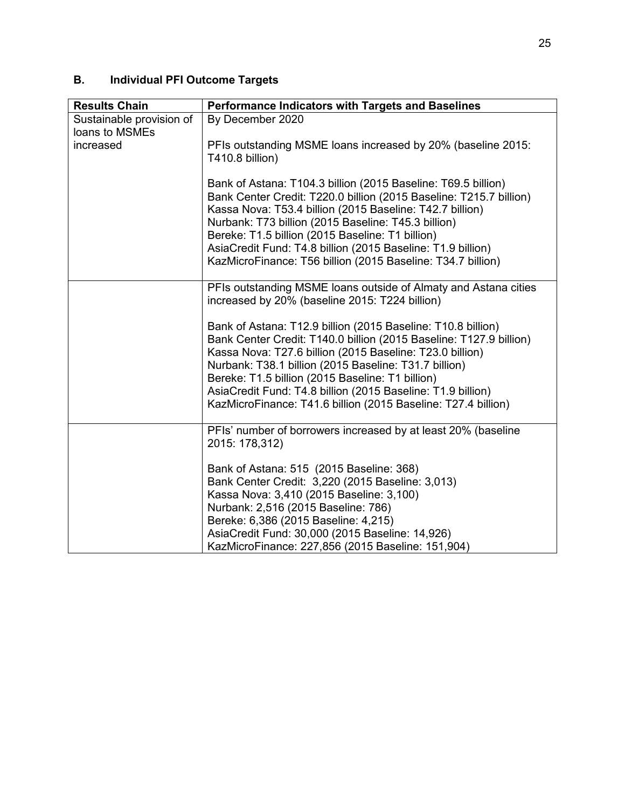# **B. Individual PFI Outcome Targets**

| <b>Results Chain</b>                       | Performance Indicators with Targets and Baselines                                                                                                                                                                                                                                                                                                                                                                                           |
|--------------------------------------------|---------------------------------------------------------------------------------------------------------------------------------------------------------------------------------------------------------------------------------------------------------------------------------------------------------------------------------------------------------------------------------------------------------------------------------------------|
| Sustainable provision of<br>loans to MSMEs | By December 2020                                                                                                                                                                                                                                                                                                                                                                                                                            |
| increased                                  | PFIs outstanding MSME loans increased by 20% (baseline 2015:<br>T410.8 billion)                                                                                                                                                                                                                                                                                                                                                             |
|                                            | Bank of Astana: T104.3 billion (2015 Baseline: T69.5 billion)<br>Bank Center Credit: T220.0 billion (2015 Baseline: T215.7 billion)<br>Kassa Nova: T53.4 billion (2015 Baseline: T42.7 billion)<br>Nurbank: T73 billion (2015 Baseline: T45.3 billion)<br>Bereke: T1.5 billion (2015 Baseline: T1 billion)<br>AsiaCredit Fund: T4.8 billion (2015 Baseline: T1.9 billion)<br>KazMicroFinance: T56 billion (2015 Baseline: T34.7 billion)    |
|                                            | PFIs outstanding MSME loans outside of Almaty and Astana cities<br>increased by 20% (baseline 2015: T224 billion)                                                                                                                                                                                                                                                                                                                           |
|                                            | Bank of Astana: T12.9 billion (2015 Baseline: T10.8 billion)<br>Bank Center Credit: T140.0 billion (2015 Baseline: T127.9 billion)<br>Kassa Nova: T27.6 billion (2015 Baseline: T23.0 billion)<br>Nurbank: T38.1 billion (2015 Baseline: T31.7 billion)<br>Bereke: T1.5 billion (2015 Baseline: T1 billion)<br>AsiaCredit Fund: T4.8 billion (2015 Baseline: T1.9 billion)<br>KazMicroFinance: T41.6 billion (2015 Baseline: T27.4 billion) |
|                                            | PFIs' number of borrowers increased by at least 20% (baseline<br>2015: 178,312)                                                                                                                                                                                                                                                                                                                                                             |
|                                            | Bank of Astana: 515 (2015 Baseline: 368)<br>Bank Center Credit: 3,220 (2015 Baseline: 3,013)<br>Kassa Nova: 3,410 (2015 Baseline: 3,100)<br>Nurbank: 2,516 (2015 Baseline: 786)<br>Bereke: 6,386 (2015 Baseline: 4,215)<br>AsiaCredit Fund: 30,000 (2015 Baseline: 14,926)<br>KazMicroFinance: 227,856 (2015 Baseline: 151,904)                                                                                                             |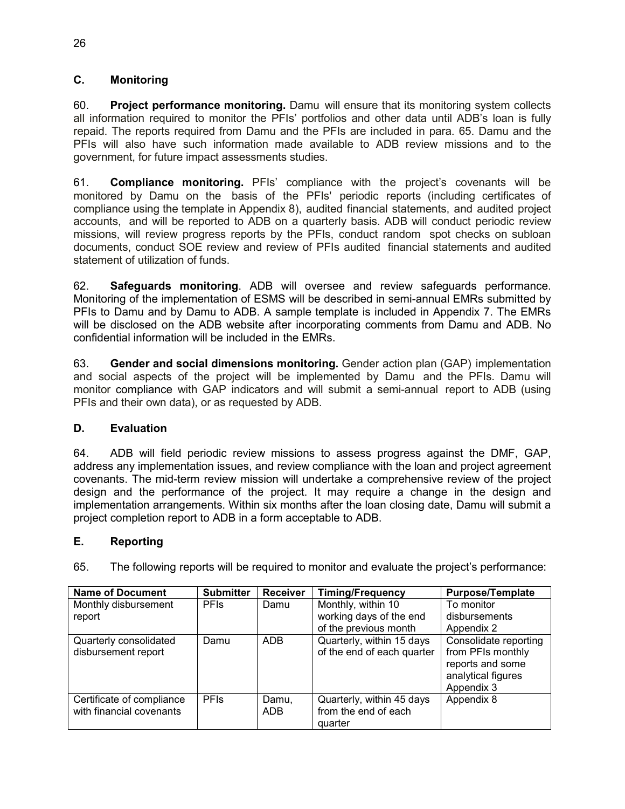### **C. Monitoring**

60. **Project performance monitoring.** Damu will ensure that its monitoring system collects all information required to monitor the PFIs' portfolios and other data until ADB's loan is fully repaid. The reports required from Damu and the PFIs are included in para. 65. Damu and the PFIs will also have such information made available to ADB review missions and to the government, for future impact assessments studies.

61. **Compliance monitoring.** PFIs' compliance with the project's covenants will be monitored by Damu on the basis of the PFIs' periodic reports (including certificates of compliance using the template in Appendix 8), audited financial statements, and audited project accounts, and will be reported to ADB on a quarterly basis. ADB will conduct periodic review missions, will review progress reports by the PFIs, conduct random spot checks on subloan documents, conduct SOE review and review of PFIs audited financial statements and audited statement of utilization of funds.

62. **Safeguards monitoring**. ADB will oversee and review safeguards performance. Monitoring of the implementation of ESMS will be described in semi-annual EMRs submitted by PFIs to Damu and by Damu to ADB. A sample template is included in Appendix 7. The EMRs will be disclosed on the ADB website after incorporating comments from Damu and ADB. No confidential information will be included in the EMRs.

63. **Gender and social dimensions monitoring.** Gender action plan (GAP) implementation and social aspects of the project will be implemented by Damu and the PFIs. Damu will monitor compliance with GAP indicators and will submit a semi-annual report to ADB (using PFIs and their own data), or as requested by ADB.

# **D. Evaluation**

64. ADB will field periodic review missions to assess progress against the DMF, GAP, address any implementation issues, and review compliance with the loan and project agreement covenants. The mid-term review mission will undertake a comprehensive review of the project design and the performance of the project. It may require a change in the design and implementation arrangements. Within six months after the loan closing date, Damu will submit a project completion report to ADB in a form acceptable to ADB.

# **E. Reporting**

| 65. | The following reports will be required to monitor and evaluate the project's performance: |  |  |  |  |  |  |
|-----|-------------------------------------------------------------------------------------------|--|--|--|--|--|--|
|-----|-------------------------------------------------------------------------------------------|--|--|--|--|--|--|

| <b>Name of Document</b>   | <b>Submitter</b> | <b>Receiver</b> | <b>Timing/Frequency</b>    | <b>Purpose/Template</b> |
|---------------------------|------------------|-----------------|----------------------------|-------------------------|
| Monthly disbursement      | <b>PFIs</b>      | Damu            | Monthly, within 10         | To monitor              |
| report                    |                  |                 | working days of the end    | disbursements           |
|                           |                  |                 | of the previous month      | Appendix 2              |
| Quarterly consolidated    | Damu             | <b>ADB</b>      | Quarterly, within 15 days  | Consolidate reporting   |
| disbursement report       |                  |                 | of the end of each quarter | from PFIs monthly       |
|                           |                  |                 |                            | reports and some        |
|                           |                  |                 |                            | analytical figures      |
|                           |                  |                 |                            | Appendix 3              |
| Certificate of compliance | <b>PFIs</b>      | Damu,           | Quarterly, within 45 days  | Appendix 8              |
| with financial covenants  |                  | ADB.            | from the end of each       |                         |
|                           |                  |                 | quarter                    |                         |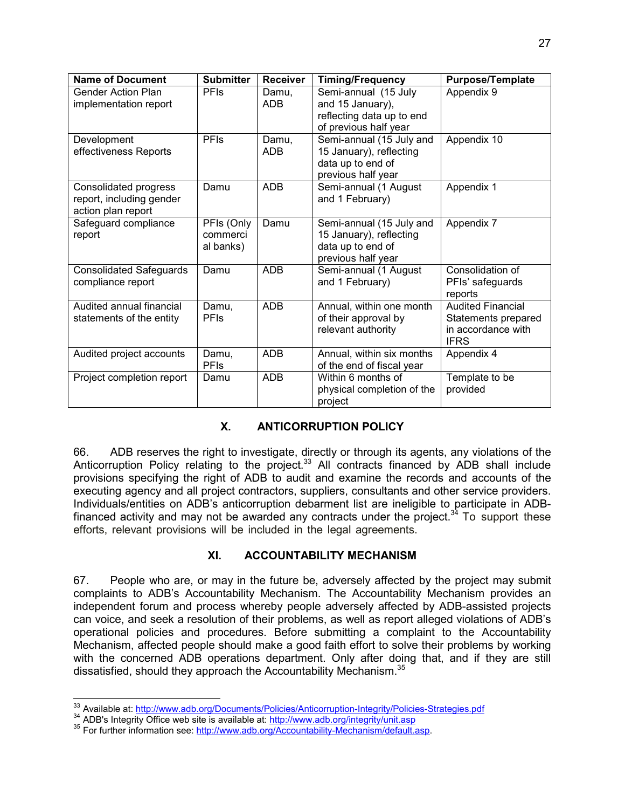| <b>Name of Document</b>                                                 | <b>Submitter</b>                    | <b>Receiver</b>     | <b>Timing/Frequency</b>                                                                        | <b>Purpose/Template</b>                                                              |
|-------------------------------------------------------------------------|-------------------------------------|---------------------|------------------------------------------------------------------------------------------------|--------------------------------------------------------------------------------------|
| <b>Gender Action Plan</b><br>implementation report                      | <b>PFIs</b>                         | Damu,<br><b>ADB</b> | Semi-annual (15 July<br>and 15 January),<br>reflecting data up to end<br>of previous half year | Appendix 9                                                                           |
| Development<br>effectiveness Reports                                    | <b>PFIs</b>                         | Damu,<br><b>ADB</b> | Semi-annual (15 July and<br>15 January), reflecting<br>data up to end of<br>previous half year | Appendix 10                                                                          |
| Consolidated progress<br>report, including gender<br>action plan report | Damu                                | ADB                 | Semi-annual (1 August<br>and 1 February)                                                       | Appendix 1                                                                           |
| Safeguard compliance<br>report                                          | PFIs (Only<br>commerci<br>al banks) | Damu                | Semi-annual (15 July and<br>15 January), reflecting<br>data up to end of<br>previous half year | Appendix 7                                                                           |
| <b>Consolidated Safeguards</b><br>compliance report                     | Damu                                | <b>ADB</b>          | Semi-annual (1 August<br>and 1 February)                                                       | Consolidation of<br>PFIs' safeguards<br>reports                                      |
| Audited annual financial<br>statements of the entity                    | Damu,<br>PFIs                       | <b>ADB</b>          | Annual, within one month<br>of their approval by<br>relevant authority                         | <b>Audited Financial</b><br>Statements prepared<br>in accordance with<br><b>IFRS</b> |
| Audited project accounts                                                | Damu,<br>PFIs                       | <b>ADB</b>          | Annual, within six months<br>of the end of fiscal year                                         | Appendix 4                                                                           |
| Project completion report                                               | Damu                                | <b>ADB</b>          | Within 6 months of<br>physical completion of the<br>project                                    | Template to be<br>provided                                                           |

# **X. ANTICORRUPTION POLICY**

66. ADB reserves the right to investigate, directly or through its agents, any violations of the Anticorruption Policy relating to the project.<sup>33</sup> All contracts financed by ADB shall include provisions specifying the right of ADB to audit and examine the records and accounts of the executing agency and all project contractors, suppliers, consultants and other service providers. Individuals/entities on ADB's anticorruption debarment list are ineligible to participate in ADBfinanced activity and may not be awarded any contracts under the project.<sup>34</sup> To support these efforts, relevant provisions will be included in the legal agreements.

### **XI. ACCOUNTABILITY MECHANISM**

67. People who are, or may in the future be, adversely affected by the project may submit complaints to ADB's Accountability Mechanism. The Accountability Mechanism provides an independent forum and process whereby people adversely affected by ADB-assisted projects can voice, and seek a resolution of their problems, as well as report alleged violations of ADB's operational policies and procedures. Before submitting a complaint to the Accountability Mechanism, affected people should make a good faith effort to solve their problems by working with the concerned ADB operations department. Only after doing that, and if they are still dissatisfied, should they approach the Accountability Mechanism.<sup>35</sup>

 $\overline{a}$ <sup>33</sup> Available at: http://www.adb.org/Documents/Policies/Anticorruption-Integrity/Policies-Strategies.pdf

<sup>&</sup>lt;sup>34</sup> ADB's Integrity Office web site is available at: http://www.adb.org/integrity/unit.asp

<sup>&</sup>lt;sup>35</sup> For further information see: http://www.adb.org/Accountability-Mechanism/default.asp.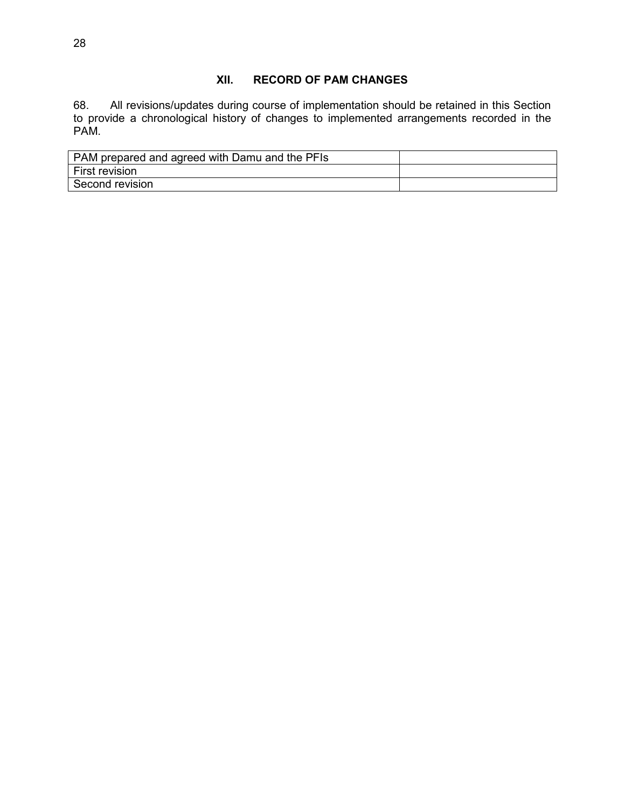### **XII. RECORD OF PAM CHANGES**

68. All revisions/updates during course of implementation should be retained in this Section to provide a chronological history of changes to implemented arrangements recorded in the PAM.

| PAM prepared and agreed with Damu and the PFIs |  |
|------------------------------------------------|--|
| <b>First revision</b>                          |  |
| Second revision                                |  |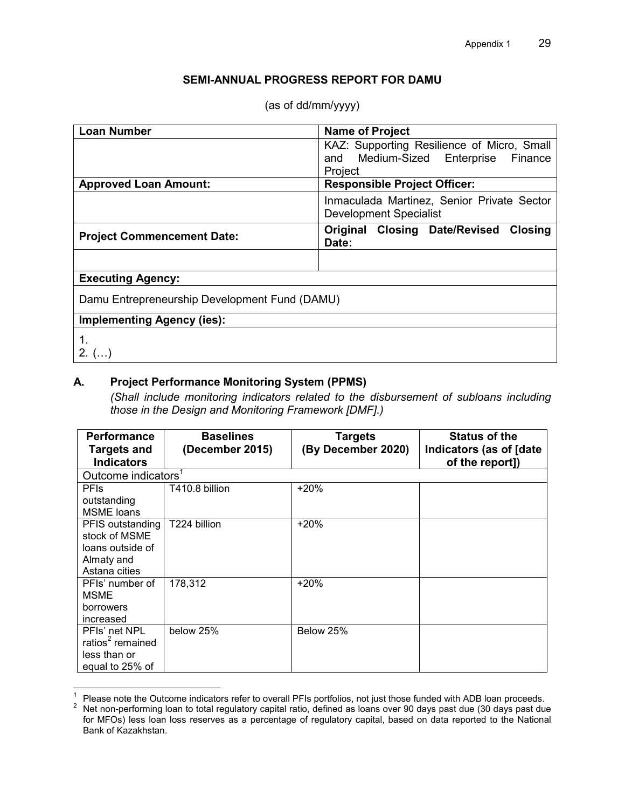### **SEMI-ANNUAL PROGRESS REPORT FOR DAMU**

| <b>Loan Number</b>                            | <b>Name of Project</b>                                                                          |  |  |
|-----------------------------------------------|-------------------------------------------------------------------------------------------------|--|--|
|                                               | KAZ: Supporting Resilience of Micro, Small<br>and Medium-Sized Enterprise<br>Finance<br>Project |  |  |
| <b>Approved Loan Amount:</b>                  | <b>Responsible Project Officer:</b>                                                             |  |  |
|                                               | Inmaculada Martinez, Senior Private Sector<br><b>Development Specialist</b>                     |  |  |
| <b>Project Commencement Date:</b>             | <b>Original Closing Date/Revised</b><br><b>Closing</b><br>Date:                                 |  |  |
|                                               |                                                                                                 |  |  |
| <b>Executing Agency:</b>                      |                                                                                                 |  |  |
| Damu Entrepreneurship Development Fund (DAMU) |                                                                                                 |  |  |
| <b>Implementing Agency (ies):</b>             |                                                                                                 |  |  |
| $2. \, (\dots)$                               |                                                                                                 |  |  |

# **A. Project Performance Monitoring System (PPMS)**

*(Shall include monitoring indicators related to the disbursement of subloans including those in the Design and Monitoring Framework [DMF].)* 

| <b>Performance</b>                      | <b>Baselines</b> | <b>Targets</b>     | <b>Status of the</b>                       |
|-----------------------------------------|------------------|--------------------|--------------------------------------------|
| <b>Targets and</b><br><b>Indicators</b> | (December 2015)  | (By December 2020) | Indicators (as of [date<br>of the report]) |
| Outcome indicators <sup>1</sup>         |                  |                    |                                            |
| <b>PFIS</b>                             | T410.8 billion   | $+20%$             |                                            |
| outstanding<br><b>MSME</b> loans        |                  |                    |                                            |
| PFIS outstanding                        | T224 billion     | $+20%$             |                                            |
| stock of MSME                           |                  |                    |                                            |
| loans outside of                        |                  |                    |                                            |
| Almaty and                              |                  |                    |                                            |
| Astana cities                           |                  |                    |                                            |
| PFIs' number of                         | 178,312          | $+20%$             |                                            |
| <b>MSME</b>                             |                  |                    |                                            |
| borrowers                               |                  |                    |                                            |
| increased                               |                  |                    |                                            |
| PFIs' net NPL                           | below 25%        | Below 25%          |                                            |
| ratios <sup>2</sup> remained            |                  |                    |                                            |
| less than or                            |                  |                    |                                            |
| equal to 25% of                         |                  |                    |                                            |

<sup>-&</sup>lt;br>1 Please note the Outcome indicators refer to overall PFIs portfolios, not just those funded with ADB loan proceeds.

<sup>2</sup> Net non-performing loan to total regulatory capital ratio, defined as loans over 90 days past due (30 days past due for MFOs) less loan loss reserves as a percentage of regulatory capital, based on data reported to the National Bank of Kazakhstan.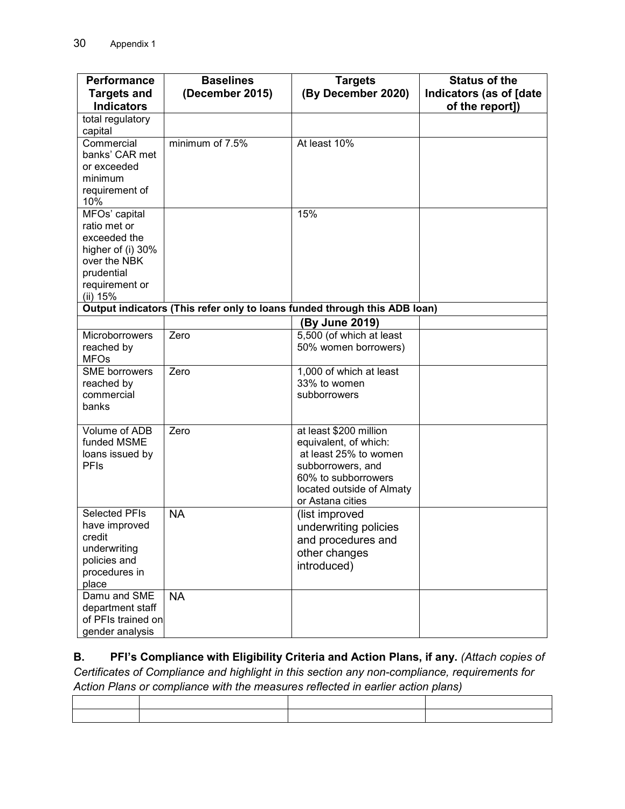| Performance                                                                                                                           | <b>Baselines</b> | <b>Targets</b>                                                                                                                                                        | <b>Status of the</b>                       |
|---------------------------------------------------------------------------------------------------------------------------------------|------------------|-----------------------------------------------------------------------------------------------------------------------------------------------------------------------|--------------------------------------------|
| <b>Targets and</b><br><b>Indicators</b>                                                                                               | (December 2015)  | (By December 2020)                                                                                                                                                    | Indicators (as of [date<br>of the report]) |
| total regulatory<br>capital                                                                                                           |                  |                                                                                                                                                                       |                                            |
| Commercial<br>banks' CAR met<br>or exceeded<br>minimum<br>requirement of                                                              | minimum of 7.5%  | At least 10%                                                                                                                                                          |                                            |
| 10%<br>MFOs' capital<br>ratio met or<br>exceeded the<br>higher of (i) 30%<br>over the NBK<br>prudential<br>requirement or<br>(ii) 15% |                  | 15%                                                                                                                                                                   |                                            |
|                                                                                                                                       |                  | Output indicators (This refer only to loans funded through this ADB loan)                                                                                             |                                            |
|                                                                                                                                       |                  | (By June 2019)                                                                                                                                                        |                                            |
| <b>Microborrowers</b><br>reached by<br><b>MFOs</b>                                                                                    | Zero             | 5,500 (of which at least<br>50% women borrowers)                                                                                                                      |                                            |
| <b>SME</b> borrowers<br>reached by<br>commercial<br>banks                                                                             | Zero             | 1,000 of which at least<br>33% to women<br>subborrowers                                                                                                               |                                            |
| Volume of ADB<br>funded MSME<br>loans issued by<br><b>PFIs</b>                                                                        | Zero             | at least \$200 million<br>equivalent, of which:<br>at least 25% to women<br>subborrowers, and<br>60% to subborrowers<br>located outside of Almaty<br>or Astana cities |                                            |
| <b>Selected PFIs</b><br>have improved<br>credit<br>underwriting<br>policies and<br>procedures in<br>place                             | <b>NA</b>        | (list improved<br>underwriting policies<br>and procedures and<br>other changes<br>introduced)                                                                         |                                            |
| Damu and SME<br>department staff<br>of PFIs trained on<br>gender analysis                                                             | <b>NA</b>        |                                                                                                                                                                       |                                            |

**B. PFI's Compliance with Eligibility Criteria and Action Plans, if any.** *(Attach copies of Certificates of Compliance and highlight in this section any non-compliance, requirements for Action Plans or compliance with the measures reflected in earlier action plans)*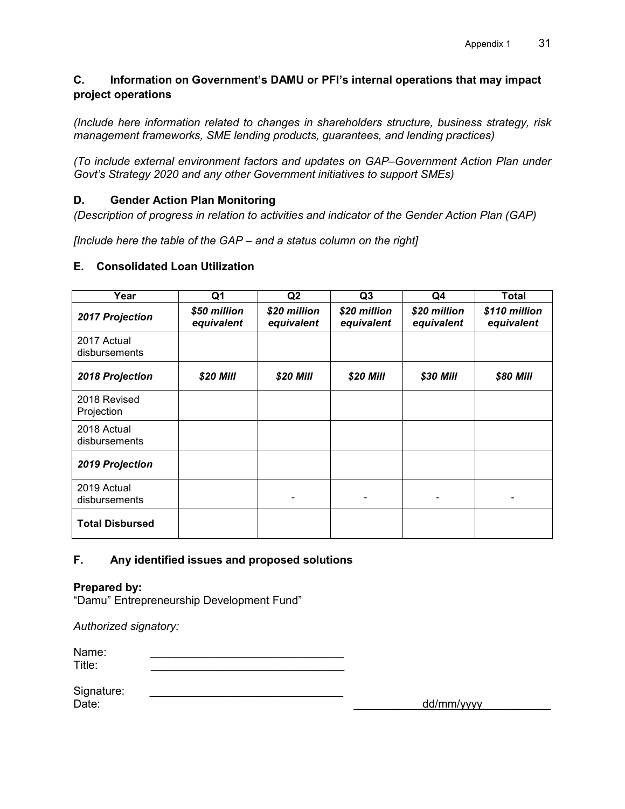# **C. Information on Government's DAMU or PFI's internal operations that may impact project operations**

*(Include here information related to changes in shareholders structure, business strategy, risk management frameworks, SME lending products, guarantees, and lending practices)* 

*(To include external environment factors and updates on GAP–Government Action Plan under Govt's Strategy 2020 and any other Government initiatives to support SMEs)* 

# **D. Gender Action Plan Monitoring**

*(Description of progress in relation to activities and indicator of the Gender Action Plan (GAP)* 

*[Include here the table of the GAP – and a status column on the right]* 

### **E. Consolidated Loan Utilization**

| Year                         | Q <sub>1</sub>             | Q <sub>2</sub>             | Q <sub>3</sub>             | Q4                         | <b>Total</b>                |
|------------------------------|----------------------------|----------------------------|----------------------------|----------------------------|-----------------------------|
| 2017 Projection              | \$50 million<br>equivalent | \$20 million<br>equivalent | \$20 million<br>equivalent | \$20 million<br>equivalent | \$110 million<br>equivalent |
| 2017 Actual<br>disbursements |                            |                            |                            |                            |                             |
| 2018 Projection              | \$20 Mill                  | \$20 Mill                  | \$20 Mill                  | \$30 Mill                  | \$80 Mill                   |
| 2018 Revised<br>Projection   |                            |                            |                            |                            |                             |
| 2018 Actual<br>disbursements |                            |                            |                            |                            |                             |
| 2019 Projection              |                            |                            |                            |                            |                             |
| 2019 Actual<br>disbursements |                            |                            |                            |                            |                             |
| <b>Total Disbursed</b>       |                            |                            |                            |                            |                             |

# **F. Any identified issues and proposed solutions**

### **Prepared by:**

"Damu" Entrepreneurship Development Fund"

*Authorized signatory:* 

| Name:  |  |
|--------|--|
| Title: |  |

| Signature: |  |            |
|------------|--|------------|
| Date:      |  | dd/mm/yyyy |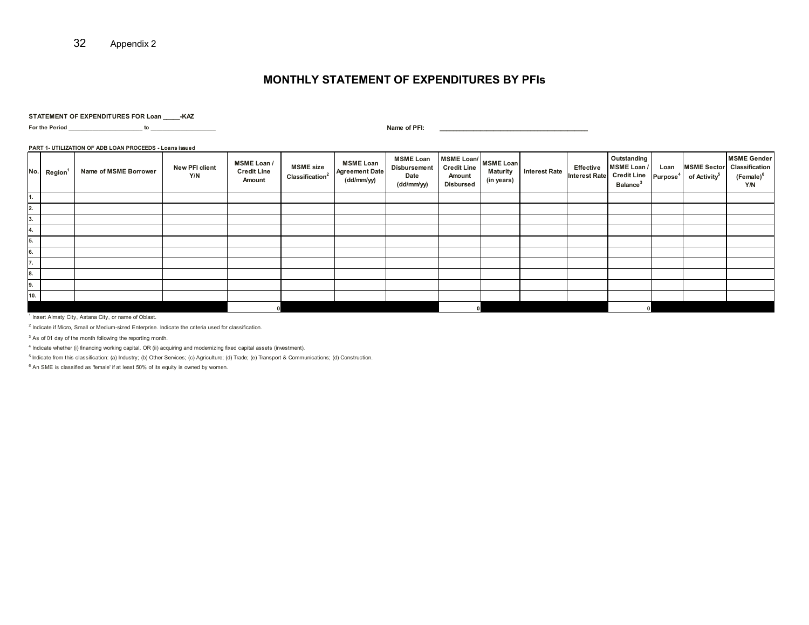### **MONTHLY STATEMENT OF EXPENDITURES BY PFIs**

#### **STATEMENT OF EXPENDITURES FOR Loan \_\_\_\_\_-KAZ**

**For the Period \_\_\_\_\_\_\_\_\_\_\_\_\_\_\_\_\_\_\_\_\_\_\_\_\_ to \_\_\_\_\_\_\_\_\_\_\_\_\_\_\_\_\_\_\_\_\_\_ Name of PFI: \_\_\_\_\_\_\_\_\_\_\_\_\_\_\_\_\_\_\_\_\_\_\_\_\_\_\_\_\_\_\_\_\_\_\_\_\_\_\_\_\_\_\_\_**

#### **PART 1- UTILIZATION OF ADB LOAN PROCEEDS - Loans issued**

| No. | <b>Region</b> | Name of MSME Borrower | New PFI client<br>Y/N | MSME Loan /<br><b>Credit Line</b><br>Amount | <b>MSME</b> size<br>Classification <sup>2</sup> | <b>MSME Loan</b><br><b>Agreement Date</b><br>(dd/mm/yy) | <b>MSME Loan</b><br>Disbursement<br>Date<br>(dd/mm/yy) | $\vert$ MSME Loan/ $\vert$ MSME Loan<br><b>Credit Line</b><br>Amount<br><b>Disbursed</b> | <b>Maturity</b><br>(in years) | <b>Interest Rate</b> | Effective<br><b>Interest Rate</b> | Outstanding<br>MSME Loan /<br>Credit Line   Purpose <sup>4</sup>  <br>Balance <sup>3</sup> | Loan | <b>MSME Sector</b><br>of Activity <sup>5</sup> | <b>MSME Gender</b><br>Classification<br>(Female) <sup>6</sup><br>Y/N |
|-----|---------------|-----------------------|-----------------------|---------------------------------------------|-------------------------------------------------|---------------------------------------------------------|--------------------------------------------------------|------------------------------------------------------------------------------------------|-------------------------------|----------------------|-----------------------------------|--------------------------------------------------------------------------------------------|------|------------------------------------------------|----------------------------------------------------------------------|
| 1.  |               |                       |                       |                                             |                                                 |                                                         |                                                        |                                                                                          |                               |                      |                                   |                                                                                            |      |                                                |                                                                      |
| 2.  |               |                       |                       |                                             |                                                 |                                                         |                                                        |                                                                                          |                               |                      |                                   |                                                                                            |      |                                                |                                                                      |
| 3.  |               |                       |                       |                                             |                                                 |                                                         |                                                        |                                                                                          |                               |                      |                                   |                                                                                            |      |                                                |                                                                      |
| 4.  |               |                       |                       |                                             |                                                 |                                                         |                                                        |                                                                                          |                               |                      |                                   |                                                                                            |      |                                                |                                                                      |
| 5.  |               |                       |                       |                                             |                                                 |                                                         |                                                        |                                                                                          |                               |                      |                                   |                                                                                            |      |                                                |                                                                      |
| 6.  |               |                       |                       |                                             |                                                 |                                                         |                                                        |                                                                                          |                               |                      |                                   |                                                                                            |      |                                                |                                                                      |
| 7.  |               |                       |                       |                                             |                                                 |                                                         |                                                        |                                                                                          |                               |                      |                                   |                                                                                            |      |                                                |                                                                      |
| 8.  |               |                       |                       |                                             |                                                 |                                                         |                                                        |                                                                                          |                               |                      |                                   |                                                                                            |      |                                                |                                                                      |
| 9.  |               |                       |                       |                                             |                                                 |                                                         |                                                        |                                                                                          |                               |                      |                                   |                                                                                            |      |                                                |                                                                      |
| 10. |               |                       |                       |                                             |                                                 |                                                         |                                                        |                                                                                          |                               |                      |                                   |                                                                                            |      |                                                |                                                                      |
|     |               |                       |                       |                                             |                                                 |                                                         |                                                        |                                                                                          |                               |                      |                                   |                                                                                            |      |                                                |                                                                      |

<sup>1</sup> Insert Almaty City, Astana City, or name of Oblast.

<sup>2</sup> Indicate if Micro, Small or Medium-sized Enterprise. Indicate the criteria used for classification.

 $3$  As of 01 day of the month following the reporting month.

<sup>4</sup> Indicate whether (i) financing working capital, OR (ii) acquiring and modernizing fixed capital assets (investment).

<sup>5</sup> Indicate from this classification: (a) Industry; (b) Other Services; (c) Agriculture; (d) Trade; (e) Transport & Communications; (d) Construction.

 $6$  An SME is classified as 'female' if at least 50% of its equity is owned by women.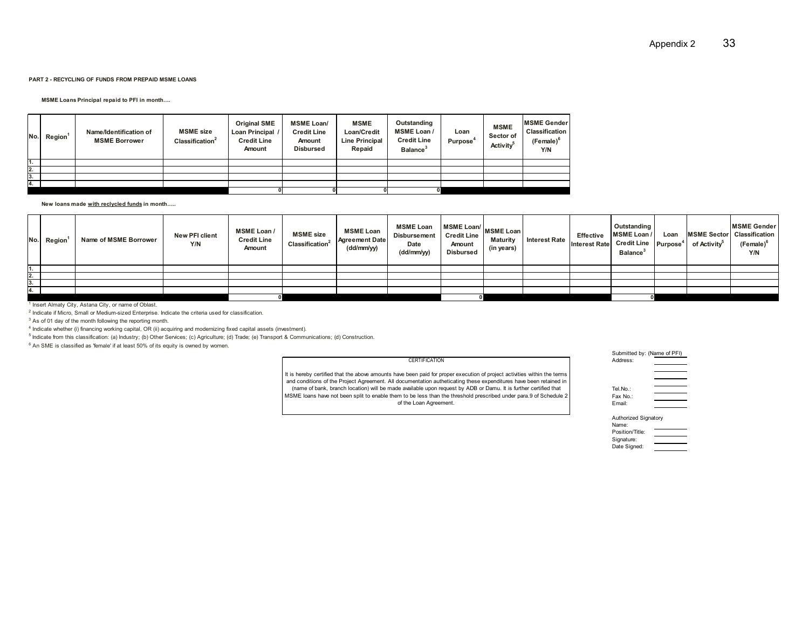#### **PART 2 - RECYCLING OF FUNDS FROM PREPAID MSME LOANS**

**MSME Loans Principal repaid to PFI in month....** 

| No.l | Region <sup>1</sup> | Name/Identification of<br><b>MSME Borrower</b> | <b>MSME</b> size<br>$\mathsf{Classification}^2$ | <b>Original SME</b><br>Loan Principal /<br><b>Credit Line</b><br>Amount | <b>MSME Loan/</b><br><b>Credit Line</b><br>Amount<br><b>Disbursed</b> | <b>MSME</b><br>Loan/Credit<br><b>Line Principal</b><br>Repaid | Outstanding<br><b>MSME Loan /</b><br><b>Credit Line</b><br><b>Balance</b> | Loan<br>Purpose <sup>4</sup> | <b>MSME</b><br>Sector of<br>Activity | <b>IMSME Gender</b><br>Classification<br>(Female) <sup>o</sup><br>Y/N |
|------|---------------------|------------------------------------------------|-------------------------------------------------|-------------------------------------------------------------------------|-----------------------------------------------------------------------|---------------------------------------------------------------|---------------------------------------------------------------------------|------------------------------|--------------------------------------|-----------------------------------------------------------------------|
| т.   |                     |                                                |                                                 |                                                                         |                                                                       |                                                               |                                                                           |                              |                                      |                                                                       |
| 2.   |                     |                                                |                                                 |                                                                         |                                                                       |                                                               |                                                                           |                              |                                      |                                                                       |
| 3.   |                     |                                                |                                                 |                                                                         |                                                                       |                                                               |                                                                           |                              |                                      |                                                                       |
| 4.   |                     |                                                |                                                 |                                                                         |                                                                       |                                                               |                                                                           |                              |                                      |                                                                       |
|      |                     |                                                |                                                 |                                                                         |                                                                       |                                                               |                                                                           |                              |                                      |                                                                       |

New loans made with reclycled funds in month.....

| No. | Region | Name of MSME Borrower | New PFI client<br>Y/N | <b>MSME Loan /</b><br><b>Credit Line</b><br>Amount | <b>MSME</b> size<br>Classification <sup>2</sup> | <b>MSME Loan</b><br><b>Agreement Date</b><br>(dd/mm/yy) | <b>MSME Loan</b><br><b>Disbursement</b><br>Date<br>(dd/mm/yy) | an (MSME Loan/ MSME Loan)<br><b>Credit Line</b><br>Amount<br><b>Disbursed</b> | <b>Maturity</b><br>(in years) | <b>Interest Rate</b> | Effective<br><b>Interest Rate</b> | Outstanding<br><b>MSME Loan/</b><br>el Credit Line Purpose <sup>4 l</sup><br><b>Balance</b> <sup>3</sup> | Loan | of Activity <sup>5</sup> | <b>MSME Gender</b><br>MSME Sector Classification<br>(Female) <sup>6</sup><br>Y/N |
|-----|--------|-----------------------|-----------------------|----------------------------------------------------|-------------------------------------------------|---------------------------------------------------------|---------------------------------------------------------------|-------------------------------------------------------------------------------|-------------------------------|----------------------|-----------------------------------|----------------------------------------------------------------------------------------------------------|------|--------------------------|----------------------------------------------------------------------------------|
|     |        |                       |                       |                                                    |                                                 |                                                         |                                                               |                                                                               |                               |                      |                                   |                                                                                                          |      |                          |                                                                                  |
| 2.  |        |                       |                       |                                                    |                                                 |                                                         |                                                               |                                                                               |                               |                      |                                   |                                                                                                          |      |                          |                                                                                  |
| 3.  |        |                       |                       |                                                    |                                                 |                                                         |                                                               |                                                                               |                               |                      |                                   |                                                                                                          |      |                          |                                                                                  |
| 4.  |        |                       |                       |                                                    |                                                 |                                                         |                                                               |                                                                               |                               |                      |                                   |                                                                                                          |      |                          |                                                                                  |
|     |        |                       |                       |                                                    |                                                 |                                                         |                                                               |                                                                               |                               |                      |                                   |                                                                                                          |      |                          |                                                                                  |

<sup>1</sup> Insert Almaty City, Astana City, or name of Oblast.

 $^2$  Indicate if Micro, Small or Medium-sized Enterprise. Indicate the criteria used for classification.

<sup>3</sup> As of 01 day of the month following the reporting month.

<sup>4</sup> Indicate whether (i) financing working capital, OR (ii) acquiring and modernizing fixed capital assets (investment).

<sup>5</sup> Indicate from this classification: (a) Industry; (b) Other Services; (c) Agriculture; (d) Trade; (e) Transport & Communications; (d) Construction.

 $6$  An SME is classified as 'female' if at least 50% of its equity is owned by women.

#### CERTIFICATION

It is hereby certified that the above amounts have been paid for proper execution of project activities within the terms and conditions of the Project Agreement. All documentation autheticating these expenditures have been retained in (name of bank, branch location) will be made available upon request by ADB or Damu. It is further certified that MSME loans have not been split to enable them to be less than the threshold prescribed under para.9 of Schedule 2 of the Loan Agreement.

### Submitted by: (Name of PFI)Address:

| Tel.No.: |  |
|----------|--|
| Fax No.: |  |
| Email:   |  |

| -------              |  |
|----------------------|--|
|                      |  |
|                      |  |
|                      |  |
| Authorized Signatory |  |
|                      |  |

| Name:           |  |
|-----------------|--|
| Position/Title: |  |
| Signature:      |  |
| Date Signed:    |  |

| Appendix 2 | 33 |
|------------|----|
|            |    |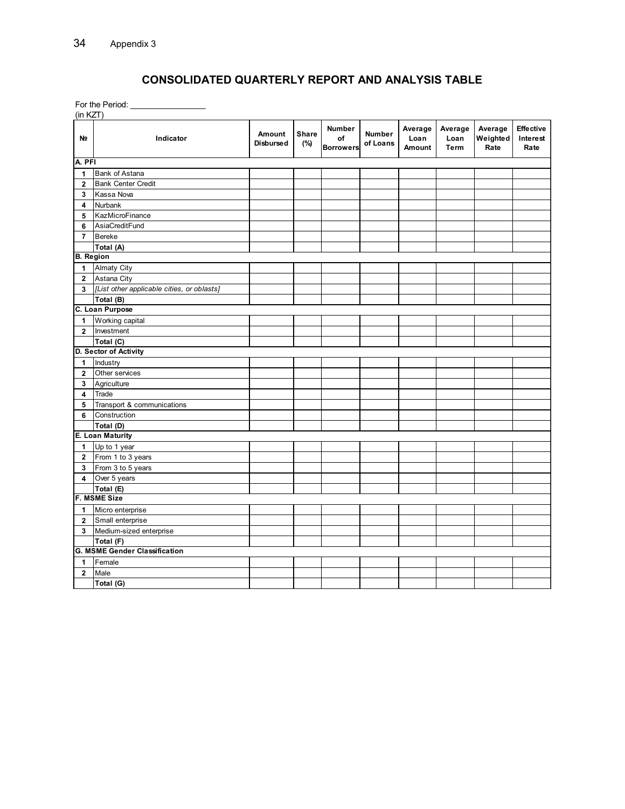# **CONSOLIDATED QUARTERLY REPORT AND ANALYSIS TABLE**

For the Period: \_\_\_\_\_\_\_\_\_\_\_\_\_\_\_\_\_  $\overline{a}$ 

| $($ IN KZI)             |                                            |                            |                     |                                  |                           |                           |                         |                             |                                      |
|-------------------------|--------------------------------------------|----------------------------|---------------------|----------------------------------|---------------------------|---------------------------|-------------------------|-----------------------------|--------------------------------------|
| N <sub>2</sub>          | Indicator                                  | Amount<br><b>Disbursed</b> | <b>Share</b><br>(%) | Number<br>of<br><b>Borrowers</b> | <b>Number</b><br>of Loans | Average<br>Loan<br>Amount | Average<br>Loan<br>Term | Average<br>Weighted<br>Rate | <b>Effective</b><br>Interest<br>Rate |
| A. PFI                  |                                            |                            |                     |                                  |                           |                           |                         |                             |                                      |
| 1                       | <b>Bank of Astana</b>                      |                            |                     |                                  |                           |                           |                         |                             |                                      |
| $\mathbf{2}$            | <b>Bank Center Credit</b>                  |                            |                     |                                  |                           |                           |                         |                             |                                      |
| 3                       | Kassa Nova                                 |                            |                     |                                  |                           |                           |                         |                             |                                      |
| 4                       | Nurbank                                    |                            |                     |                                  |                           |                           |                         |                             |                                      |
| 5                       | KazMicroFinance                            |                            |                     |                                  |                           |                           |                         |                             |                                      |
| 6                       | AsiaCreditFund                             |                            |                     |                                  |                           |                           |                         |                             |                                      |
| $\overline{7}$          | <b>Bereke</b>                              |                            |                     |                                  |                           |                           |                         |                             |                                      |
|                         | Total (A)                                  |                            |                     |                                  |                           |                           |                         |                             |                                      |
| <b>B.</b> Region        |                                            |                            |                     |                                  |                           |                           |                         |                             |                                      |
| 1                       | <b>Almaty City</b>                         |                            |                     |                                  |                           |                           |                         |                             |                                      |
| $\mathbf{2}$            | Astana City                                |                            |                     |                                  |                           |                           |                         |                             |                                      |
| 3                       | [List other applicable cities, or oblasts] |                            |                     |                                  |                           |                           |                         |                             |                                      |
|                         | Total (B)                                  |                            |                     |                                  |                           |                           |                         |                             |                                      |
|                         | C. Loan Purpose                            |                            |                     |                                  |                           |                           |                         |                             |                                      |
| 1                       | Working capital                            |                            |                     |                                  |                           |                           |                         |                             |                                      |
| $\overline{2}$          | Investment                                 |                            |                     |                                  |                           |                           |                         |                             |                                      |
|                         | Total (C)                                  |                            |                     |                                  |                           |                           |                         |                             |                                      |
|                         | D. Sector of Activity                      |                            |                     |                                  |                           |                           |                         |                             |                                      |
| 1                       | Industry                                   |                            |                     |                                  |                           |                           |                         |                             |                                      |
| $\mathbf 2$             | Other services                             |                            |                     |                                  |                           |                           |                         |                             |                                      |
| 3                       | Agriculture                                |                            |                     |                                  |                           |                           |                         |                             |                                      |
| 4                       | Trade                                      |                            |                     |                                  |                           |                           |                         |                             |                                      |
| 5                       | Transport & communications                 |                            |                     |                                  |                           |                           |                         |                             |                                      |
| 6                       | Construction                               |                            |                     |                                  |                           |                           |                         |                             |                                      |
|                         | Total (D)                                  |                            |                     |                                  |                           |                           |                         |                             |                                      |
|                         | E. Loan Maturity                           |                            |                     |                                  |                           |                           |                         |                             |                                      |
| 1                       | Up to 1 year                               |                            |                     |                                  |                           |                           |                         |                             |                                      |
| $\overline{2}$          | From 1 to 3 years                          |                            |                     |                                  |                           |                           |                         |                             |                                      |
| 3                       | From 3 to 5 years                          |                            |                     |                                  |                           |                           |                         |                             |                                      |
| $\overline{\mathbf{4}}$ | Over 5 years                               |                            |                     |                                  |                           |                           |                         |                             |                                      |
|                         | Total (E)                                  |                            |                     |                                  |                           |                           |                         |                             |                                      |
|                         | <b>F. MSME Size</b>                        |                            |                     |                                  |                           |                           |                         |                             |                                      |
| 1                       | Micro enterprise                           |                            |                     |                                  |                           |                           |                         |                             |                                      |
| $\overline{2}$          | Small enterprise                           |                            |                     |                                  |                           |                           |                         |                             |                                      |
| 3                       | Medium-sized enterprise                    |                            |                     |                                  |                           |                           |                         |                             |                                      |
|                         | Total (F)                                  |                            |                     |                                  |                           |                           |                         |                             |                                      |
|                         | <b>G. MSME Gender Classification</b>       |                            |                     |                                  |                           |                           |                         |                             |                                      |
| 1                       | Female                                     |                            |                     |                                  |                           |                           |                         |                             |                                      |
| $\overline{2}$          | Male                                       |                            |                     |                                  |                           |                           |                         |                             |                                      |
|                         | Total (G)                                  |                            |                     |                                  |                           |                           |                         |                             |                                      |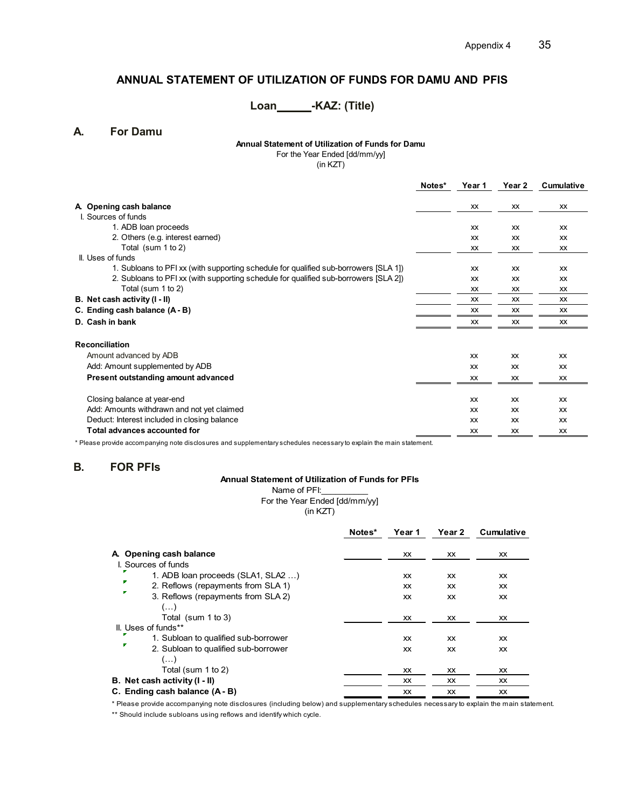# **ANNUAL STATEMENT OF UTILIZATION OF FUNDS FOR DAMU AND PFIS**

# Loan\_\_\_\_\_\_\_-KAZ: (Title)

**A. For Damu**

### **Annual Statement of Utilization of Funds for Damu**

For the Year Ended [dd/mm/yy]

(in KZT)

|                                                                                      | Notes* | Year 1    | Year 2    | Cumulative |
|--------------------------------------------------------------------------------------|--------|-----------|-----------|------------|
| A. Opening cash balance                                                              |        | XX        | <b>XX</b> | <b>XX</b>  |
| I. Sources of funds                                                                  |        |           |           |            |
| 1. ADB loan proceeds                                                                 |        | <b>XX</b> | <b>XX</b> | <b>XX</b>  |
|                                                                                      |        |           |           |            |
| 2. Others (e.g. interest earned)                                                     |        | <b>XX</b> | <b>XX</b> | <b>XX</b>  |
| Total (sum 1 to 2)                                                                   |        | <b>XX</b> | <b>XX</b> | <b>XX</b>  |
| II. Uses of funds                                                                    |        |           |           |            |
| 1. Subloans to PFI xx (with supporting schedule for qualified sub-borrowers [SLA 1]) |        | <b>XX</b> | XX        | <b>XX</b>  |
| 2. Subloans to PFI xx (with supporting schedule for qualified sub-borrowers [SLA 2]) |        | <b>XX</b> | <b>XX</b> | <b>XX</b>  |
| Total (sum 1 to 2)                                                                   |        | XX        | XX        | XX         |
| B. Net cash activity (I - II)                                                        |        | <b>XX</b> | <b>XX</b> | <b>XX</b>  |
| C. Ending cash balance (A - B)                                                       |        | XX        | <b>XX</b> | XX         |
| D. Cash in bank                                                                      |        | <b>XX</b> | <b>XX</b> | XX         |
| <b>Reconciliation</b>                                                                |        |           |           |            |
| Amount advanced by ADB                                                               |        | XX        | <b>XX</b> | <b>XX</b>  |
| Add: Amount supplemented by ADB                                                      |        | XX        | <b>XX</b> | <b>XX</b>  |
| Present outstanding amount advanced                                                  |        | XX        | XX        | <b>XX</b>  |
|                                                                                      |        |           |           |            |
| Closing balance at year-end                                                          |        | XX        | <b>XX</b> | <b>XX</b>  |
| Add: Amounts withdrawn and not yet claimed                                           |        | XX        | <b>XX</b> | <b>XX</b>  |
| Deduct: Interest included in closing balance                                         |        | XX        | <b>XX</b> | <b>XX</b>  |
| Total advances accounted for                                                         |        | XX        | <b>XX</b> | XX         |

\* Please provide accompanying note disclosures and supplementary schedules necessary to explain the main statement.

### **B. FOR PFIs**

### **Annual Statement of Utilization of Funds for PFIs**

Name of PFI: For the Year Ended [dd/mm/yy]

(in KZT)

|                                           | Notes* | Year 1    | Year 2    | Cumulative |
|-------------------------------------------|--------|-----------|-----------|------------|
| A Opening cash balance                    |        | XX        | XX.       | XX         |
| I. Sources of funds                       |        |           |           |            |
| 1. ADB loan proceeds (SLA1, SLA2 )        |        | XX        | XX.       | <b>XX</b>  |
| ×<br>2. Reflows (repayments from SLA 1)   |        | XX        | XX        | <b>XX</b>  |
| 3. Reflows (repayments from SLA 2)        |        | <b>XX</b> | <b>XX</b> | <b>XX</b>  |
| $(\ldots)$                                |        |           |           |            |
| Total (sum 1 to 3)                        |        | XX        | XX.       | <b>XX</b>  |
| II. Uses of funds**                       |        |           |           |            |
| 1. Subloan to qualified sub-borrower      |        | XX        | <b>XX</b> | <b>XX</b>  |
| ÷<br>2. Subloan to qualified sub-borrower |        | <b>XX</b> | XX        | <b>XX</b>  |
| $(\ldots)$                                |        |           |           |            |
| Total (sum 1 to 2)                        |        | XX        | ХX        | XX         |
| B. Net cash activity (I - II)             |        | XX        | <b>XX</b> | <b>XX</b>  |
| C. Ending cash balance (A - B)            |        | <b>XX</b> | XX        | XX         |

\* Please provide accompanying note disclosures (including below) and supplementary schedules necessary to explain the main statement. \*\* Should include subloans using reflows and identify which cycle.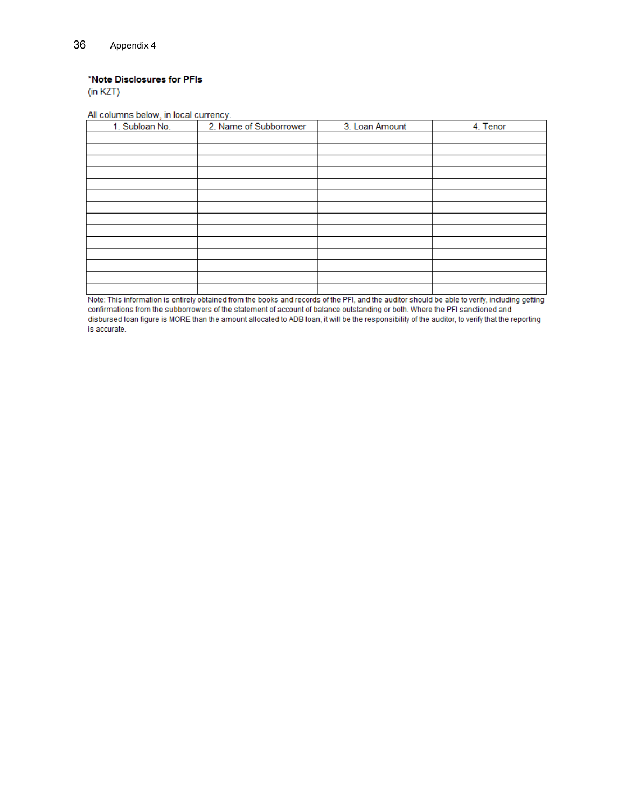### \*Note Disclosures for PFIs

 $(in KZT)$ 

All columns below, in local currency.

| 1. Subloan No. | 2. Name of Subborrower | 3. Loan Amount | 4. Tenor |
|----------------|------------------------|----------------|----------|
|                |                        |                |          |
|                |                        |                |          |
|                |                        |                |          |
|                |                        |                |          |
|                |                        |                |          |
|                |                        |                |          |
|                |                        |                |          |
|                |                        |                |          |
|                |                        |                |          |
|                |                        |                |          |
|                |                        |                |          |
|                |                        |                |          |
|                |                        |                |          |
|                |                        |                |          |

Let the substitution is entirely obtained from the books and records of the PFI, and the auditor should be able to verify, including getting confirmations from the subborrowers of the statement of account of balance outstanding or both. Where the PFI sanctioned and disbursed loan figure is MORE than the amount allocated to ADB loan, it will be the responsibility of the auditor, to verify that the reporting is accurate.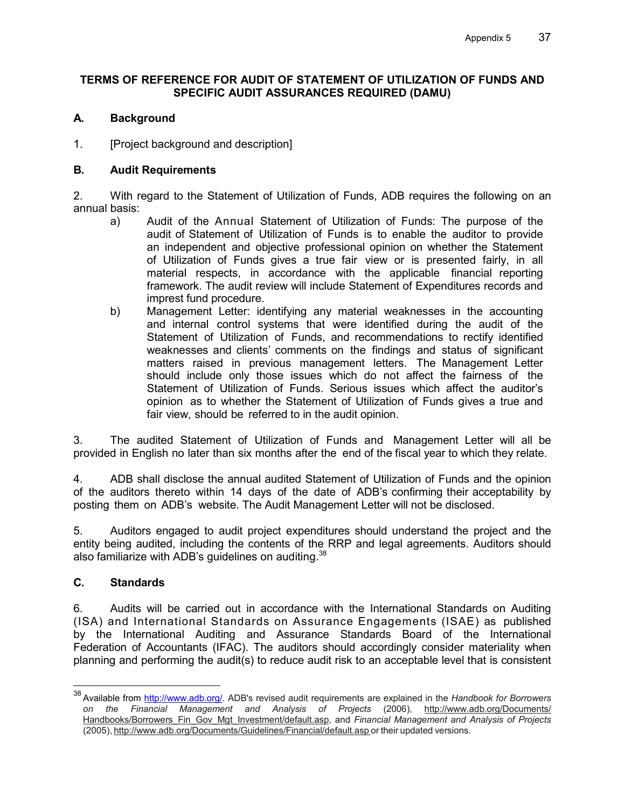### **TERMS OF REFERENCE FOR AUDIT OF STATEMENT OF UTILIZATION OF FUNDS AND SPECIFIC AUDIT ASSURANCES REQUIRED (DAMU)**

### **A. Background**

1. [Project background and description]

### **B. Audit Requirements**

2. With regard to the Statement of Utilization of Funds, ADB requires the following on an annual basis:

- a) Audit of the Annual Statement of Utilization of Funds: The purpose of the audit of Statement of Utilization of Funds is to enable the auditor to provide an independent and objective professional opinion on whether the Statement of Utilization of Funds gives a true fair view or is presented fairly, in all material respects, in accordance with the applicable financial reporting framework. The audit review will include Statement of Expenditures records and imprest fund procedure.
- b) Management Letter: identifying any material weaknesses in the accounting and internal control systems that were identified during the audit of the Statement of Utilization of Funds, and recommendations to rectify identified weaknesses and clients' comments on the findings and status of significant matters raised in previous management letters. The Management Letter should include only those issues which do not affect the fairness of the Statement of Utilization of Funds. Serious issues which affect the auditor's opinion as to whether the Statement of Utilization of Funds gives a true and fair view, should be referred to in the audit opinion.

3. The audited Statement of Utilization of Funds and Management Letter will all be provided in English no later than six months after the end of the fiscal year to which they relate.

4. ADB shall disclose the annual audited Statement of Utilization of Funds and the opinion of the auditors thereto within 14 days of the date of ADB's confirming their acceptability by posting them on ADB's website. The Audit Management Letter will not be disclosed.

5. Auditors engaged to audit project expenditures should understand the project and the entity being audited, including the contents of the RRP and legal agreements. Auditors should also familiarize with ADB's guidelines on auditing.<sup>38</sup>

### **C. Standards**

-

6. Audits will be carried out in accordance with the International Standards on Auditing (ISA) and International Standards on Assurance Engagements (ISAE) as published by the International Auditing and Assurance Standards Board of the International Federation of Accountants (IFAC). The auditors should accordingly consider materiality when planning and performing the audit(s) to reduce audit risk to an acceptable level that is consistent

<sup>38</sup> Available from http://www.adb.org/. ADB's revised audit requirements are explained in the *Handbook for Borrowers on the Financial Management and Analysis of Projects* (2006), http://www.adb.org/Documents/ Handbooks/Borrowers\_Fin\_Gov\_Mgt\_Investment/default.asp, and *Financial Management and Analysis of Projects* (2005), http://www.adb.org/Documents/Guidelines/Financial/default.asp or their updated versions.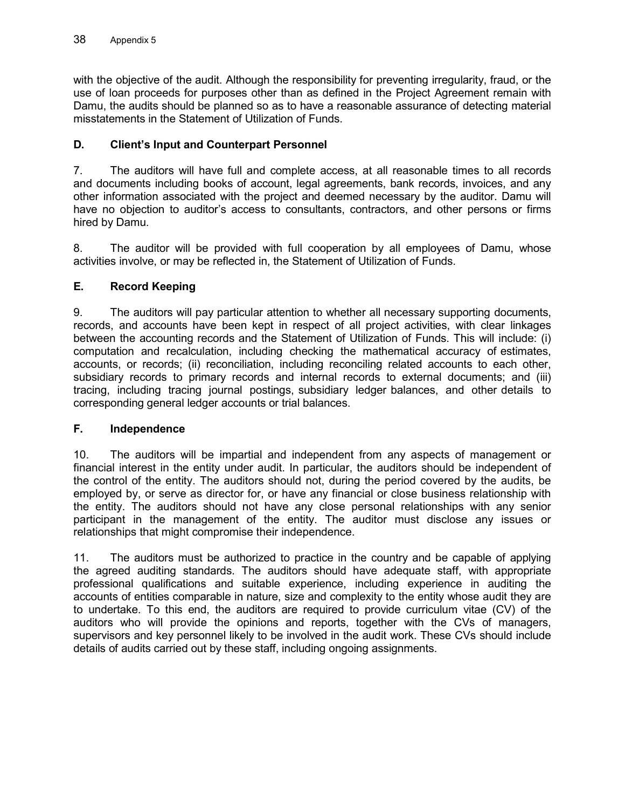with the objective of the audit. Although the responsibility for preventing irregularity, fraud, or the use of loan proceeds for purposes other than as defined in the Project Agreement remain with Damu, the audits should be planned so as to have a reasonable assurance of detecting material misstatements in the Statement of Utilization of Funds.

# **D. Client's Input and Counterpart Personnel**

7. The auditors will have full and complete access, at all reasonable times to all records and documents including books of account, legal agreements, bank records, invoices, and any other information associated with the project and deemed necessary by the auditor. Damu will have no objection to auditor's access to consultants, contractors, and other persons or firms hired by Damu.

8. The auditor will be provided with full cooperation by all employees of Damu, whose activities involve, or may be reflected in, the Statement of Utilization of Funds.

# **E. Record Keeping**

9. The auditors will pay particular attention to whether all necessary supporting documents, records, and accounts have been kept in respect of all project activities, with clear linkages between the accounting records and the Statement of Utilization of Funds. This will include: (i) computation and recalculation, including checking the mathematical accuracy of estimates, accounts, or records; (ii) reconciliation, including reconciling related accounts to each other, subsidiary records to primary records and internal records to external documents; and (iii) tracing, including tracing journal postings, subsidiary ledger balances, and other details to corresponding general ledger accounts or trial balances.

# **F. Independence**

10. The auditors will be impartial and independent from any aspects of management or financial interest in the entity under audit. In particular, the auditors should be independent of the control of the entity. The auditors should not, during the period covered by the audits, be employed by, or serve as director for, or have any financial or close business relationship with the entity. The auditors should not have any close personal relationships with any senior participant in the management of the entity. The auditor must disclose any issues or relationships that might compromise their independence.

11. The auditors must be authorized to practice in the country and be capable of applying the agreed auditing standards. The auditors should have adequate staff, with appropriate professional qualifications and suitable experience, including experience in auditing the accounts of entities comparable in nature, size and complexity to the entity whose audit they are to undertake. To this end, the auditors are required to provide curriculum vitae (CV) of the auditors who will provide the opinions and reports, together with the CVs of managers, supervisors and key personnel likely to be involved in the audit work. These CVs should include details of audits carried out by these staff, including ongoing assignments.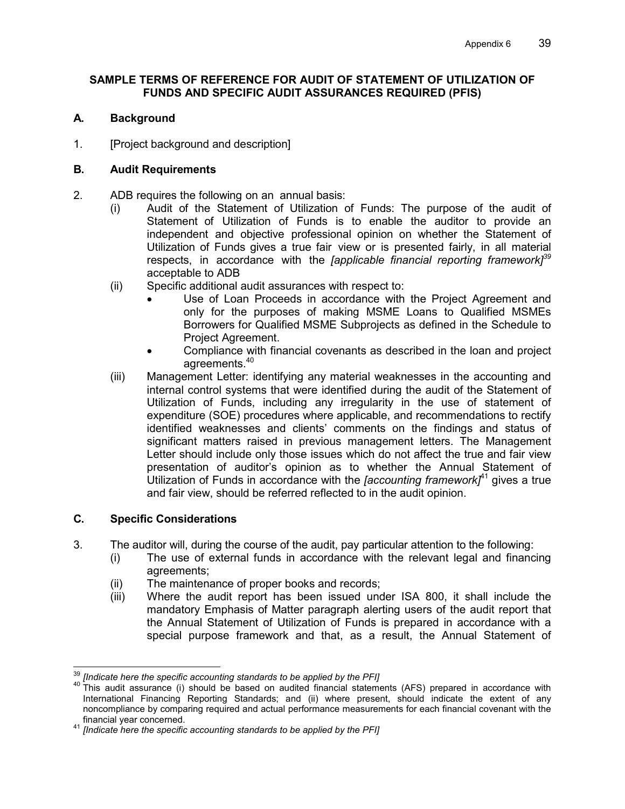### **SAMPLE TERMS OF REFERENCE FOR AUDIT OF STATEMENT OF UTILIZATION OF FUNDS AND SPECIFIC AUDIT ASSURANCES REQUIRED (PFIS)**

### **A. Background**

1. [Project background and description]

### **B. Audit Requirements**

- 2. ADB requires the following on an annual basis:
	- (i) Audit of the Statement of Utilization of Funds: The purpose of the audit of Statement of Utilization of Funds is to enable the auditor to provide an independent and objective professional opinion on whether the Statement of Utilization of Funds gives a true fair view or is presented fairly, in all material respects, in accordance with the *[applicable financial reporting framework]<sup>39</sup>* acceptable to ADB
	- (ii) Specific additional audit assurances with respect to:
		- Use of Loan Proceeds in accordance with the Project Agreement and only for the purposes of making MSME Loans to Qualified MSMEs Borrowers for Qualified MSME Subprojects as defined in the Schedule to Project Agreement.
		- Compliance with financial covenants as described in the loan and project agreements.<sup>40</sup>
	- (iii) Management Letter: identifying any material weaknesses in the accounting and internal control systems that were identified during the audit of the Statement of Utilization of Funds, including any irregularity in the use of statement of expenditure (SOE) procedures where applicable, and recommendations to rectify identified weaknesses and clients' comments on the findings and status of significant matters raised in previous management letters. The Management Letter should include only those issues which do not affect the true and fair view presentation of auditor's opinion as to whether the Annual Statement of Utilization of Funds in accordance with the *[accounting framework]*<sup>41</sup> gives a true and fair view, should be referred reflected to in the audit opinion.

### **C. Specific Considerations**

- 3. The auditor will, during the course of the audit, pay particular attention to the following:
	- (i) The use of external funds in accordance with the relevant legal and financing agreements;
	- (ii) The maintenance of proper books and records;
	- (iii) Where the audit report has been issued under ISA 800, it shall include the mandatory Emphasis of Matter paragraph alerting users of the audit report that the Annual Statement of Utilization of Funds is prepared in accordance with a special purpose framework and that, as a result, the Annual Statement of

 $\overline{a}$ <sup>39</sup> *[Indicate here the specific accounting standards to be applied by the PFI]*

<sup>40</sup> This audit assurance (i) should be based on audited financial statements (AFS) prepared in accordance with International Financing Reporting Standards; and (ii) where present, should indicate the extent of any noncompliance by comparing required and actual performance measurements for each financial covenant with the financial year concerned.

<sup>41</sup> *[Indicate here the specific accounting standards to be applied by the PFI]*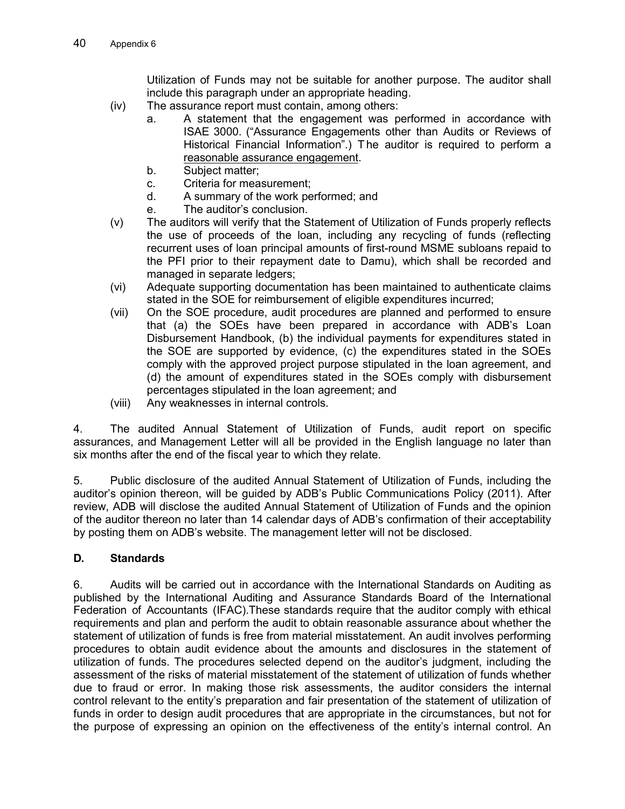Utilization of Funds may not be suitable for another purpose. The auditor shall include this paragraph under an appropriate heading.

- (iv) The assurance report must contain, among others:
	- a. A statement that the engagement was performed in accordance with ISAE 3000. ("Assurance Engagements other than Audits or Reviews of Historical Financial Information".) T he auditor is required to perform a reasonable assurance engagement.
	- b. Subject matter;
	- c. Criteria for measurement;
	- d. A summary of the work performed; and
	- e. The auditor's conclusion.
- (v) The auditors will verify that the Statement of Utilization of Funds properly reflects the use of proceeds of the loan, including any recycling of funds (reflecting recurrent uses of loan principal amounts of first-round MSME subloans repaid to the PFI prior to their repayment date to Damu), which shall be recorded and managed in separate ledgers;
- (vi) Adequate supporting documentation has been maintained to authenticate claims stated in the SOE for reimbursement of eligible expenditures incurred;
- (vii) On the SOE procedure, audit procedures are planned and performed to ensure that (a) the SOEs have been prepared in accordance with ADB's Loan Disbursement Handbook, (b) the individual payments for expenditures stated in the SOE are supported by evidence, (c) the expenditures stated in the SOEs comply with the approved project purpose stipulated in the loan agreement, and (d) the amount of expenditures stated in the SOEs comply with disbursement percentages stipulated in the loan agreement; and
- (viii) Any weaknesses in internal controls.

4. The audited Annual Statement of Utilization of Funds, audit report on specific assurances, and Management Letter will all be provided in the English language no later than six months after the end of the fiscal year to which they relate.

5. Public disclosure of the audited Annual Statement of Utilization of Funds, including the auditor's opinion thereon, will be guided by ADB's Public Communications Policy (2011). After review, ADB will disclose the audited Annual Statement of Utilization of Funds and the opinion of the auditor thereon no later than 14 calendar days of ADB's confirmation of their acceptability by posting them on ADB's website. The management letter will not be disclosed.

# **D. Standards**

6. Audits will be carried out in accordance with the International Standards on Auditing as published by the International Auditing and Assurance Standards Board of the International Federation of Accountants (IFAC).These standards require that the auditor comply with ethical requirements and plan and perform the audit to obtain reasonable assurance about whether the statement of utilization of funds is free from material misstatement. An audit involves performing procedures to obtain audit evidence about the amounts and disclosures in the statement of utilization of funds. The procedures selected depend on the auditor's judgment, including the assessment of the risks of material misstatement of the statement of utilization of funds whether due to fraud or error. In making those risk assessments, the auditor considers the internal control relevant to the entity's preparation and fair presentation of the statement of utilization of funds in order to design audit procedures that are appropriate in the circumstances, but not for the purpose of expressing an opinion on the effectiveness of the entity's internal control. An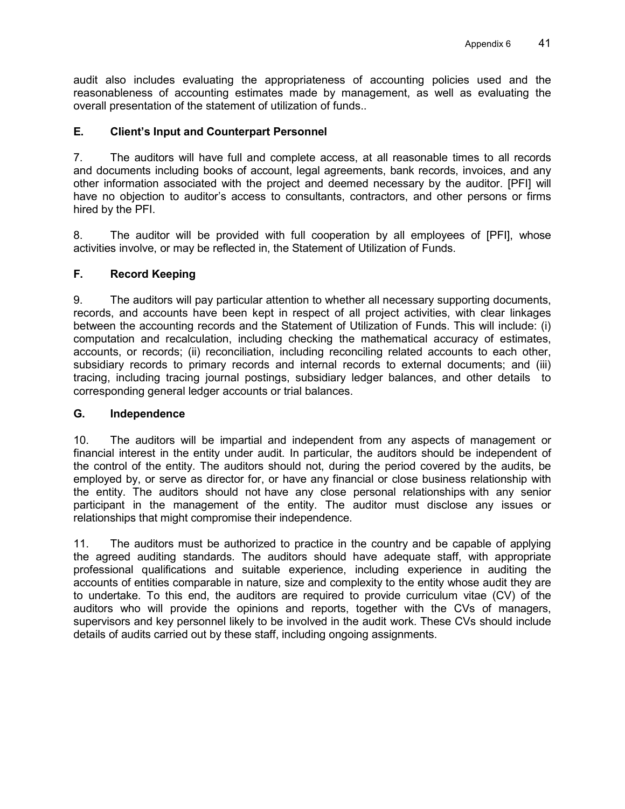audit also includes evaluating the appropriateness of accounting policies used and the reasonableness of accounting estimates made by management, as well as evaluating the overall presentation of the statement of utilization of funds..

### **E. Client's Input and Counterpart Personnel**

7. The auditors will have full and complete access, at all reasonable times to all records and documents including books of account, legal agreements, bank records, invoices, and any other information associated with the project and deemed necessary by the auditor. [PFI] will have no objection to auditor's access to consultants, contractors, and other persons or firms hired by the PFI.

8. The auditor will be provided with full cooperation by all employees of [PFI], whose activities involve, or may be reflected in, the Statement of Utilization of Funds.

### **F. Record Keeping**

9. The auditors will pay particular attention to whether all necessary supporting documents, records, and accounts have been kept in respect of all project activities, with clear linkages between the accounting records and the Statement of Utilization of Funds. This will include: (i) computation and recalculation, including checking the mathematical accuracy of estimates, accounts, or records; (ii) reconciliation, including reconciling related accounts to each other, subsidiary records to primary records and internal records to external documents; and (iii) tracing, including tracing journal postings, subsidiary ledger balances, and other details to corresponding general ledger accounts or trial balances.

### **G. Independence**

10. The auditors will be impartial and independent from any aspects of management or financial interest in the entity under audit. In particular, the auditors should be independent of the control of the entity. The auditors should not, during the period covered by the audits, be employed by, or serve as director for, or have any financial or close business relationship with the entity. The auditors should not have any close personal relationships with any senior participant in the management of the entity. The auditor must disclose any issues or relationships that might compromise their independence.

11. The auditors must be authorized to practice in the country and be capable of applying the agreed auditing standards. The auditors should have adequate staff, with appropriate professional qualifications and suitable experience, including experience in auditing the accounts of entities comparable in nature, size and complexity to the entity whose audit they are to undertake. To this end, the auditors are required to provide curriculum vitae (CV) of the auditors who will provide the opinions and reports, together with the CVs of managers, supervisors and key personnel likely to be involved in the audit work. These CVs should include details of audits carried out by these staff, including ongoing assignments.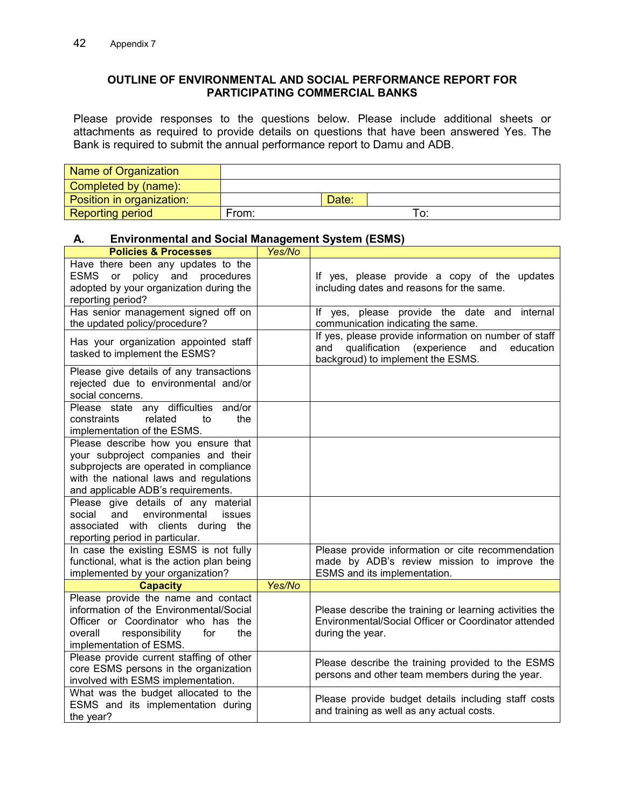### **OUTLINE OF ENVIRONMENTAL AND SOCIAL PERFORMANCE REPORT FOR PARTICIPATING COMMERCIAL BANKS**

Please provide responses to the questions below. Please include additional sheets or attachments as required to provide details on questions that have been answered Yes. The Bank is required to submit the annual performance report to Damu and ADB.

| Name of Organization      |       |       |  |
|---------------------------|-------|-------|--|
| Completed by (name):      |       |       |  |
| Position in organization: |       | Date: |  |
| <b>Reporting period</b>   | From: |       |  |

### **A. Environmental and Social Management System (ESMS)**

| <b>Policies &amp; Processes</b>                                                                                                                  | Yes/No |                                                                                                                                                       |
|--------------------------------------------------------------------------------------------------------------------------------------------------|--------|-------------------------------------------------------------------------------------------------------------------------------------------------------|
| Have there been any updates to the<br>policy and procedures<br><b>ESMS</b><br>or<br>adopted by your organization during the<br>reporting period? |        | If yes, please provide a copy of the updates<br>including dates and reasons for the same.                                                             |
| Has senior management signed off on<br>the updated policy/procedure?                                                                             |        | If yes, please provide the date and<br>internal<br>communication indicating the same.                                                                 |
| Has your organization appointed staff<br>tasked to implement the ESMS?                                                                           |        | If yes, please provide information on number of staff<br>qualification<br>(experience<br>and<br>education<br>and<br>backgroud) to implement the ESMS. |
| Please give details of any transactions<br>rejected due to environmental and/or<br>social concerns.                                              |        |                                                                                                                                                       |
| any difficulties and/or<br>Please state<br>related<br>constraints<br>the<br>to<br>implementation of the ESMS.                                    |        |                                                                                                                                                       |
| Please describe how you ensure that                                                                                                              |        |                                                                                                                                                       |
| your subproject companies and their                                                                                                              |        |                                                                                                                                                       |
| subprojects are operated in compliance                                                                                                           |        |                                                                                                                                                       |
| with the national laws and regulations                                                                                                           |        |                                                                                                                                                       |
| and applicable ADB's requirements.                                                                                                               |        |                                                                                                                                                       |
| Please give details of any material                                                                                                              |        |                                                                                                                                                       |
| social<br>and<br>environmental<br>issues                                                                                                         |        |                                                                                                                                                       |
| associated with clients during the<br>reporting period in particular.                                                                            |        |                                                                                                                                                       |
| In case the existing ESMS is not fully                                                                                                           |        | Please provide information or cite recommendation                                                                                                     |
| functional, what is the action plan being                                                                                                        |        | made by ADB's review mission to improve the                                                                                                           |
| implemented by your organization?                                                                                                                |        | ESMS and its implementation.                                                                                                                          |
| <b>Capacity</b>                                                                                                                                  | Yes/No |                                                                                                                                                       |
| Please provide the name and contact                                                                                                              |        |                                                                                                                                                       |
| information of the Environmental/Social                                                                                                          |        | Please describe the training or learning activities the                                                                                               |
| Officer or Coordinator who has the                                                                                                               |        | Environmental/Social Officer or Coordinator attended                                                                                                  |
| overall<br>responsibility<br>the<br>for                                                                                                          |        | during the year.                                                                                                                                      |
| implementation of ESMS.                                                                                                                          |        |                                                                                                                                                       |
| Please provide current staffing of other                                                                                                         |        | Please describe the training provided to the ESMS                                                                                                     |
| core ESMS persons in the organization                                                                                                            |        | persons and other team members during the year.                                                                                                       |
| involved with ESMS implementation.                                                                                                               |        |                                                                                                                                                       |
| What was the budget allocated to the                                                                                                             |        | Please provide budget details including staff costs                                                                                                   |
| ESMS and its implementation during                                                                                                               |        | and training as well as any actual costs.                                                                                                             |
| the year?                                                                                                                                        |        |                                                                                                                                                       |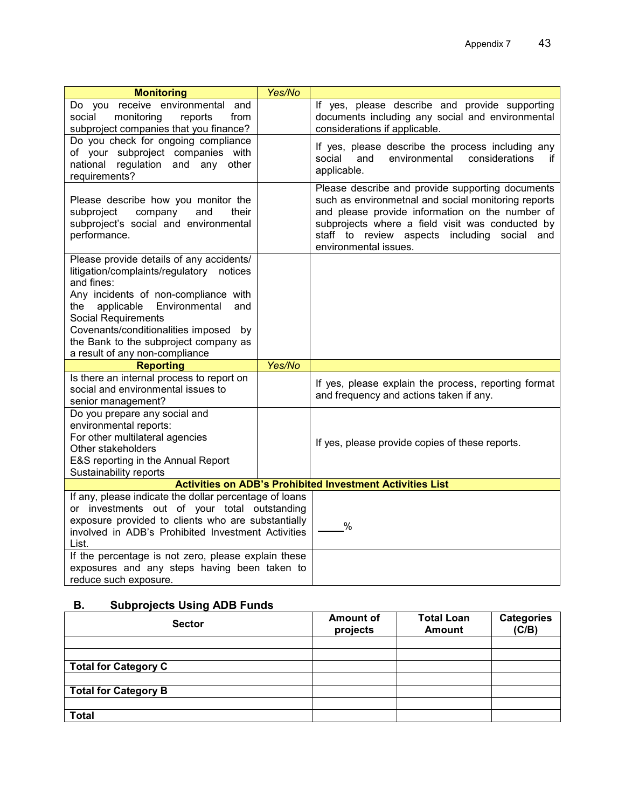| <b>Monitoring</b>                                                                                                                                                                                                                                                                                                                      | Yes/No |                                                                                                                                                                                                                                                                                         |
|----------------------------------------------------------------------------------------------------------------------------------------------------------------------------------------------------------------------------------------------------------------------------------------------------------------------------------------|--------|-----------------------------------------------------------------------------------------------------------------------------------------------------------------------------------------------------------------------------------------------------------------------------------------|
| Do you receive environmental and<br>monitoring<br>social<br>reports<br>from<br>subproject companies that you finance?                                                                                                                                                                                                                  |        | If yes, please describe and provide supporting<br>documents including any social and environmental<br>considerations if applicable.                                                                                                                                                     |
| Do you check for ongoing compliance<br>of your subproject companies with<br>national<br>regulation and any<br>other<br>requirements?                                                                                                                                                                                                   |        | If yes, please describe the process including any<br>considerations<br>social<br>and<br>environmental<br>if.<br>applicable.                                                                                                                                                             |
| Please describe how you monitor the<br>company<br>their<br>subproject<br>and<br>subproject's social and environmental<br>performance.                                                                                                                                                                                                  |        | Please describe and provide supporting documents<br>such as environmetnal and social monitoring reports<br>and please provide information on the number of<br>subprojects where a field visit was conducted by<br>staff to review aspects including social and<br>environmental issues. |
| Please provide details of any accidents/<br>litigation/complaints/regulatory notices<br>and fines:<br>Any incidents of non-compliance with<br>applicable Environmental<br>the<br>and<br><b>Social Requirements</b><br>Covenants/conditionalities imposed by<br>the Bank to the subproject company as<br>a result of any non-compliance |        |                                                                                                                                                                                                                                                                                         |
| <b>Reporting</b>                                                                                                                                                                                                                                                                                                                       | Yes/No |                                                                                                                                                                                                                                                                                         |
| Is there an internal process to report on<br>social and environmental issues to<br>senior management?                                                                                                                                                                                                                                  |        | If yes, please explain the process, reporting format<br>and frequency and actions taken if any.                                                                                                                                                                                         |
| Do you prepare any social and<br>environmental reports:<br>For other multilateral agencies<br>Other stakeholders<br>E&S reporting in the Annual Report<br>Sustainability reports                                                                                                                                                       |        | If yes, please provide copies of these reports.                                                                                                                                                                                                                                         |
|                                                                                                                                                                                                                                                                                                                                        |        | <b>Activities on ADB's Prohibited Investment Activities List</b>                                                                                                                                                                                                                        |
| If any, please indicate the dollar percentage of loans<br>or investments out of your total outstanding<br>exposure provided to clients who are substantially<br>involved in ADB's Prohibited Investment Activities<br>List.                                                                                                            |        | $\%$                                                                                                                                                                                                                                                                                    |
| If the percentage is not zero, please explain these<br>exposures and any steps having been taken to<br>reduce such exposure.                                                                                                                                                                                                           |        |                                                                                                                                                                                                                                                                                         |

# **B. Subprojects Using ADB Funds**

| <b>Sector</b>               | <b>Amount of</b><br>projects | <b>Total Loan</b><br><b>Amount</b> | <b>Categories</b><br>(C/B) |
|-----------------------------|------------------------------|------------------------------------|----------------------------|
|                             |                              |                                    |                            |
|                             |                              |                                    |                            |
| <b>Total for Category C</b> |                              |                                    |                            |
|                             |                              |                                    |                            |
| <b>Total for Category B</b> |                              |                                    |                            |
|                             |                              |                                    |                            |
| <b>Total</b>                |                              |                                    |                            |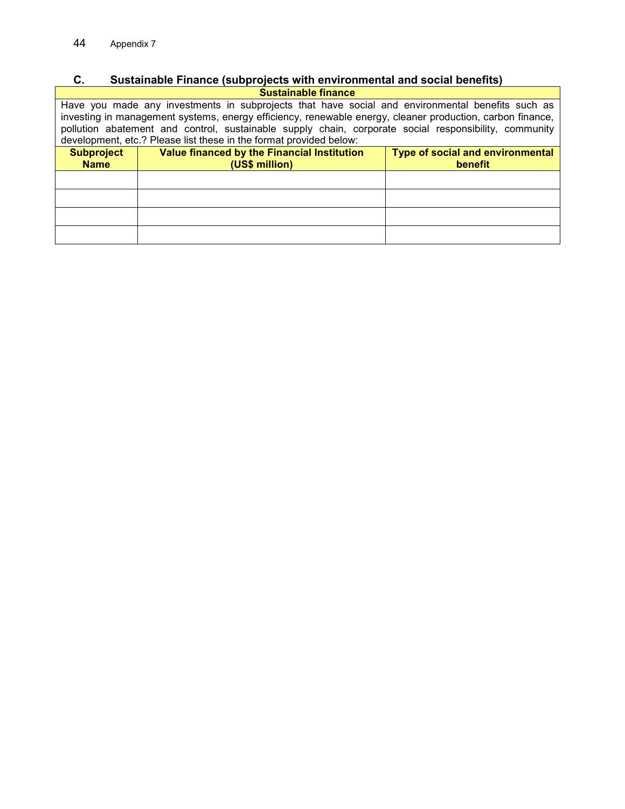### **C. Sustainable Finance (subprojects with environmental and social benefits) Sustainable finance**

Have you made any investments in subprojects that have social and environmental benefits such as investing in management systems, energy efficiency, renewable energy, cleaner production, carbon finance, pollution abatement and control, sustainable supply chain, corporate social responsibility, community development, etc.? Please list these in the format provided below:

| <b>Subproject</b><br><b>Name</b> | Value financed by the Financial Institution<br>(US\$ million) | Type of social and environmental<br>benefit |
|----------------------------------|---------------------------------------------------------------|---------------------------------------------|
|                                  |                                                               |                                             |
|                                  |                                                               |                                             |
|                                  |                                                               |                                             |
|                                  |                                                               |                                             |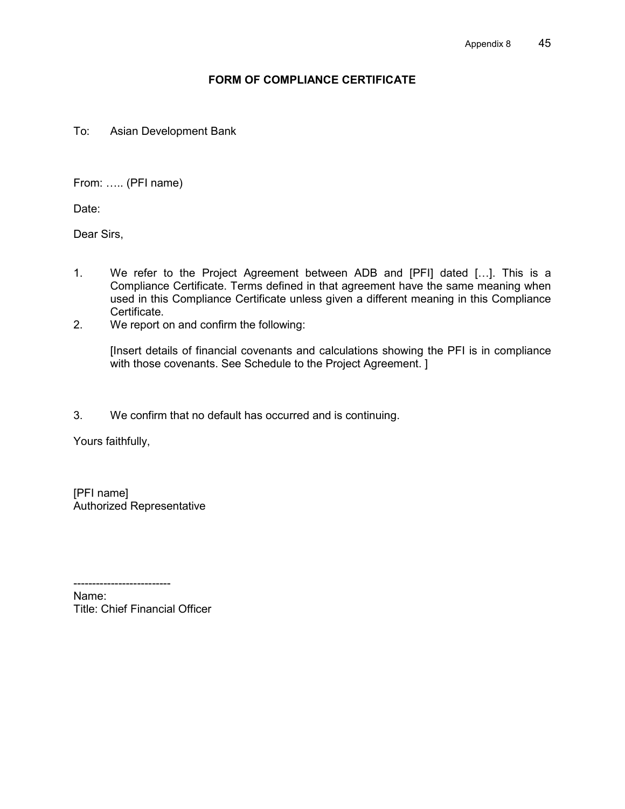### **FORM OF COMPLIANCE CERTIFICATE**

To: Asian Development Bank

From: ..... (PFI name)

Date:

Dear Sirs,

- 1. We refer to the Project Agreement between ADB and [PFI] dated [...]. This is a Compliance Certificate. Terms defined in that agreement have the same meaning when used in this Compliance Certificate unless given a different meaning in this Compliance Certificate.
- 2. We report on and confirm the following:

[Insert details of financial covenants and calculations showing the PFI is in compliance with those covenants. See Schedule to the Project Agreement. ]

3. We confirm that no default has occurred and is continuing.

Yours faithfully,

[PFI name] Authorized Representative

-------------------------- Name: Title: Chief Financial Officer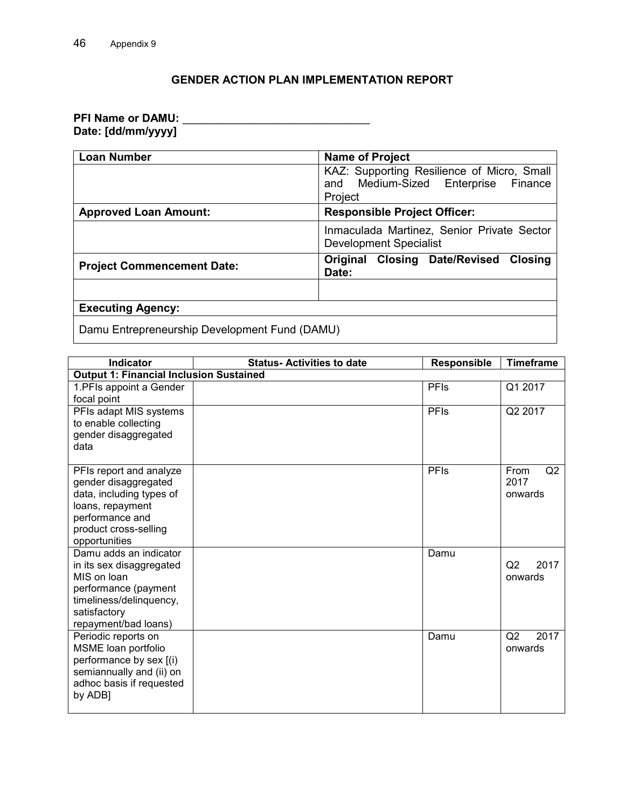### **GENDER ACTION PLAN IMPLEMENTATION REPORT**

### **PFI Name or DAMU: Date: [dd/mm/yyyy]**

| <b>Loan Number</b>                            | <b>Name of Project</b>                                                                             |  |  |
|-----------------------------------------------|----------------------------------------------------------------------------------------------------|--|--|
|                                               | KAZ: Supporting Resilience of Micro, Small<br>Medium-Sized Enterprise<br>Finance<br>and<br>Project |  |  |
| <b>Approved Loan Amount:</b>                  | <b>Responsible Project Officer:</b>                                                                |  |  |
|                                               | Inmaculada Martinez, Senior Private Sector<br><b>Development Specialist</b>                        |  |  |
| <b>Project Commencement Date:</b>             | <b>Original Closing Date/Revised</b><br><b>Closing</b><br>Date:                                    |  |  |
|                                               |                                                                                                    |  |  |
| <b>Executing Agency:</b>                      |                                                                                                    |  |  |
| Damu Entrepreneurship Development Fund (DAMU) |                                                                                                    |  |  |

**Indicator Indicator I** Status-Activities to date **Responsible Timeframe Output 1: Financial Inclusion Sustained** 1.PFIs appoint a Gender focal point PFIs | Q1 2017 PFIs adapt MIS systems to enable collecting gender disaggregated data PFIs Q2 2017 PFIs report and analyze gender disaggregated data, including types of loans, repayment performance and product cross-selling opportunities PFIs From Q2 2017 onwards Damu adds an indicator in its sex disaggregated MIS on loan performance (payment timeliness/delinquency, satisfactory repayment/bad loans) Damu Q2 2017 onwards Periodic reports on MSME loan portfolio performance by sex [(i) semiannually and (ii) on adhoc basis if requested by ADB] Damu Q2 2017 onwards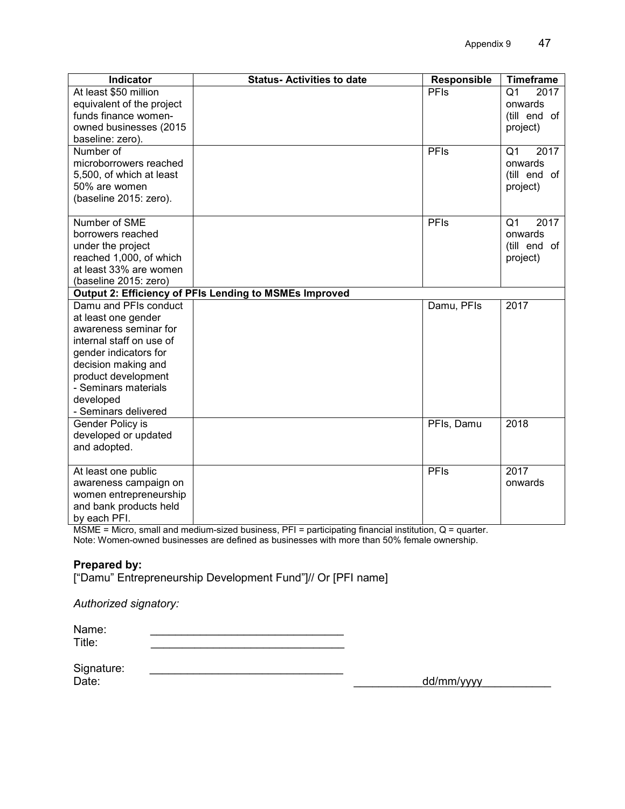| Indicator                                   | <b>Status-Activities to date</b>                       | Responsible | <b>Timeframe</b>       |
|---------------------------------------------|--------------------------------------------------------|-------------|------------------------|
| At least \$50 million                       |                                                        | PFIs        | 2017<br>Q <sub>1</sub> |
| equivalent of the project                   |                                                        |             | onwards                |
| funds finance women-                        |                                                        |             | (till end of           |
| owned businesses (2015)<br>baseline: zero). |                                                        |             | project)               |
| Number of                                   |                                                        | PFIs        | 2017<br>Q1             |
| microborrowers reached                      |                                                        |             | onwards                |
| 5,500, of which at least                    |                                                        |             | (till end of           |
| 50% are women                               |                                                        |             | project)               |
| (baseline 2015: zero).                      |                                                        |             |                        |
|                                             |                                                        |             |                        |
| Number of SME                               |                                                        | PFIs        | Q <sub>1</sub><br>2017 |
| borrowers reached                           |                                                        |             | onwards                |
| under the project                           |                                                        |             | (till end of           |
| reached 1,000, of which                     |                                                        |             | project)               |
| at least 33% are women                      |                                                        |             |                        |
| (baseline 2015: zero)                       |                                                        |             |                        |
| Damu and PFIs conduct                       | Output 2: Efficiency of PFIs Lending to MSMEs Improved |             | 2017                   |
| at least one gender                         |                                                        | Damu, PFIs  |                        |
| awareness seminar for                       |                                                        |             |                        |
| internal staff on use of                    |                                                        |             |                        |
| gender indicators for                       |                                                        |             |                        |
| decision making and                         |                                                        |             |                        |
| product development                         |                                                        |             |                        |
| - Seminars materials                        |                                                        |             |                        |
| developed                                   |                                                        |             |                        |
| - Seminars delivered                        |                                                        |             |                        |
| Gender Policy is                            |                                                        | PFIs, Damu  | 2018                   |
| developed or updated                        |                                                        |             |                        |
| and adopted.                                |                                                        |             |                        |
| At least one public                         |                                                        | PFIs        | 2017                   |
| awareness campaign on                       |                                                        |             | onwards                |
| women entrepreneurship                      |                                                        |             |                        |
| and bank products held                      |                                                        |             |                        |
| by each PFI.                                |                                                        |             |                        |

MSME = Micro, small and medium-sized business, PFI = participating financial institution, Q = quarter. Note: Women-owned businesses are defined as businesses with more than 50% female ownership.

### **Prepared by:**

["Damu" Entrepreneurship Development Fund"]// Or [PFI name]

*Authorized signatory:* 

Name: \_\_\_\_\_\_\_\_\_\_\_\_\_\_\_\_\_\_\_\_\_\_\_\_\_\_\_\_\_\_\_

Signature: \_\_\_\_\_\_\_\_\_\_\_\_\_\_\_\_\_\_\_\_\_\_\_\_\_\_\_\_\_\_\_

dd/mm/yyyy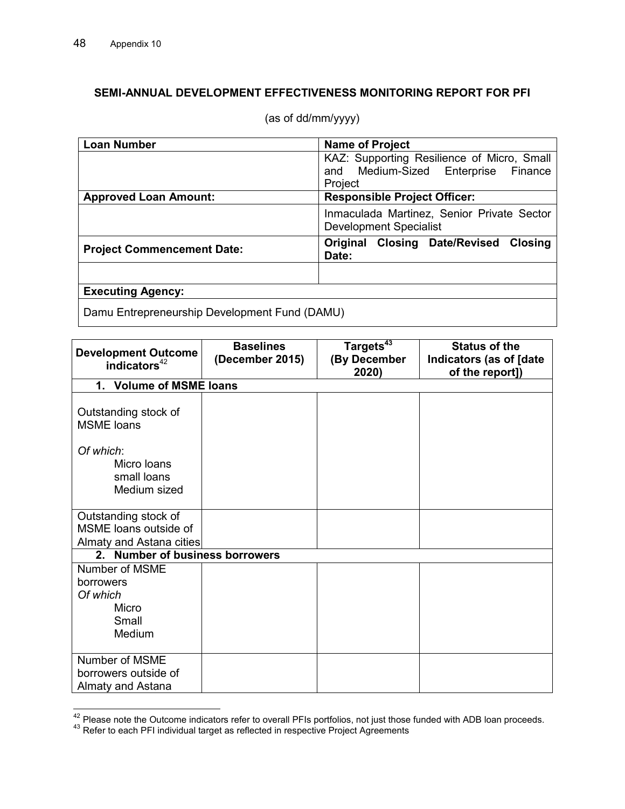# **SEMI-ANNUAL DEVELOPMENT EFFECTIVENESS MONITORING REPORT FOR PFI**

| <b>Loan Number</b>                               | <b>Name of Project</b>                                               |  |  |
|--------------------------------------------------|----------------------------------------------------------------------|--|--|
|                                                  | KAZ: Supporting Resilience of Micro, Small                           |  |  |
|                                                  | and Medium-Sized Enterprise<br>Finance                               |  |  |
|                                                  | Project                                                              |  |  |
| <b>Approved Loan Amount:</b>                     | <b>Responsible Project Officer:</b>                                  |  |  |
|                                                  | Inmaculada Martinez, Senior Private Sector<br>Development Specialist |  |  |
| <b>Project Commencement Date:</b>                | Original Closing Date/Revised Closing<br>Date:                       |  |  |
|                                                  |                                                                      |  |  |
| <b>Executing Agency:</b>                         |                                                                      |  |  |
| Denou Fatacanon cualda Deustean cat Fued (DAMIN) |                                                                      |  |  |

(as of dd/mm/yyyy)

Damu Entrepreneurship Development Fund (DAMU)

| <b>Development Outcome</b>                                                | <b>Baselines</b><br>(December 2015) | Targets <sup>43</sup><br>(By December | <b>Status of the</b><br>Indicators (as of [date |
|---------------------------------------------------------------------------|-------------------------------------|---------------------------------------|-------------------------------------------------|
| indicators <sup>42</sup>                                                  |                                     | 2020)                                 | of the report])                                 |
| 1. Volume of MSME loans                                                   |                                     |                                       |                                                 |
| Outstanding stock of<br><b>MSME</b> loans                                 |                                     |                                       |                                                 |
| Of which:<br>Micro Ioans<br>small loans<br>Medium sized                   |                                     |                                       |                                                 |
| Outstanding stock of<br>MSME loans outside of<br>Almaty and Astana cities |                                     |                                       |                                                 |
| <b>Number of business borrowers</b><br>2.                                 |                                     |                                       |                                                 |
| Number of MSME<br>borrowers<br>Of which<br>Micro<br>Small<br>Medium       |                                     |                                       |                                                 |
| Number of MSME<br>borrowers outside of<br>Almaty and Astana               |                                     |                                       |                                                 |

 $\overline{1}$  $^{42}$  Please note the Outcome indicators refer to overall PFIs portfolios, not just those funded with ADB loan proceeds.

 $43$  Refer to each PFI individual target as reflected in respective Project Agreements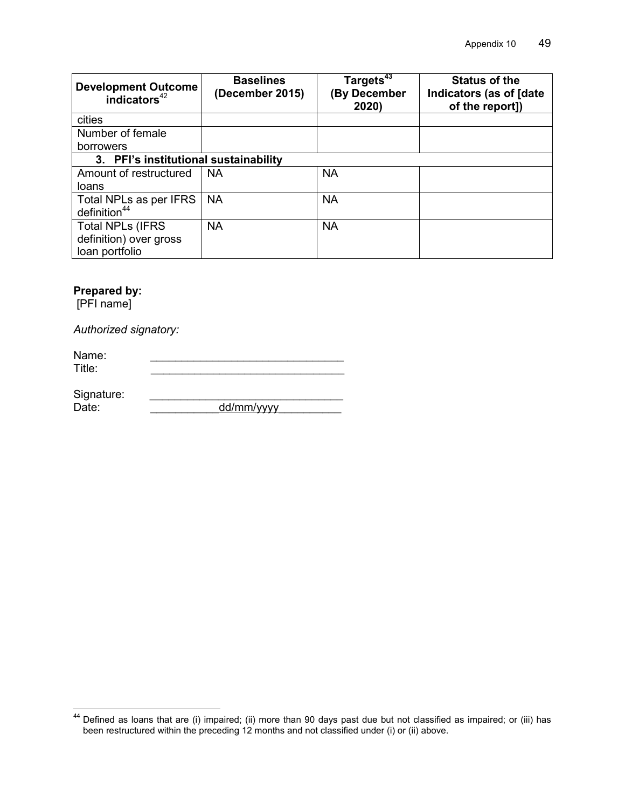| <b>Development Outcome</b><br>indicators <sup>42</sup> | <b>Baselines</b><br>(December 2015) | Targets <sup>43</sup><br><b>By December</b><br>2020) | <b>Status of the</b><br>Indicators (as of [date<br>of the report]) |  |  |
|--------------------------------------------------------|-------------------------------------|------------------------------------------------------|--------------------------------------------------------------------|--|--|
| cities                                                 |                                     |                                                      |                                                                    |  |  |
| Number of female                                       |                                     |                                                      |                                                                    |  |  |
| borrowers                                              |                                     |                                                      |                                                                    |  |  |
| 3. PFI's institutional sustainability                  |                                     |                                                      |                                                                    |  |  |
| Amount of restructured                                 | <b>NA</b>                           | <b>NA</b>                                            |                                                                    |  |  |
| loans                                                  |                                     |                                                      |                                                                    |  |  |
| Total NPLs as per IFRS                                 | <b>NA</b>                           | <b>NA</b>                                            |                                                                    |  |  |
| definition <sup>44</sup>                               |                                     |                                                      |                                                                    |  |  |
| <b>Total NPLs (IFRS)</b>                               | <b>NA</b>                           | <b>NA</b>                                            |                                                                    |  |  |
| definition) over gross                                 |                                     |                                                      |                                                                    |  |  |
| loan portfolio                                         |                                     |                                                      |                                                                    |  |  |

### **Prepared by:**

[PFI name]

 $\overline{1}$ 

*Authorized signatory:* 

| Name:<br>Title: |  |
|-----------------|--|
| Sianaturo:      |  |

| Signature. |            |
|------------|------------|
| Date:      | dd/mm/yyyy |

 $44$  Defined as loans that are (i) impaired; (ii) more than 90 days past due but not classified as impaired; or (iii) has been restructured within the preceding 12 months and not classified under (i) or (ii) above.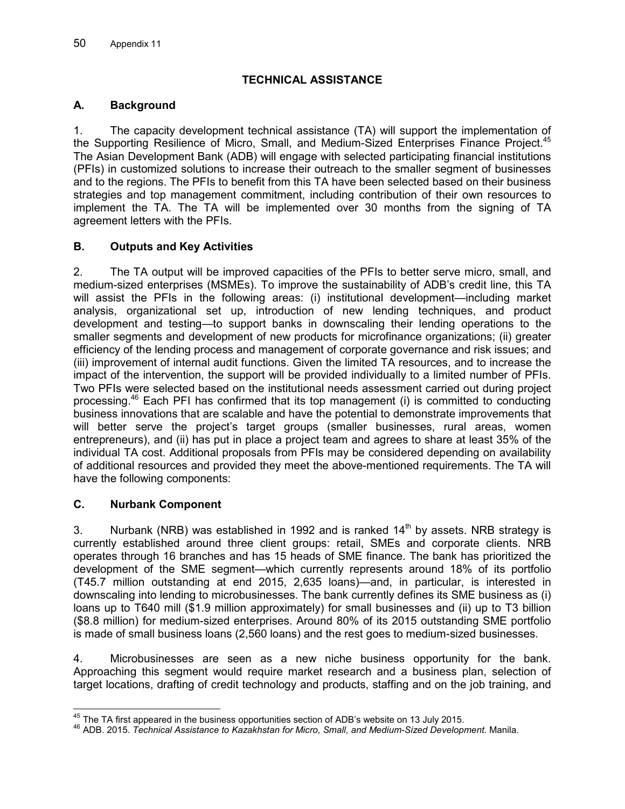# **TECHNICAL ASSISTANCE**

### **A. Background**

1. The capacity development technical assistance (TA) will support the implementation of the Supporting Resilience of Micro, Small, and Medium-Sized Enterprises Finance Project.<sup>45</sup> The Asian Development Bank (ADB) will engage with selected participating financial institutions (PFIs) in customized solutions to increase their outreach to the smaller segment of businesses and to the regions. The PFIs to benefit from this TA have been selected based on their business strategies and top management commitment, including contribution of their own resources to implement the TA. The TA will be implemented over 30 months from the signing of TA agreement letters with the PFIs.

# **B. Outputs and Key Activities**

2. The TA output will be improved capacities of the PFIs to better serve micro, small, and medium-sized enterprises (MSMEs). To improve the sustainability of ADB's credit line, this TA will assist the PFIs in the following areas: (i) institutional development—including market analysis, organizational set up, introduction of new lending techniques, and product development and testing—to support banks in downscaling their lending operations to the smaller segments and development of new products for microfinance organizations; (ii) greater efficiency of the lending process and management of corporate governance and risk issues; and (iii) improvement of internal audit functions. Given the limited TA resources, and to increase the impact of the intervention, the support will be provided individually to a limited number of PFIs. Two PFIs were selected based on the institutional needs assessment carried out during project processing.<sup>46</sup> Each PFI has confirmed that its top management (i) is committed to conducting business innovations that are scalable and have the potential to demonstrate improvements that will better serve the project's target groups (smaller businesses, rural areas, women entrepreneurs), and (ii) has put in place a project team and agrees to share at least 35% of the individual TA cost. Additional proposals from PFIs may be considered depending on availability of additional resources and provided they meet the above-mentioned requirements. The TA will have the following components:

# **C. Nurbank Component**

 $\overline{1}$ 

3. Nurbank (NRB) was established in 1992 and is ranked  $14<sup>th</sup>$  by assets. NRB strategy is currently established around three client groups: retail, SMEs and corporate clients. NRB operates through 16 branches and has 15 heads of SME finance. The bank has prioritized the development of the SME segment—which currently represents around 18% of its portfolio (T45.7 million outstanding at end 2015, 2,635 loans)—and, in particular, is interested in downscaling into lending to microbusinesses. The bank currently defines its SME business as (i) loans up to T640 mill (\$1.9 million approximately) for small businesses and (ii) up to T3 billion (\$8.8 million) for medium-sized enterprises. Around 80% of its 2015 outstanding SME portfolio is made of small business loans (2,560 loans) and the rest goes to medium-sized businesses.

4. Microbusinesses are seen as a new niche business opportunity for the bank. Approaching this segment would require market research and a business plan, selection of target locations, drafting of credit technology and products, staffing and on the job training, and

 $^{45}$  The TA first appeared in the business opportunities section of ADB's website on 13 July 2015.

<sup>46</sup> ADB. 2015. *Technical Assistance to Kazakhstan for Micro, Small, and Medium-Sized Development.* Manila.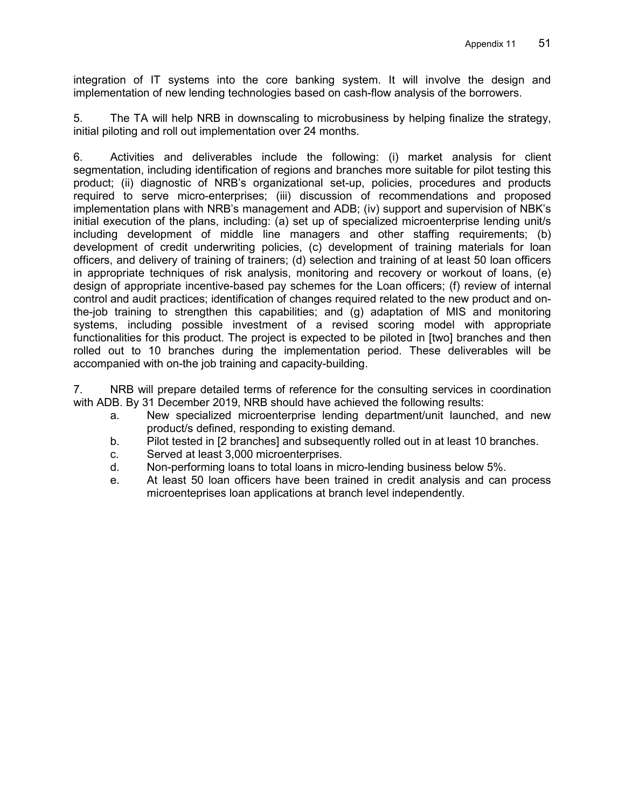integration of IT systems into the core banking system. It will involve the design and implementation of new lending technologies based on cash-flow analysis of the borrowers.

5. The TA will help NRB in downscaling to microbusiness by helping finalize the strategy, initial piloting and roll out implementation over 24 months.

6. Activities and deliverables include the following: (i) market analysis for client segmentation, including identification of regions and branches more suitable for pilot testing this product; (ii) diagnostic of NRB's organizational set-up, policies, procedures and products required to serve micro-enterprises; (iii) discussion of recommendations and proposed implementation plans with NRB's management and ADB; (iv) support and supervision of NBK's initial execution of the plans, including: (a) set up of specialized microenterprise lending unit/s including development of middle line managers and other staffing requirements; (b) development of credit underwriting policies, (c) development of training materials for loan officers, and delivery of training of trainers; (d) selection and training of at least 50 loan officers in appropriate techniques of risk analysis, monitoring and recovery or workout of loans, (e) design of appropriate incentive-based pay schemes for the Loan officers; (f) review of internal control and audit practices; identification of changes required related to the new product and onthe-job training to strengthen this capabilities; and (g) adaptation of MIS and monitoring systems, including possible investment of a revised scoring model with appropriate functionalities for this product. The project is expected to be piloted in [two] branches and then rolled out to 10 branches during the implementation period. These deliverables will be accompanied with on-the job training and capacity-building.

7. NRB will prepare detailed terms of reference for the consulting services in coordination with ADB. By 31 December 2019, NRB should have achieved the following results:

- a. New specialized microenterprise lending department/unit launched, and new product/s defined, responding to existing demand.
- b. Pilot tested in [2 branches] and subsequently rolled out in at least 10 branches.
- c. Served at least 3,000 microenterprises.
- d. Non-performing loans to total loans in micro-lending business below 5%.
- e. At least 50 loan officers have been trained in credit analysis and can process microenteprises loan applications at branch level independently.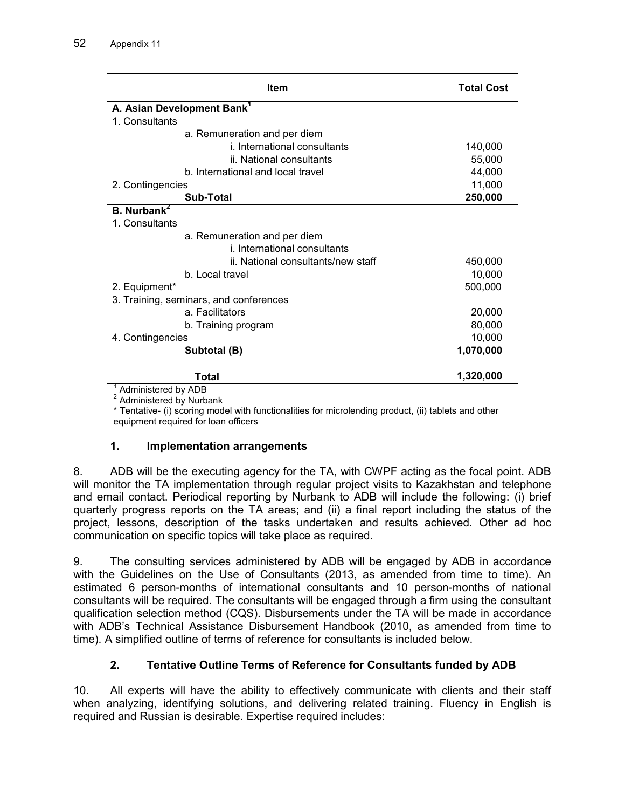| Item                                   | <b>Total Cost</b>                             |
|----------------------------------------|-----------------------------------------------|
| A. Asian Development Bank <sup>1</sup> |                                               |
| 1. Consultants                         |                                               |
| a. Remuneration and per diem           |                                               |
|                                        | i. International consultants<br>140,000       |
| ii. National consultants               | 55,000                                        |
| b. International and local travel      | 44,000                                        |
| 2. Contingencies                       | 11,000                                        |
| Sub-Total                              | 250,000                                       |
| <b>B.</b> Nurbank <sup>2</sup>         |                                               |
| 1. Consultants                         |                                               |
| a. Remuneration and per diem           |                                               |
|                                        | i. International consultants                  |
|                                        | ii. National consultants/new staff<br>450,000 |
| b. Local travel                        | 10,000                                        |
| 2. Equipment*                          | 500,000                                       |
| 3. Training, seminars, and conferences |                                               |
| a. Facilitators                        | 20,000                                        |
| b. Training program                    | 80,000                                        |
| 4. Contingencies                       | 10,000                                        |
| Subtotal (B)                           | 1,070,000                                     |
| Total                                  | 1,320,000                                     |

1 Administered by ADB

<sup>2</sup> Administered by Nurbank

\* Tentative- (i) scoring model with functionalities for microlending product, (ii) tablets and other equipment required for loan officers

### **1. Implementation arrangements**

8. ADB will be the executing agency for the TA, with CWPF acting as the focal point. ADB will monitor the TA implementation through regular project visits to Kazakhstan and telephone and email contact. Periodical reporting by Nurbank to ADB will include the following: (i) brief quarterly progress reports on the TA areas; and (ii) a final report including the status of the project, lessons, description of the tasks undertaken and results achieved. Other ad hoc communication on specific topics will take place as required.

9. The consulting services administered by ADB will be engaged by ADB in accordance with the Guidelines on the Use of Consultants (2013, as amended from time to time). An estimated 6 person-months of international consultants and 10 person-months of national consultants will be required. The consultants will be engaged through a firm using the consultant qualification selection method (CQS). Disbursements under the TA will be made in accordance with ADB's Technical Assistance Disbursement Handbook (2010, as amended from time to time). A simplified outline of terms of reference for consultants is included below.

# **2. Tentative Outline Terms of Reference for Consultants funded by ADB**

10. All experts will have the ability to effectively communicate with clients and their staff when analyzing, identifying solutions, and delivering related training. Fluency in English is required and Russian is desirable. Expertise required includes: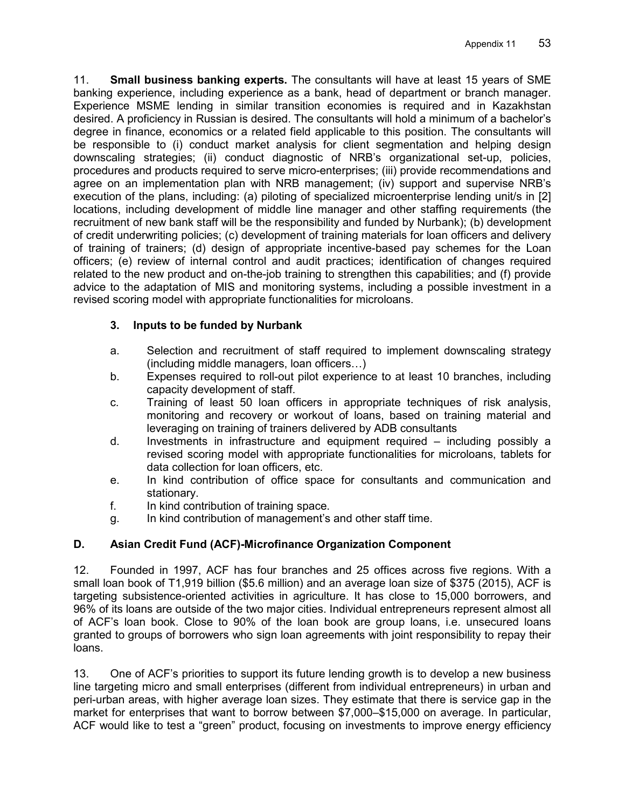11. **Small business banking experts.** The consultants will have at least 15 years of SME banking experience, including experience as a bank, head of department or branch manager. Experience MSME lending in similar transition economies is required and in Kazakhstan desired. A proficiency in Russian is desired. The consultants will hold a minimum of a bachelor's degree in finance, economics or a related field applicable to this position. The consultants will be responsible to (i) conduct market analysis for client segmentation and helping design downscaling strategies; (ii) conduct diagnostic of NRB's organizational set-up, policies, procedures and products required to serve micro-enterprises; (iii) provide recommendations and agree on an implementation plan with NRB management; (iv) support and supervise NRB's execution of the plans, including: (a) piloting of specialized microenterprise lending unit/s in [2] locations, including development of middle line manager and other staffing requirements (the recruitment of new bank staff will be the responsibility and funded by Nurbank); (b) development of credit underwriting policies; (c) development of training materials for loan officers and delivery of training of trainers; (d) design of appropriate incentive-based pay schemes for the Loan officers; (e) review of internal control and audit practices; identification of changes required related to the new product and on-the-job training to strengthen this capabilities; and (f) provide advice to the adaptation of MIS and monitoring systems, including a possible investment in a revised scoring model with appropriate functionalities for microloans.

# **3. Inputs to be funded by Nurbank**

- a. Selection and recruitment of staff required to implement downscaling strategy  $($ including middle managers, loan officers $\dots$ )
- b. Expenses required to roll-out pilot experience to at least 10 branches, including capacity development of staff.
- c. Training of least 50 loan officers in appropriate techniques of risk analysis, monitoring and recovery or workout of loans, based on training material and leveraging on training of trainers delivered by ADB consultants
- d. Investments in infrastructure and equipment required including possibly a revised scoring model with appropriate functionalities for microloans, tablets for data collection for loan officers, etc.
- e. In kind contribution of office space for consultants and communication and stationary.
- f. In kind contribution of training space.
- g. In kind contribution of management's and other staff time.

# **D. Asian Credit Fund (ACF)-Microfinance Organization Component**

12. Founded in 1997, ACF has four branches and 25 offices across five regions. With a small loan book of T1,919 billion (\$5.6 million) and an average loan size of \$375 (2015), ACF is targeting subsistence-oriented activities in agriculture. It has close to 15,000 borrowers, and 96% of its loans are outside of the two major cities. Individual entrepreneurs represent almost all of ACF's loan book. Close to 90% of the loan book are group loans, i.e. unsecured loans granted to groups of borrowers who sign loan agreements with joint responsibility to repay their loans.

13. One of ACF's priorities to support its future lending growth is to develop a new business line targeting micro and small enterprises (different from individual entrepreneurs) in urban and peri-urban areas, with higher average loan sizes. They estimate that there is service gap in the market for enterprises that want to borrow between \$7,000–\$15,000 on average. In particular, ACF would like to test a "green" product, focusing on investments to improve energy efficiency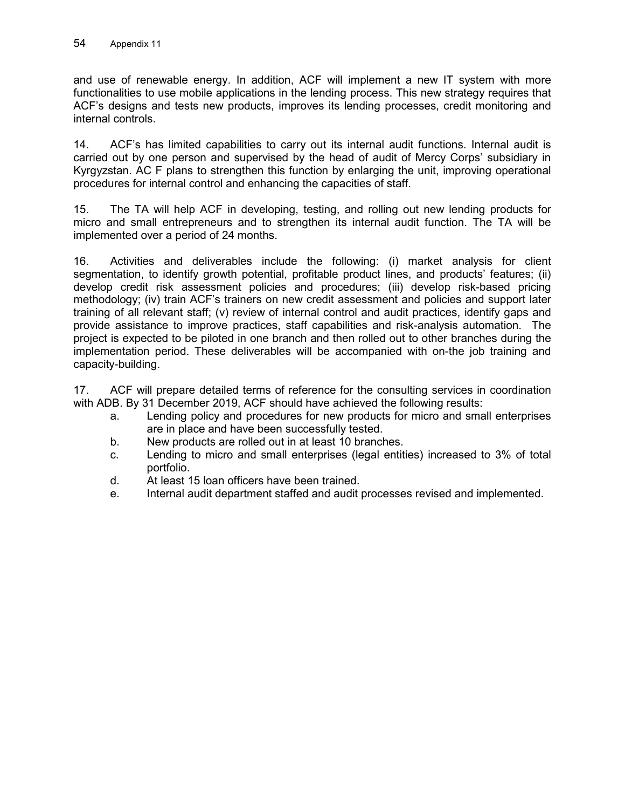and use of renewable energy. In addition, ACF will implement a new IT system with more functionalities to use mobile applications in the lending process. This new strategy requires that ACF's designs and tests new products, improves its lending processes, credit monitoring and internal controls.

14. ACF's has limited capabilities to carry out its internal audit functions. Internal audit is carried out by one person and supervised by the head of audit of Mercy Corps' subsidiary in Kyrgyzstan. AC F plans to strengthen this function by enlarging the unit, improving operational procedures for internal control and enhancing the capacities of staff.

15. The TA will help ACF in developing, testing, and rolling out new lending products for micro and small entrepreneurs and to strengthen its internal audit function. The TA will be implemented over a period of 24 months.

16. Activities and deliverables include the following: (i) market analysis for client segmentation, to identify growth potential, profitable product lines, and products' features; (ii) develop credit risk assessment policies and procedures; (iii) develop risk-based pricing methodology; (iv) train ACF's trainers on new credit assessment and policies and support later training of all relevant staff; (v) review of internal control and audit practices, identify gaps and provide assistance to improve practices, staff capabilities and risk-analysis automation. The project is expected to be piloted in one branch and then rolled out to other branches during the implementation period. These deliverables will be accompanied with on-the job training and capacity-building.

17. ACF will prepare detailed terms of reference for the consulting services in coordination with ADB. By 31 December 2019, ACF should have achieved the following results:

- a. Lending policy and procedures for new products for micro and small enterprises are in place and have been successfully tested.
- b. New products are rolled out in at least 10 branches.
- c. Lending to micro and small enterprises (legal entities) increased to 3% of total portfolio.
- d. At least 15 loan officers have been trained.
- e. Internal audit department staffed and audit processes revised and implemented.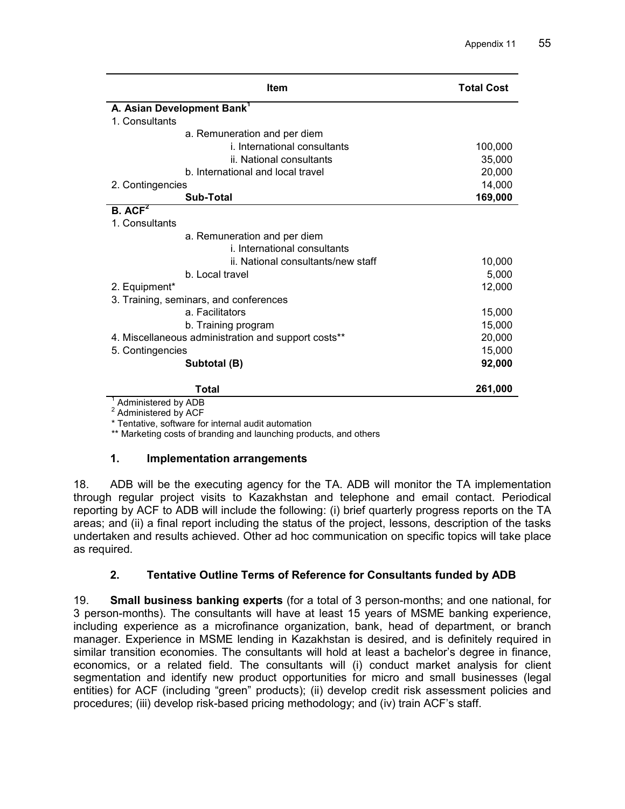| <b>Item</b>                                         |                                        | <b>Total Cost</b> |
|-----------------------------------------------------|----------------------------------------|-------------------|
|                                                     | A. Asian Development Bank <sup>1</sup> |                   |
| 1. Consultants                                      |                                        |                   |
|                                                     | a. Remuneration and per diem           |                   |
|                                                     | i. International consultants           | 100,000           |
|                                                     | ii. National consultants               | 35,000            |
|                                                     | b. International and local travel      | 20,000            |
| 2. Contingencies                                    |                                        | 14,000            |
|                                                     | Sub-Total                              | 169,000           |
| B. ACF <sup>2</sup>                                 |                                        |                   |
| 1. Consultants                                      |                                        |                   |
|                                                     | a. Remuneration and per diem           |                   |
|                                                     | i. International consultants           |                   |
|                                                     | ii. National consultants/new staff     | 10,000            |
|                                                     | b. Local travel                        | 5,000             |
| 2. Equipment*                                       |                                        | 12,000            |
| 3. Training, seminars, and conferences              |                                        |                   |
|                                                     | a. Facilitators                        | 15,000            |
|                                                     | b. Training program                    | 15,000            |
| 4. Miscellaneous administration and support costs** |                                        | 20,000            |
| 5. Contingencies                                    |                                        | 15,000            |
|                                                     | Subtotal (B)                           | 92,000            |
| <b>ALC</b>                                          | Total<br>$\sim$                        | 261,000           |

 $^{\text{1}}$  Administered by ADB<br><sup>2</sup> Administered by ACF

\* Tentative, software for internal audit automation

\*\* Marketing costs of branding and launching products, and others

### **1. Implementation arrangements**

18. ADB will be the executing agency for the TA. ADB will monitor the TA implementation through regular project visits to Kazakhstan and telephone and email contact. Periodical reporting by ACF to ADB will include the following: (i) brief quarterly progress reports on the TA areas; and (ii) a final report including the status of the project, lessons, description of the tasks undertaken and results achieved. Other ad hoc communication on specific topics will take place as required.

# **2. Tentative Outline Terms of Reference for Consultants funded by ADB**

19. **Small business banking experts** (for a total of 3 person-months; and one national, for 3 person-months). The consultants will have at least 15 years of MSME banking experience, including experience as a microfinance organization, bank, head of department, or branch manager. Experience in MSME lending in Kazakhstan is desired, and is definitely required in similar transition economies. The consultants will hold at least a bachelor's degree in finance, economics, or a related field. The consultants will (i) conduct market analysis for client segmentation and identify new product opportunities for micro and small businesses (legal entities) for ACF (including "green" products); (ii) develop credit risk assessment policies and procedures; (iii) develop risk-based pricing methodology; and (iv) train ACF's staff.